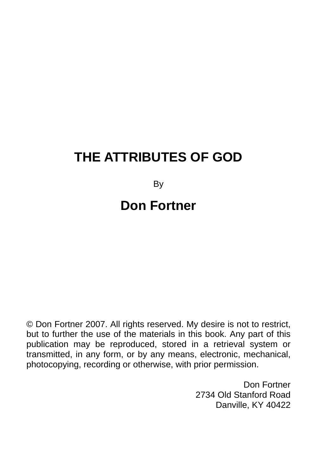# **THE ATTRIBUTES OF GOD**

By

## **Don Fortner**

© Don Fortner 2007. All rights reserved. My desire is not to restrict, but to further the use of the materials in this book. Any part of this publication may be reproduced, stored in a retrieval system or transmitted, in any form, or by any means, electronic, mechanical, photocopying, recording or otherwise, with prior permission.

> Don Fortner 2734 Old Stanford Road Danville, KY 40422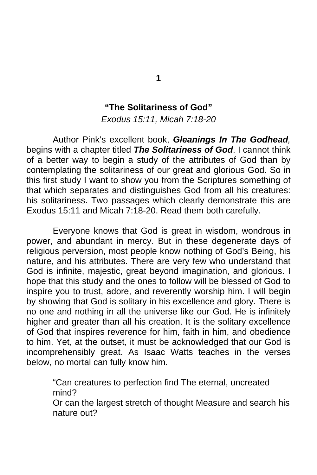#### **"The Solitariness of God"**

*Exodus 15:11, Micah 7:18-20* 

 Author Pink's excellent book, *Gleanings In The Godhead,* begins with a chapter titled *The Solitariness of God*. I cannot think of a better way to begin a study of the attributes of God than by contemplating the solitariness of our great and glorious God. So in this first study I want to show you from the Scriptures something of that which separates and distinguishes God from all his creatures: his solitariness. Two passages which clearly demonstrate this are Exodus 15:11 and Micah 7:18-20. Read them both carefully.

 Everyone knows that God is great in wisdom, wondrous in power, and abundant in mercy. But in these degenerate days of religious perversion, most people know nothing of God's Being, his nature, and his attributes. There are very few who understand that God is infinite, majestic, great beyond imagination, and glorious. I hope that this study and the ones to follow will be blessed of God to inspire you to trust, adore, and reverently worship him. I will begin by showing that God is solitary in his excellence and glory. There is no one and nothing in all the universe like our God. He is infinitely higher and greater than all his creation. It is the solitary excellence of God that inspires reverence for him, faith in him, and obedience to him. Yet, at the outset, it must be acknowledged that our God is incomprehensibly great. As Isaac Watts teaches in the verses below, no mortal can fully know him.

"Can creatures to perfection find The eternal, uncreated mind?

Or can the largest stretch of thought Measure and search his nature out?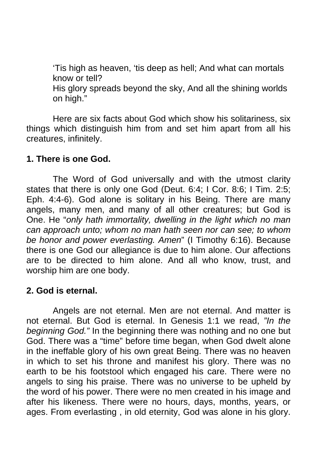'Tis high as heaven, 'tis deep as hell; And what can mortals know or tell? His glory spreads beyond the sky, And all the shining worlds on high."

 Here are six facts about God which show his solitariness, six things which distinguish him from and set him apart from all his creatures, infinitely.

#### **1. There is one God.**

 The Word of God universally and with the utmost clarity states that there is only one God (Deut. 6:4; I Cor. 8:6; I Tim. 2:5; Eph. 4:4-6). God alone is solitary in his Being. There are many angels, many men, and many of all other creatures; but God is One. He "*only hath immortality, dwelling in the light which no man can approach unto; whom no man hath seen nor can see; to whom be honor and power everlasting. Amen*" (I Timothy 6:16). Because there is one God our allegiance is due to him alone. Our affections are to be directed to him alone. And all who know, trust, and worship him are one body.

## **2. God is eternal.**

 Angels are not eternal. Men are not eternal. And matter is not eternal. But God is eternal. In Genesis 1:1 we read, *"In the beginning God."* In the beginning there was nothing and no one but God. There was a "time" before time began, when God dwelt alone in the ineffable glory of his own great Being. There was no heaven in which to set his throne and manifest his glory. There was no earth to be his footstool which engaged his care. There were no angels to sing his praise. There was no universe to be upheld by the word of his power. There were no men created in his image and after his likeness. There were no hours, days, months, years, or ages. From everlasting , in old eternity, God was alone in his glory.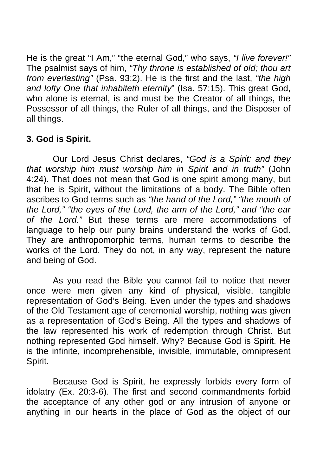He is the great "I Am," "the eternal God," who says, *"I live forever!"* The psalmist says of him, *"Thy throne is established of old; thou art from everlasting"* (Psa. 93:2). He is the first and the last, *"the high and lofty One that inhabiteth eternity*" (Isa. 57:15). This great God, who alone is eternal, is and must be the Creator of all things, the Possessor of all things, the Ruler of all things, and the Disposer of all things.

## **3. God is Spirit.**

 Our Lord Jesus Christ declares, *"God is a Spirit: and they that worship him must worship him in Spirit and in truth"* (John 4:24). That does not mean that God is one spirit among many, but that he is Spirit, without the limitations of a body. The Bible often ascribes to God terms such as *"the hand of the Lord," "the mouth of the Lord," "the eyes of the Lord, the arm of the Lord," and "the ear of the Lord."* But these terms are mere accommodations of language to help our puny brains understand the works of God. They are anthropomorphic terms, human terms to describe the works of the Lord. They do not, in any way, represent the nature and being of God.

 As you read the Bible you cannot fail to notice that never once were men given any kind of physical, visible, tangible representation of God's Being. Even under the types and shadows of the Old Testament age of ceremonial worship, nothing was given as a representation of God's Being. All the types and shadows of the law represented his work of redemption through Christ. But nothing represented God himself. Why? Because God is Spirit. He is the infinite, incomprehensible, invisible, immutable, omnipresent Spirit.

 Because God is Spirit, he expressly forbids every form of idolatry (Ex. 20:3-6). The first and second commandments forbid the acceptance of any other god or any intrusion of anyone or anything in our hearts in the place of God as the object of our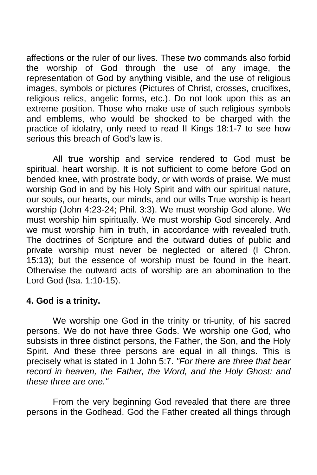affections or the ruler of our lives. These two commands also forbid the worship of God through the use of any image, the representation of God by anything visible, and the use of religious images, symbols or pictures (Pictures of Christ, crosses, crucifixes, religious relics, angelic forms, etc.). Do not look upon this as an extreme position. Those who make use of such religious symbols and emblems, who would be shocked to be charged with the practice of idolatry, only need to read II Kings 18:1-7 to see how serious this breach of God's law is.

 All true worship and service rendered to God must be spiritual, heart worship. It is not sufficient to come before God on bended knee, with prostrate body, or with words of praise. We must worship God in and by his Holy Spirit and with our spiritual nature, our souls, our hearts, our minds, and our wills True worship is heart worship (John 4:23-24; Phil. 3:3). We must worship God alone. We must worship him spiritually. We must worship God sincerely. And we must worship him in truth, in accordance with revealed truth. The doctrines of Scripture and the outward duties of public and private worship must never be neglected or altered (I Chron. 15:13); but the essence of worship must be found in the heart. Otherwise the outward acts of worship are an abomination to the Lord God (Isa. 1:10-15).

## **4. God is a trinity.**

 We worship one God in the trinity or tri-unity, of his sacred persons. We do not have three Gods. We worship one God, who subsists in three distinct persons, the Father, the Son, and the Holy Spirit. And these three persons are equal in all things. This is precisely what is stated in 1 John 5:7. *"For there are three that bear record in heaven, the Father, the Word, and the Holy Ghost: and these three are one."*

 From the very beginning God revealed that there are three persons in the Godhead. God the Father created all things through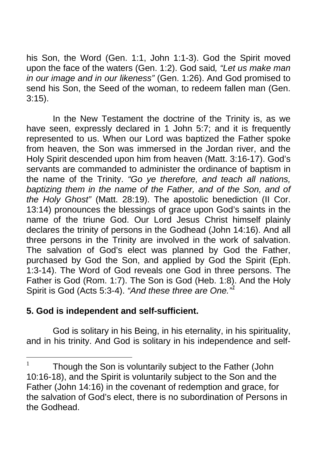his Son, the Word (Gen. 1:1, John 1:1-3). God the Spirit moved upon the face of the waters (Gen. 1:2). God said*, "Let us make man in our image and in our likeness"* (Gen. 1:26). And God promised to send his Son, the Seed of the woman, to redeem fallen man (Gen. 3:15).

 In the New Testament the doctrine of the Trinity is, as we have seen, expressly declared in 1 John 5:7; and it is frequently represented to us. When our Lord was baptized the Father spoke from heaven, the Son was immersed in the Jordan river, and the Holy Spirit descended upon him from heaven (Matt. 3:16-17). God's servants are commanded to administer the ordinance of baptism in the name of the Trinity. *"Go ye therefore, and teach all nations, baptizing them in the name of the Father, and of the Son, and of the Holy Ghost"* (Matt. 28:19). The apostolic benediction (II Cor. 13:14) pronounces the blessings of grace upon God's saints in the name of the triune God. Our Lord Jesus Christ himself plainly declares the trinity of persons in the Godhead (John 14:16). And all three persons in the Trinity are involved in the work of salvation. The salvation of God's elect was planned by God the Father, purchased by God the Son, and applied by God the Spirit (Eph. 1:3-14). The Word of God reveals one God in three persons. The Father is God (Rom. 1:7). The Son is God (Heb. 1:8). And the Holy Spirit is God (Acts 5:3-4). *"And these three are One."<sup>1</sup>*

## **5. God is independent and self-sufficient.**

 God is solitary in his Being, in his eternality, in his spirituality, and in his trinity. And God is solitary in his independence and self-

 $\mathbf{1}$ Though the Son is voluntarily subject to the Father (John 10:16-18), and the Spirit is voluntarily subject to the Son and the Father (John 14:16) in the covenant of redemption and grace, for the salvation of God's elect, there is no subordination of Persons in the Godhead.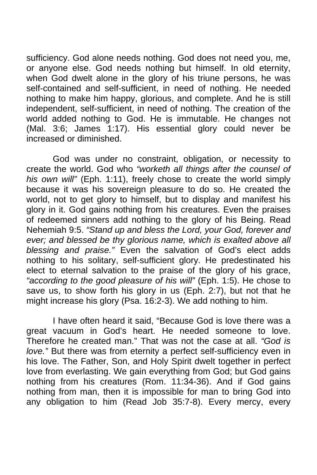sufficiency. God alone needs nothing. God does not need you, me, or anyone else. God needs nothing but himself. In old eternity, when God dwelt alone in the glory of his triune persons, he was self-contained and self-sufficient, in need of nothing. He needed nothing to make him happy, glorious, and complete. And he is still independent, self-sufficient, in need of nothing. The creation of the world added nothing to God. He is immutable. He changes not (Mal. 3:6; James 1:17). His essential glory could never be increased or diminished.

 God was under no constraint, obligation, or necessity to create the world. God who *"worketh all things after the counsel of his own will"* (Eph. 1:11), freely chose to create the world simply because it was his sovereign pleasure to do so. He created the world, not to get glory to himself, but to display and manifest his glory in it. God gains nothing from his creatures. Even the praises of redeemed sinners add nothing to the glory of his Being. Read Nehemiah 9:5. *"Stand up and bless the Lord, your God, forever and*  ever; and blessed be thy glorious name, which is exalted above all *blessing and praise."* Even the salvation of God's elect adds nothing to his solitary, self-sufficient glory. He predestinated his elect to eternal salvation to the praise of the glory of his grace, *"according to the good pleasure of his will"* (Eph. 1:5). He chose to save us, to show forth his glory in us (Eph. 2:7), but not that he might increase his glory (Psa. 16:2-3). We add nothing to him.

 I have often heard it said, "Because God is love there was a great vacuum in God's heart. He needed someone to love. Therefore he created man." That was not the case at all. *"God is love."* But there was from eternity a perfect self-sufficiency even in his love. The Father, Son, and Holy Spirit dwelt together in perfect love from everlasting. We gain everything from God; but God gains nothing from his creatures (Rom. 11:34-36). And if God gains nothing from man, then it is impossible for man to bring God into any obligation to him (Read Job 35:7-8). Every mercy, every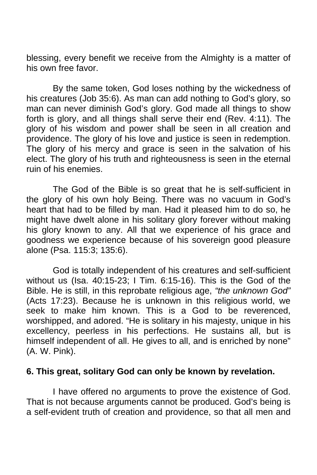blessing, every benefit we receive from the Almighty is a matter of his own free favor.

 By the same token, God loses nothing by the wickedness of his creatures (Job 35:6). As man can add nothing to God's glory, so man can never diminish God's glory. God made all things to show forth is glory, and all things shall serve their end (Rev. 4:11). The glory of his wisdom and power shall be seen in all creation and providence. The glory of his love and justice is seen in redemption. The glory of his mercy and grace is seen in the salvation of his elect. The glory of his truth and righteousness is seen in the eternal ruin of his enemies.

 The God of the Bible is so great that he is self-sufficient in the glory of his own holy Being. There was no vacuum in God's heart that had to be filled by man. Had it pleased him to do so, he might have dwelt alone in his solitary glory forever without making his glory known to any. All that we experience of his grace and goodness we experience because of his sovereign good pleasure alone (Psa. 115:3; 135:6).

 God is totally independent of his creatures and self-sufficient without us (Isa. 40:15-23; I Tim. 6:15-16). This is the God of the Bible. He is still, in this reprobate religious age, *"the unknown God"*  (Acts 17:23). Because he is unknown in this religious world, we seek to make him known. This is a God to be reverenced, worshipped, and adored. "He is solitary in his majesty, unique in his excellency, peerless in his perfections. He sustains all, but is himself independent of all. He gives to all, and is enriched by none" (A. W. Pink).

#### **6. This great, solitary God can only be known by revelation.**

 I have offered no arguments to prove the existence of God. That is not because arguments cannot be produced. God's being is a self-evident truth of creation and providence, so that all men and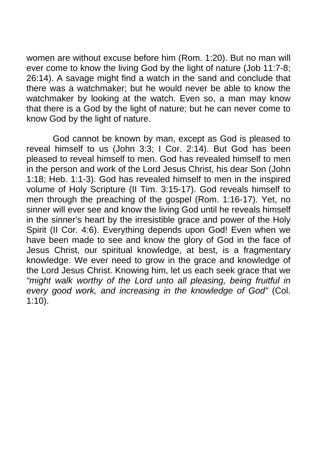women are without excuse before him (Rom. 1:20). But no man will ever come to know the living God by the light of nature (Job 11:7-8; 26:14). A savage might find a watch in the sand and conclude that there was a watchmaker; but he would never be able to know the watchmaker by looking at the watch. Even so, a man may know that there is a God by the light of nature; but he can never come to know God by the light of nature.

 God cannot be known by man, except as God is pleased to reveal himself to us (John 3:3; I Cor. 2:14). But God has been pleased to reveal himself to men. God has revealed himself to men in the person and work of the Lord Jesus Christ, his dear Son (John 1:18; Heb. 1:1-3). God has revealed himself to men in the inspired volume of Holy Scripture (II Tim. 3:15-17). God reveals himself to men through the preaching of the gospel (Rom. 1:16-17). Yet, no sinner will ever see and know the living God until he reveals himself in the sinner's heart by the irresistible grace and power of the Holy Spirit (II Cor. 4:6). Everything depends upon God! Even when we have been made to see and know the glory of God in the face of Jesus Christ, our spiritual knowledge, at best, is a fragmentary knowledge. We ever need to grow in the grace and knowledge of the Lord Jesus Christ. Knowing him, let us each seek grace that we *"might walk worthy of the Lord unto all pleasing, being fruitful in every good work, and increasing in the knowledge of God"* (Col. 1:10).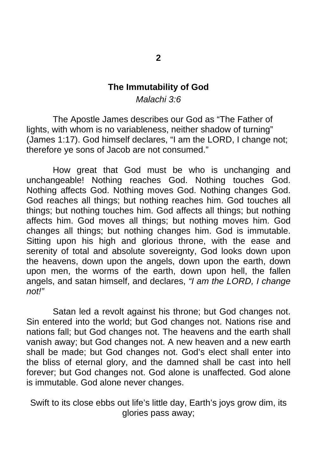#### **The Immutability of God**

*Malachi 3:6* 

 The Apostle James describes our God as "The Father of lights, with whom is no variableness, neither shadow of turning" (James 1:17). God himself declares, "I am the LORD, I change not; therefore ye sons of Jacob are not consumed."

How great that God must be who is unchanging and unchangeable! Nothing reaches God. Nothing touches God. Nothing affects God. Nothing moves God. Nothing changes God. God reaches all things; but nothing reaches him. God touches all things; but nothing touches him. God affects all things; but nothing affects him. God moves all things; but nothing moves him. God changes all things; but nothing changes him. God is immutable. Sitting upon his high and glorious throne, with the ease and serenity of total and absolute sovereignty, God looks down upon the heavens, down upon the angels, down upon the earth, down upon men, the worms of the earth, down upon hell, the fallen angels, and satan himself, and declares, *"I am the LORD, I change not!"* 

Satan led a revolt against his throne; but God changes not. Sin entered into the world; but God changes not. Nations rise and nations fall; but God changes not. The heavens and the earth shall vanish away; but God changes not. A new heaven and a new earth shall be made; but God changes not. God's elect shall enter into the bliss of eternal glory, and the damned shall be cast into hell forever; but God changes not. God alone is unaffected. God alone is immutable. God alone never changes.

Swift to its close ebbs out life's little day, Earth's joys grow dim, its glories pass away;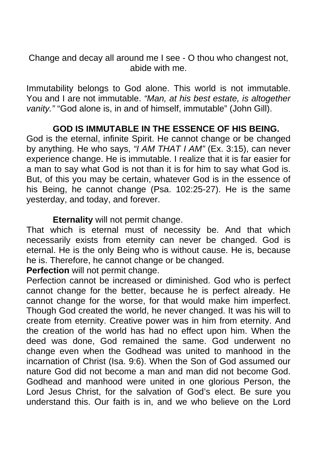Change and decay all around me I see - O thou who changest not, abide with me.

Immutability belongs to God alone. This world is not immutable. You and I are not immutable. *"Man, at his best estate, is altogether vanity."* "God alone is, in and of himself, immutable" (John Gill).

## **GOD IS IMMUTABLE IN THE ESSENCE OF HIS BEING.**

God is the eternal, infinite Spirit. He cannot change or be changed by anything. He who says, *"I AM THAT I AM"* (Ex. 3:15), can never experience change. He is immutable. I realize that it is far easier for a man to say what God is not than it is for him to say what God is. But, of this you may be certain, whatever God is in the essence of his Being, he cannot change (Psa. 102:25-27). He is the same yesterday, and today, and forever.

 **Eternality** will not permit change.

That which is eternal must of necessity be. And that which necessarily exists from eternity can never be changed. God is eternal. He is the only Being who is without cause. He is, because he is. Therefore, he cannot change or be changed.

**Perfection** will not permit change.

Perfection cannot be increased or diminished. God who is perfect cannot change for the better, because he is perfect already. He cannot change for the worse, for that would make him imperfect. Though God created the world, he never changed. It was his will to create from eternity. Creative power was in him from eternity. And the creation of the world has had no effect upon him. When the deed was done, God remained the same. God underwent no change even when the Godhead was united to manhood in the incarnation of Christ (Isa. 9:6). When the Son of God assumed our nature God did not become a man and man did not become God. Godhead and manhood were united in one glorious Person, the Lord Jesus Christ, for the salvation of God's elect. Be sure you understand this. Our faith is in, and we who believe on the Lord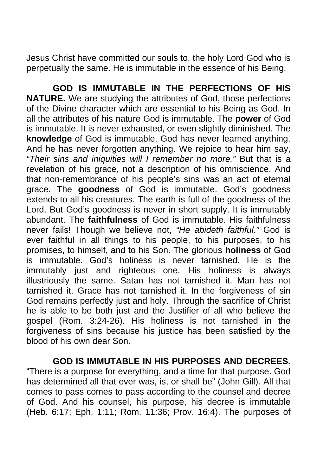Jesus Christ have committed our souls to, the holy Lord God who is perpetually the same. He is immutable in the essence of his Being.

 **GOD IS IMMUTABLE IN THE PERFECTIONS OF HIS NATURE.** We are studying the attributes of God, those perfections of the Divine character which are essential to his Being as God. In all the attributes of his nature God is immutable. The **power** of God is immutable. It is never exhausted, or even slightly diminished. The **knowledge** of God is immutable. God has never learned anything. And he has never forgotten anything. We rejoice to hear him say, *"Their sins and iniquities will I remember no more."* But that is a revelation of his grace, not a description of his omniscience. And that non-remembrance of his people's sins was an act of eternal grace. The **goodness** of God is immutable. God's goodness extends to all his creatures. The earth is full of the goodness of the Lord. But God's goodness is never in short supply. It is immutably abundant. The **faithfulness** of God is immutable. His faithfulness never fails! Though we believe not, *"He abideth faithful."* God is ever faithful in all things to his people, to his purposes, to his promises, to himself, and to his Son. The glorious **holiness** of God is immutable. God's holiness is never tarnished. He is the immutably just and righteous one. His holiness is always illustriously the same. Satan has not tarnished it. Man has not tarnished it. Grace has not tarnished it. In the forgiveness of sin God remains perfectly just and holy. Through the sacrifice of Christ he is able to be both just and the Justifier of all who believe the gospel (Rom. 3:24-26). His holiness is not tarnished in the forgiveness of sins because his justice has been satisfied by the blood of his own dear Son.

#### **GOD IS IMMUTABLE IN HIS PURPOSES AND DECREES.**

"There is a purpose for everything, and a time for that purpose. God has determined all that ever was, is, or shall be" (John Gill). All that comes to pass comes to pass according to the counsel and decree of God. And his counsel, his purpose, his decree is immutable (Heb. 6:17; Eph. 1:11; Rom. 11:36; Prov. 16:4). The purposes of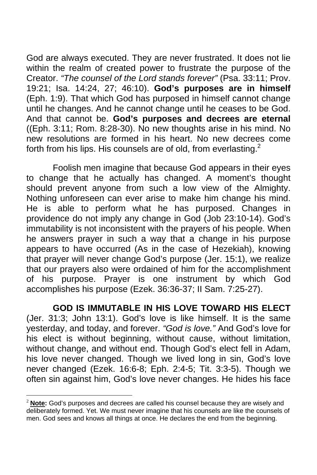God are always executed. They are never frustrated. It does not lie within the realm of created power to frustrate the purpose of the Creator. *"The counsel of the Lord stands forever"* (Psa. 33:11; Prov. 19:21; Isa. 14:24, 27; 46:10). **God's purposes are in himself**  (Eph. 1:9). That which God has purposed in himself cannot change until he changes. And he cannot change until he ceases to be God. And that cannot be. **God's purposes and decrees are eternal**  ((Eph. 3:11; Rom. 8:28-30). No new thoughts arise in his mind. No new resolutions are formed in his heart. No new decrees come forth from his lips. His counsels are of old, from everlasting. $2^2$ 

 Foolish men imagine that because God appears in their eyes to change that he actually has changed. A moment's thought should prevent anyone from such a low view of the Almighty. Nothing unforeseen can ever arise to make him change his mind. He is able to perform what he has purposed. Changes in providence do not imply any change in God (Job 23:10-14). God's immutability is not inconsistent with the prayers of his people. When he answers prayer in such a way that a change in his purpose appears to have occurred (As in the case of Hezekiah), knowing that prayer will never change God's purpose (Jer. 15:1), we realize that our prayers also were ordained of him for the accomplishment of his purpose. Prayer is one instrument by which God accomplishes his purpose (Ezek. 36:36-37; II Sam. 7:25-27).

 **GOD IS IMMUTABLE IN HIS LOVE TOWARD HIS ELECT**  (Jer. 31:3; John 13:1). God's love is like himself. It is the same yesterday, and today, and forever. *"God is love."* And God's love for his elect is without beginning, without cause, without limitation, without change, and without end. Though God's elect fell in Adam, his love never changed. Though we lived long in sin, God's love never changed (Ezek. 16:6-8; Eph. 2:4-5; Tit. 3:3-5). Though we often sin against him, God's love never changes. He hides his face

 $\overline{a}$ 

Note: God's purposes and decrees are called his counsel because they are wisely and deliberately formed. Yet. We must never imagine that his counsels are like the counsels of men. God sees and knows all things at once. He declares the end from the beginning.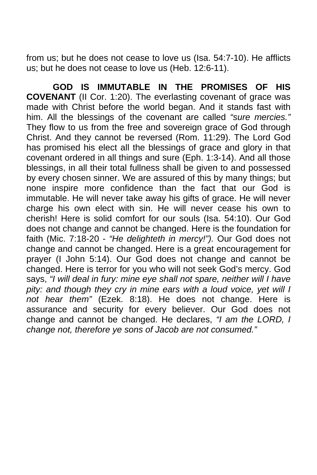from us; but he does not cease to love us (Isa. 54:7-10). He afflicts us; but he does not cease to love us (Heb. 12:6-11).

 **GOD IS IMMUTABLE IN THE PROMISES OF HIS COVENANT** (II Cor. 1:20). The everlasting covenant of grace was made with Christ before the world began. And it stands fast with him. All the blessings of the covenant are called *"sure mercies."* They flow to us from the free and sovereign grace of God through Christ. And they cannot be reversed (Rom. 11:29). The Lord God has promised his elect all the blessings of grace and glory in that covenant ordered in all things and sure (Eph. 1:3-14). And all those blessings, in all their total fullness shall be given to and possessed by every chosen sinner. We are assured of this by many things; but none inspire more confidence than the fact that our God is immutable. He will never take away his gifts of grace. He will never charge his own elect with sin. He will never cease his own to cherish! Here is solid comfort for our souls (Isa. 54:10). Our God does not change and cannot be changed. Here is the foundation for faith (Mic. 7:18-20 - *"He delighteth in mercy!").* Our God does not change and cannot be changed. Here is a great encouragement for prayer (I John 5:14). Our God does not change and cannot be changed. Here is terror for you who will not seek God's mercy. God says, *"I will deal in fury: mine eye shall not spare, neither will I have pity: and though they cry in mine ears with a loud voice, yet will I not hear them"* (Ezek. 8:18). He does not change. Here is assurance and security for every believer. Our God does not change and cannot be changed. He declares, *"I am the LORD, I change not, therefore ye sons of Jacob are not consumed."*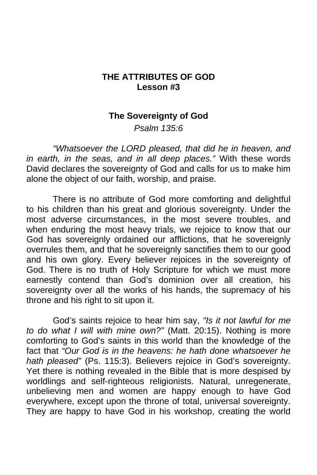#### **THE ATTRIBUTES OF GOD Lesson #3**

#### **The Sovereignty of God**

*Psalm 135:6* 

*"Whatsoever the LORD pleased, that did he in heaven, and in earth, in the seas, and in all deep places."* With these words David declares the sovereignty of God and calls for us to make him alone the object of our faith, worship, and praise.

 There is no attribute of God more comforting and delightful to his children than his great and glorious sovereignty. Under the most adverse circumstances, in the most severe troubles, and when enduring the most heavy trials, we rejoice to know that our God has sovereignly ordained our afflictions, that he sovereignly overrules them, and that he sovereignly sanctifies them to our good and his own glory. Every believer rejoices in the sovereignty of God. There is no truth of Holy Scripture for which we must more earnestly contend than God's dominion over all creation, his sovereignty over all the works of his hands, the supremacy of his throne and his right to sit upon it.

 God's saints rejoice to hear him say, *"Is it not lawful for me to do what I will with mine own?"* (Matt. 20:15). Nothing is more comforting to God's saints in this world than the knowledge of the fact that *"Our God is in the heavens: he hath done whatsoever he hath pleased"* (Ps. 115:3). Believers rejoice in God's sovereignty. Yet there is nothing revealed in the Bible that is more despised by worldlings and self-righteous religionists. Natural, unregenerate, unbelieving men and women are happy enough to have God everywhere, except upon the throne of total, universal sovereignty. They are happy to have God in his workshop, creating the world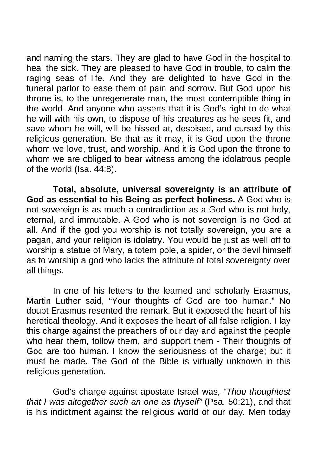and naming the stars. They are glad to have God in the hospital to heal the sick. They are pleased to have God in trouble, to calm the raging seas of life. And they are delighted to have God in the funeral parlor to ease them of pain and sorrow. But God upon his throne is, to the unregenerate man, the most contemptible thing in the world. And anyone who asserts that it is God's right to do what he will with his own, to dispose of his creatures as he sees fit, and save whom he will, will be hissed at, despised, and cursed by this religious generation. Be that as it may, it is God upon the throne whom we love, trust, and worship. And it is God upon the throne to whom we are obliged to bear witness among the idolatrous people of the world (Isa. 44:8).

**Total, absolute, universal sovereignty is an attribute of God as essential to his Being as perfect holiness.** A God who is not sovereign is as much a contradiction as a God who is not holy, eternal, and immutable. A God who is not sovereign is no God at all. And if the god you worship is not totally sovereign, you are a pagan, and your religion is idolatry. You would be just as well off to worship a statue of Mary, a totem pole, a spider, or the devil himself as to worship a god who lacks the attribute of total sovereignty over all things.

 In one of his letters to the learned and scholarly Erasmus, Martin Luther said, "Your thoughts of God are too human." No doubt Erasmus resented the remark. But it exposed the heart of his heretical theology. And it exposes the heart of all false religion. I lay this charge against the preachers of our day and against the people who hear them, follow them, and support them - Their thoughts of God are too human. I know the seriousness of the charge; but it must be made. The God of the Bible is virtually unknown in this religious generation.

 God's charge against apostate Israel was, *"Thou thoughtest that I was altogether such an one as thyself"* (Psa. 50:21), and that is his indictment against the religious world of our day. Men today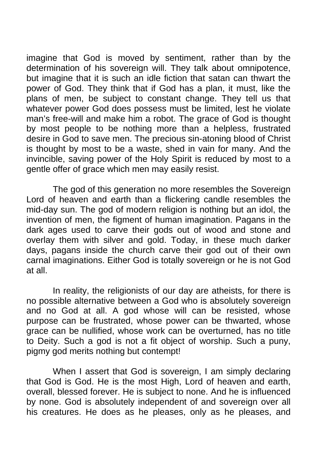imagine that God is moved by sentiment, rather than by the determination of his sovereign will. They talk about omnipotence, but imagine that it is such an idle fiction that satan can thwart the power of God. They think that if God has a plan, it must, like the plans of men, be subject to constant change. They tell us that whatever power God does possess must be limited, lest he violate man's free-will and make him a robot. The grace of God is thought by most people to be nothing more than a helpless, frustrated desire in God to save men. The precious sin-atoning blood of Christ is thought by most to be a waste, shed in vain for many. And the invincible, saving power of the Holy Spirit is reduced by most to a gentle offer of grace which men may easily resist.

 The god of this generation no more resembles the Sovereign Lord of heaven and earth than a flickering candle resembles the mid-day sun. The god of modern religion is nothing but an idol, the invention of men, the figment of human imagination. Pagans in the dark ages used to carve their gods out of wood and stone and overlay them with silver and gold. Today, in these much darker days, pagans inside the church carve their god out of their own carnal imaginations. Either God is totally sovereign or he is not God at all.

 In reality, the religionists of our day are atheists, for there is no possible alternative between a God who is absolutely sovereign and no God at all. A god whose will can be resisted, whose purpose can be frustrated, whose power can be thwarted, whose grace can be nullified, whose work can be overturned, has no title to Deity. Such a god is not a fit object of worship. Such a puny, pigmy god merits nothing but contempt!

 When I assert that God is sovereign, I am simply declaring that God is God. He is the most High, Lord of heaven and earth, overall, blessed forever. He is subject to none. And he is influenced by none. God is absolutely independent of and sovereign over all his creatures. He does as he pleases, only as he pleases, and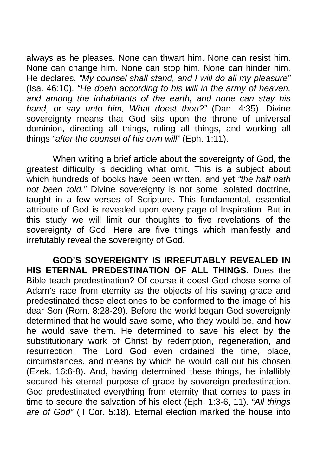always as he pleases. None can thwart him. None can resist him. None can change him. None can stop him. None can hinder him. He declares, *"My counsel shall stand, and I will do all my pleasure"*  (Isa. 46:10). *"He doeth according to his will in the army of heaven, and among the inhabitants of the earth, and none can stay his hand, or say unto him, What doest thou?"* (Dan. 4:35). Divine sovereignty means that God sits upon the throne of universal dominion, directing all things, ruling all things, and working all things *"after the counsel of his own will"* (Eph. 1:11).

 When writing a brief article about the sovereignty of God, the greatest difficulty is deciding what omit. This is a subject about which hundreds of books have been written, and yet *"the half hath not been told."* Divine sovereignty is not some isolated doctrine, taught in a few verses of Scripture. This fundamental, essential attribute of God is revealed upon every page of Inspiration. But in this study we will limit our thoughts to five revelations of the sovereignty of God. Here are five things which manifestly and irrefutably reveal the sovereignty of God.

 **GOD'S SOVEREIGNTY IS IRREFUTABLY REVEALED IN HIS ETERNAL PREDESTINATION OF ALL THINGS.** Does the Bible teach predestination? Of course it does! God chose some of Adam's race from eternity as the objects of his saving grace and predestinated those elect ones to be conformed to the image of his dear Son (Rom. 8:28-29). Before the world began God sovereignly determined that he would save some, who they would be, and how he would save them. He determined to save his elect by the substitutionary work of Christ by redemption, regeneration, and resurrection. The Lord God even ordained the time, place, circumstances, and means by which he would call out his chosen (Ezek. 16:6-8). And, having determined these things, he infallibly secured his eternal purpose of grace by sovereign predestination. God predestinated everything from eternity that comes to pass in time to secure the salvation of his elect (Eph. 1:3-6, 11). *"All things are of God"* (II Cor. 5:18). Eternal election marked the house into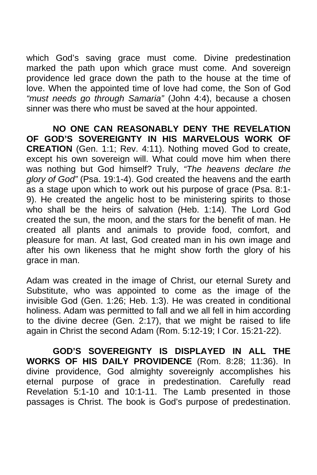which God's saving grace must come. Divine predestination marked the path upon which grace must come. And sovereign providence led grace down the path to the house at the time of love. When the appointed time of love had come, the Son of God *"must needs go through Samaria"* (John 4:4), because a chosen sinner was there who must be saved at the hour appointed.

 **NO ONE CAN REASONABLY DENY THE REVELATION OF GOD'S SOVEREIGNTY IN HIS MARVELOUS WORK OF CREATION** (Gen. 1:1; Rev. 4:11). Nothing moved God to create, except his own sovereign will. What could move him when there was nothing but God himself? Truly, *"The heavens declare the glory of God"* (Psa. 19:1-4). God created the heavens and the earth as a stage upon which to work out his purpose of grace (Psa. 8:1- 9). He created the angelic host to be ministering spirits to those who shall be the heirs of salvation (Heb. 1:14). The Lord God created the sun, the moon, and the stars for the benefit of man. He created all plants and animals to provide food, comfort, and pleasure for man. At last, God created man in his own image and after his own likeness that he might show forth the glory of his grace in man.

Adam was created in the image of Christ, our eternal Surety and Substitute, who was appointed to come as the image of the invisible God (Gen. 1:26; Heb. 1:3). He was created in conditional holiness. Adam was permitted to fall and we all fell in him according to the divine decree (Gen. 2:17), that we might be raised to life again in Christ the second Adam (Rom. 5:12-19; I Cor. 15:21-22).

 **GOD'S SOVEREIGNTY IS DISPLAYED IN ALL THE WORKS OF HIS DAILY PROVIDENCE** (Rom. 8:28; 11:36). In divine providence, God almighty sovereignly accomplishes his eternal purpose of grace in predestination. Carefully read Revelation 5:1-10 and 10:1-11. The Lamb presented in those passages is Christ. The book is God's purpose of predestination.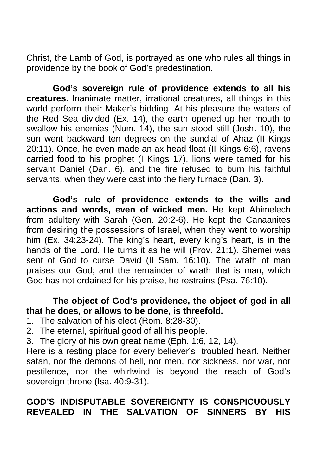Christ, the Lamb of God, is portrayed as one who rules all things in providence by the book of God's predestination.

**God's sovereign rule of providence extends to all his creatures.** Inanimate matter, irrational creatures, all things in this world perform their Maker's bidding. At his pleasure the waters of the Red Sea divided (Ex. 14), the earth opened up her mouth to swallow his enemies (Num. 14), the sun stood still (Josh. 10), the sun went backward ten degrees on the sundial of Ahaz (II Kings 20:11). Once, he even made an ax head float (II Kings 6:6), ravens carried food to his prophet (I Kings 17), lions were tamed for his servant Daniel (Dan. 6), and the fire refused to burn his faithful servants, when they were cast into the fiery furnace (Dan. 3).

**God's rule of providence extends to the wills and actions and words, even of wicked men.** He kept Abimelech from adultery with Sarah (Gen. 20:2-6). He kept the Canaanites from desiring the possessions of Israel, when they went to worship him (Ex. 34:23-24). The king's heart, every king's heart, is in the hands of the Lord. He turns it as he will (Prov. 21:1). Shemei was sent of God to curse David (II Sam. 16:10). The wrath of man praises our God; and the remainder of wrath that is man, which God has not ordained for his praise, he restrains (Psa. 76:10).

## **The object of God's providence, the object of god in all that he does, or allows to be done, is threefold.**

- 1. The salvation of his elect (Rom. 8:28-30).
- 2. The eternal, spiritual good of all his people.
- 3. The glory of his own great name (Eph. 1:6, 12, 14).

Here is a resting place for every believer's troubled heart. Neither satan, nor the demons of hell, nor men, nor sickness, nor war, nor pestilence, nor the whirlwind is beyond the reach of God's sovereign throne (Isa. 40:9-31).

## **GOD'S INDISPUTABLE SOVEREIGNTY IS CONSPICUOUSLY REVEALED IN THE SALVATION OF SINNERS BY HIS**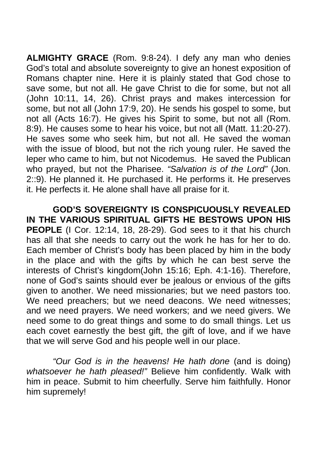**ALMIGHTY GRACE** (Rom. 9:8-24). I defy any man who denies God's total and absolute sovereignty to give an honest exposition of Romans chapter nine. Here it is plainly stated that God chose to save some, but not all. He gave Christ to die for some, but not all (John 10:11, 14, 26). Christ prays and makes intercession for some, but not all (John 17:9, 20). He sends his gospel to some, but not all (Acts 16:7). He gives his Spirit to some, but not all (Rom. 8:9). He causes some to hear his voice, but not all (Matt. 11:20-27). He saves some who seek him, but not all. He saved the woman with the issue of blood, but not the rich young ruler. He saved the leper who came to him, but not Nicodemus. He saved the Publican who prayed, but not the Pharisee. *"Salvation is of the Lord"* (Jon. 2::9). He planned it. He purchased it. He performs it. He preserves it. He perfects it. He alone shall have all praise for it.

 **GOD'S SOVEREIGNTY IS CONSPICUOUSLY REVEALED IN THE VARIOUS SPIRITUAL GIFTS HE BESTOWS UPON HIS PEOPLE** (I Cor. 12:14, 18, 28-29). God sees to it that his church has all that she needs to carry out the work he has for her to do. Each member of Christ's body has been placed by him in the body in the place and with the gifts by which he can best serve the interests of Christ's kingdom(John 15:16; Eph. 4:1-16). Therefore, none of God's saints should ever be jealous or envious of the gifts given to another. We need missionaries; but we need pastors too. We need preachers; but we need deacons. We need witnesses; and we need prayers. We need workers; and we need givers. We need some to do great things and some to do small things. Let us each covet earnestly the best gift, the gift of love, and if we have that we will serve God and his people well in our place.

*"Our God is in the heavens! He hath done* (and is doing) *whatsoever he hath pleased!"* Believe him confidently. Walk with him in peace. Submit to him cheerfully. Serve him faithfully. Honor him supremely!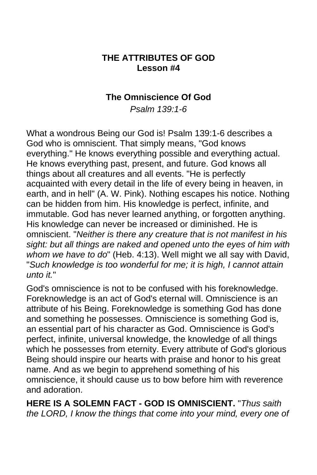## **THE ATTRIBUTES OF GOD Lesson #4**

## **The Omniscience Of God**

*Psalm 139:1-6* 

What a wondrous Being our God is! Psalm 139:1-6 describes a God who is omniscient. That simply means, "God knows everything." He knows everything possible and everything actual. He knows everything past, present, and future. God knows all things about all creatures and all events. "He is perfectly acquainted with every detail in the life of every being in heaven, in earth, and in hell" (A. W. Pink). Nothing escapes his notice. Nothing can be hidden from him. His knowledge is perfect, infinite, and immutable. God has never learned anything, or forgotten anything. His knowledge can never be increased or diminished. He is omniscient. "*Neither is there any creature that is not manifest in his sight: but all things are naked and opened unto the eyes of him with whom we have to do*" (Heb. 4:13). Well might we all say with David, "*Such knowledge is too wonderful for me; it is high, I cannot attain unto it.*"

God's omniscience is not to be confused with his foreknowledge. Foreknowledge is an act of God's eternal will. Omniscience is an attribute of his Being. Foreknowledge is something God has done and something he possesses. Omniscience is something God is, an essential part of his character as God. Omniscience is God's perfect, infinite, universal knowledge, the knowledge of all things which he possesses from eternity. Every attribute of God's glorious Being should inspire our hearts with praise and honor to his great name. And as we begin to apprehend something of his omniscience, it should cause us to bow before him with reverence and adoration.

**HERE IS A SOLEMN FACT - GOD IS OMNISCIENT.** "*Thus saith the LORD, I know the things that come into your mind, every one of*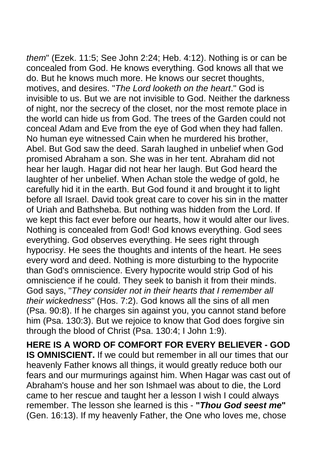*them*" (Ezek. 11:5; See John 2:24; Heb. 4:12). Nothing is or can be concealed from God. He knows everything. God knows all that we do. But he knows much more. He knows our secret thoughts, motives, and desires. "*The Lord looketh on the heart*." God is invisible to us. But we are not invisible to God. Neither the darkness of night, nor the secrecy of the closet, nor the most remote place in the world can hide us from God. The trees of the Garden could not conceal Adam and Eve from the eye of God when they had fallen. No human eye witnessed Cain when he murdered his brother, Abel. But God saw the deed. Sarah laughed in unbelief when God promised Abraham a son. She was in her tent. Abraham did not hear her laugh. Hagar did not hear her laugh. But God heard the laughter of her unbelief. When Achan stole the wedge of gold, he carefully hid it in the earth. But God found it and brought it to light before all Israel. David took great care to cover his sin in the matter of Uriah and Bathsheba. But nothing was hidden from the Lord. If we kept this fact ever before our hearts, how it would alter our lives. Nothing is concealed from God! God knows everything. God sees everything. God observes everything. He sees right through hypocrisy. He sees the thoughts and intents of the heart. He sees every word and deed. Nothing is more disturbing to the hypocrite than God's omniscience. Every hypocrite would strip God of his omniscience if he could. They seek to banish it from their minds. God says, "*They consider not in their hearts that I remember all their wickedness*" (Hos. 7:2). God knows all the sins of all men (Psa. 90:8). If he charges sin against you, you cannot stand before him (Psa. 130:3). But we rejoice to know that God does forgive sin through the blood of Christ (Psa. 130:4; I John 1:9).

**HERE IS A WORD OF COMFORT FOR EVERY BELIEVER - GOD IS OMNISCIENT.** If we could but remember in all our times that our heavenly Father knows all things, it would greatly reduce both our fears and our murmurings against him. When Hagar was cast out of Abraham's house and her son Ishmael was about to die, the Lord came to her rescue and taught her a lesson I wish I could always remember. The lesson she learned is this - **"***Thou God seest me***"**  (Gen. 16:13). If my heavenly Father, the One who loves me, chose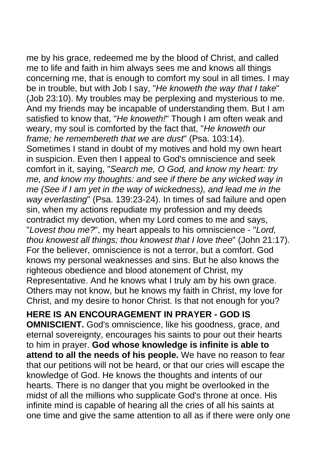me by his grace, redeemed me by the blood of Christ, and called me to life and faith in him always sees me and knows all things concerning me, that is enough to comfort my soul in all times. I may be in trouble, but with Job I say, "*He knoweth the way that I take*" (Job 23:10). My troubles may be perplexing and mysterious to me. And my friends may be incapable of understanding them. But I am satisfied to know that, "*He knoweth!*" Though I am often weak and weary, my soul is comforted by the fact that, "*He knoweth our frame; he remembereth that we are dust*" (Psa. 103:14). Sometimes I stand in doubt of my motives and hold my own heart in suspicion. Even then I appeal to God's omniscience and seek comfort in it, saying, "*Search me, O God, and know my heart: try me, and know my thoughts: and see if there be any wicked way in me (See if I am yet in the way of wickedness), and lead me in the way everlasting*" (Psa. 139:23-24). In times of sad failure and open sin, when my actions repudiate my profession and my deeds contradict my devotion, when my Lord comes to me and says, "*Lovest thou me?*", my heart appeals to his omniscience - "*Lord, thou knowest all things; thou knowest that I love thee*" (John 21:17). For the believer, omniscience is not a terror, but a comfort. God knows my personal weaknesses and sins. But he also knows the righteous obedience and blood atonement of Christ, my Representative. And he knows what I truly am by his own grace. Others may not know, but he knows my faith in Christ, my love for Christ, and my desire to honor Christ. Is that not enough for you?

**HERE IS AN ENCOURAGEMENT IN PRAYER - GOD IS** 

**OMNISCIENT.** God's omniscience, like his goodness, grace, and eternal sovereignty, encourages his saints to pour out their hearts to him in prayer. **God whose knowledge is infinite is able to attend to all the needs of his people.** We have no reason to fear that our petitions will not be heard, or that our cries will escape the knowledge of God. He knows the thoughts and intents of our hearts. There is no danger that you might be overlooked in the midst of all the millions who supplicate God's throne at once. His infinite mind is capable of hearing all the cries of all his saints at one time and give the same attention to all as if there were only one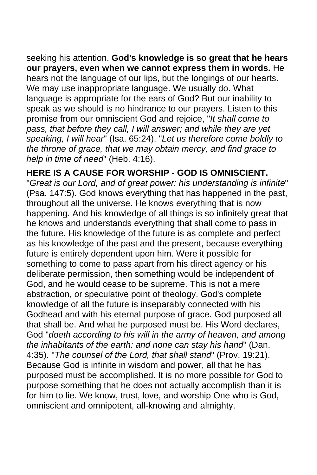seeking his attention. **God's knowledge is so great that he hears our prayers, even when we cannot express them in words.** He hears not the language of our lips, but the longings of our hearts. We may use inappropriate language. We usually do. What language is appropriate for the ears of God? But our inability to speak as we should is no hindrance to our prayers. Listen to this promise from our omniscient God and rejoice, "*It shall come to pass, that before they call, I will answer; and while they are yet speaking, I will hear*" (Isa. 65:24). "*Let us therefore come boldly to the throne of grace, that we may obtain mercy, and find grace to help in time of need*" (Heb. 4:16).

## **HERE IS A CAUSE FOR WORSHIP - GOD IS OMNISCIENT.**

"*Great is our Lord, and of great power: his understanding is infinite*" (Psa. 147:5). God knows everything that has happened in the past, throughout all the universe. He knows everything that is now happening. And his knowledge of all things is so infinitely great that he knows and understands everything that shall come to pass in the future. His knowledge of the future is as complete and perfect as his knowledge of the past and the present, because everything future is entirely dependent upon him. Were it possible for something to come to pass apart from his direct agency or his deliberate permission, then something would be independent of God, and he would cease to be supreme. This is not a mere abstraction, or speculative point of theology. God's complete knowledge of all the future is inseparably connected with his Godhead and with his eternal purpose of grace. God purposed all that shall be. And what he purposed must be. His Word declares, God "*doeth according to his will in the army of heaven, and among the inhabitants of the earth: and none can stay his hand*" (Dan. 4:35). "*The counsel of the Lord, that shall stand*" (Prov. 19:21). Because God is infinite in wisdom and power, all that he has purposed must be accomplished. It is no more possible for God to purpose something that he does not actually accomplish than it is for him to lie. We know, trust, love, and worship One who is God, omniscient and omnipotent, all-knowing and almighty.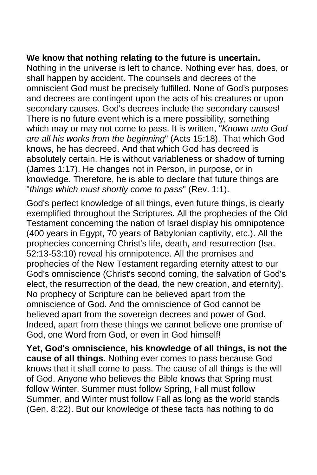#### **We know that nothing relating to the future is uncertain.**

Nothing in the universe is left to chance. Nothing ever has, does, or shall happen by accident. The counsels and decrees of the omniscient God must be precisely fulfilled. None of God's purposes and decrees are contingent upon the acts of his creatures or upon secondary causes. God's decrees include the secondary causes! There is no future event which is a mere possibility, something which may or may not come to pass. It is written, "*Known unto God are all his works from the beginning*" (Acts 15:18). That which God knows, he has decreed. And that which God has decreed is absolutely certain. He is without variableness or shadow of turning (James 1:17). He changes not in Person, in purpose, or in knowledge. Therefore, he is able to declare that future things are "*things which must shortly come to pass*" (Rev. 1:1).

God's perfect knowledge of all things, even future things, is clearly exemplified throughout the Scriptures. All the prophecies of the Old Testament concerning the nation of Israel display his omnipotence (400 years in Egypt, 70 years of Babylonian captivity, etc.). All the prophecies concerning Christ's life, death, and resurrection (Isa. 52:13-53:10) reveal his omnipotence. All the promises and prophecies of the New Testament regarding eternity attest to our God's omniscience (Christ's second coming, the salvation of God's elect, the resurrection of the dead, the new creation, and eternity). No prophecy of Scripture can be believed apart from the omniscience of God. And the omniscience of God cannot be believed apart from the sovereign decrees and power of God. Indeed, apart from these things we cannot believe one promise of God, one Word from God, or even in God himself!

**Yet, God's omniscience, his knowledge of all things, is not the cause of all things.** Nothing ever comes to pass because God knows that it shall come to pass. The cause of all things is the will of God. Anyone who believes the Bible knows that Spring must follow Winter, Summer must follow Spring, Fall must follow Summer, and Winter must follow Fall as long as the world stands (Gen. 8:22). But our knowledge of these facts has nothing to do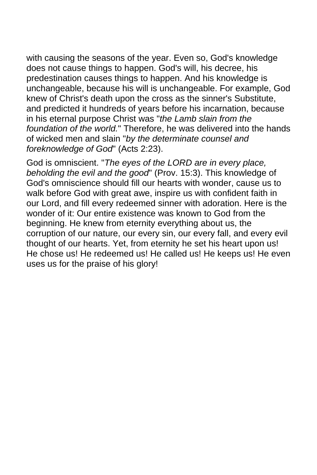with causing the seasons of the year. Even so, God's knowledge does not cause things to happen. God's will, his decree, his predestination causes things to happen. And his knowledge is unchangeable, because his will is unchangeable. For example, God knew of Christ's death upon the cross as the sinner's Substitute, and predicted it hundreds of years before his incarnation, because in his eternal purpose Christ was "*the Lamb slain from the foundation of the world.*" Therefore, he was delivered into the hands of wicked men and slain "*by the determinate counsel and foreknowledge of God*" (Acts 2:23).

God is omniscient. "*The eyes of the LORD are in every place, beholding the evil and the good*" (Prov. 15:3). This knowledge of God's omniscience should fill our hearts with wonder, cause us to walk before God with great awe, inspire us with confident faith in our Lord, and fill every redeemed sinner with adoration. Here is the wonder of it: Our entire existence was known to God from the beginning. He knew from eternity everything about us, the corruption of our nature, our every sin, our every fall, and every evil thought of our hearts. Yet, from eternity he set his heart upon us! He chose us! He redeemed us! He called us! He keeps us! He even uses us for the praise of his glory!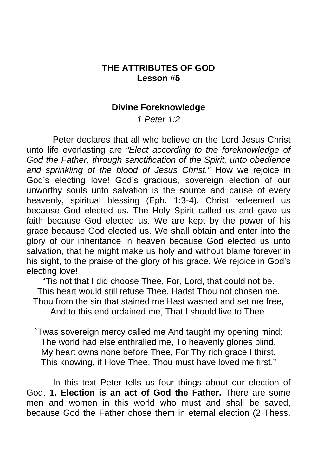## **THE ATTRIBUTES OF GOD Lesson #5**

#### **Divine Foreknowledge**

*1 Peter 1:2* 

 Peter declares that all who believe on the Lord Jesus Christ unto life everlasting are *"Elect according to the foreknowledge of God the Father, through sanctification of the Spirit, unto obedience and sprinkling of the blood of Jesus Christ."* How we rejoice in God's electing love! God's gracious, sovereign election of our unworthy souls unto salvation is the source and cause of every heavenly, spiritual blessing (Eph. 1:3-4). Christ redeemed us because God elected us. The Holy Spirit called us and gave us faith because God elected us. We are kept by the power of his grace because God elected us. We shall obtain and enter into the glory of our inheritance in heaven because God elected us unto salvation, that he might make us holy and without blame forever in his sight, to the praise of the glory of his grace. We rejoice in God's electing love!

"Tis not that I did choose Thee, For, Lord, that could not be. This heart would still refuse Thee, Hadst Thou not chosen me. Thou from the sin that stained me Hast washed and set me free, And to this end ordained me, That I should live to Thee.

`Twas sovereign mercy called me And taught my opening mind; The world had else enthralled me, To heavenly glories blind. My heart owns none before Thee, For Thy rich grace I thirst, This knowing, if I love Thee, Thou must have loved me first."

 In this text Peter tells us four things about our election of God. **1. Election is an act of God the Father.** There are some men and women in this world who must and shall be saved, because God the Father chose them in eternal election (2 Thess.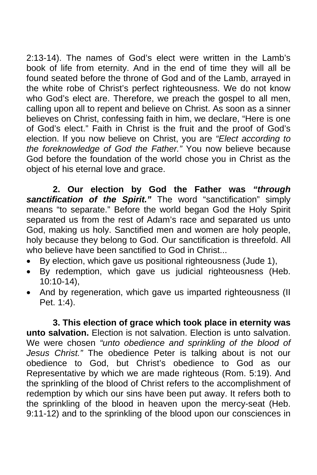2:13-14). The names of God's elect were written in the Lamb's book of life from eternity. And in the end of time they will all be found seated before the throne of God and of the Lamb, arrayed in the white robe of Christ's perfect righteousness. We do not know who God's elect are. Therefore, we preach the gospel to all men, calling upon all to repent and believe on Christ. As soon as a sinner believes on Christ, confessing faith in him, we declare, "Here is one of God's elect." Faith in Christ is the fruit and the proof of God's election. If you now believe on Christ, you are *"Elect according to the foreknowledge of God the Father."* You now believe because God before the foundation of the world chose you in Christ as the object of his eternal love and grace.

 **2. Our election by God the Father was** *"through sanctification of the Spirit."* The word "sanctification" simply means "to separate." Before the world began God the Holy Spirit separated us from the rest of Adam's race and separated us unto God, making us holy. Sanctified men and women are holy people, holy because they belong to God. Our sanctification is threefold. All who believe have been sanctified to God in Christ...

- By election, which gave us positional righteousness (Jude 1),
- By redemption, which gave us judicial righteousness (Heb. 10:10-14),
- And by regeneration, which gave us imparted righteousness (II Pet. 1:4).

**3. This election of grace which took place in eternity was unto salvation.** Election is not salvation. Election is unto salvation. We were chosen *"unto obedience and sprinkling of the blood of Jesus Christ."* The obedience Peter is talking about is not our obedience to God, but Christ's obedience to God as our Representative by which we are made righteous (Rom. 5:19). And the sprinkling of the blood of Christ refers to the accomplishment of redemption by which our sins have been put away. It refers both to the sprinkling of the blood in heaven upon the mercy-seat (Heb. 9:11-12) and to the sprinkling of the blood upon our consciences in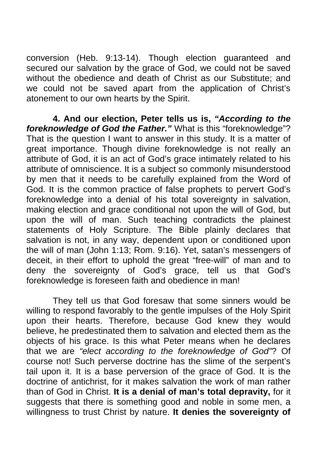conversion (Heb. 9:13-14). Though election guaranteed and secured our salvation by the grace of God, we could not be saved without the obedience and death of Christ as our Substitute; and we could not be saved apart from the application of Christ's atonement to our own hearts by the Spirit.

 **4. And our election, Peter tells us is,** *"According to the foreknowledge of God the Father."* What is this "foreknowledge"? That is the question I want to answer in this study. It is a matter of great importance. Though divine foreknowledge is not really an attribute of God, it is an act of God's grace intimately related to his attribute of omniscience. It is a subject so commonly misunderstood by men that it needs to be carefully explained from the Word of God. It is the common practice of false prophets to pervert God's foreknowledge into a denial of his total sovereignty in salvation, making election and grace conditional not upon the will of God, but upon the will of man. Such teaching contradicts the plainest statements of Holy Scripture. The Bible plainly declares that salvation is not, in any way, dependent upon or conditioned upon the will of man (John 1:13; Rom. 9:16). Yet, satan's messengers of deceit, in their effort to uphold the great "free-will" of man and to deny the sovereignty of God's grace, tell us that God's foreknowledge is foreseen faith and obedience in man!

 They tell us that God foresaw that some sinners would be willing to respond favorably to the gentle impulses of the Holy Spirit upon their hearts. Therefore, because God knew they would believe, he predestinated them to salvation and elected them as the objects of his grace. Is this what Peter means when he declares that we are *"elect according to the foreknowledge of God"*? Of course not! Such perverse doctrine has the slime of the serpent's tail upon it. It is a base perversion of the grace of God. It is the doctrine of antichrist, for it makes salvation the work of man rather than of God in Christ. **It is a denial of man's total depravity,** for it suggests that there is something good and noble in some men, a willingness to trust Christ by nature. **It denies the sovereignty of**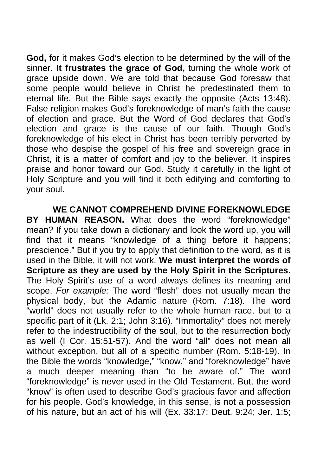**God,** for it makes God's election to be determined by the will of the sinner. **It frustrates the grace of God,** turning the whole work of grace upside down. We are told that because God foresaw that some people would believe in Christ he predestinated them to eternal life. But the Bible says exactly the opposite (Acts 13:48). False religion makes God's foreknowledge of man's faith the cause of election and grace. But the Word of God declares that God's election and grace is the cause of our faith. Though God's foreknowledge of his elect in Christ has been terribly perverted by those who despise the gospel of his free and sovereign grace in Christ, it is a matter of comfort and joy to the believer. It inspires praise and honor toward our God. Study it carefully in the light of Holy Scripture and you will find it both edifying and comforting to your soul.

 **WE CANNOT COMPREHEND DIVINE FOREKNOWLEDGE BY HUMAN REASON.** What does the word "foreknowledge" mean? If you take down a dictionary and look the word up, you will find that it means "knowledge of a thing before it happens; prescience." But if you try to apply that definition to the word, as it is used in the Bible, it will not work. **We must interpret the words of Scripture as they are used by the Holy Spirit in the Scriptures**. The Holy Spirit's use of a word always defines its meaning and scope. *For example:* The word "flesh" does not usually mean the physical body, but the Adamic nature (Rom. 7:18). The word "world" does not usually refer to the whole human race, but to a specific part of it (Lk. 2:1; John 3:16). "Immortality" does not merely refer to the indestructibility of the soul, but to the resurrection body as well (I Cor. 15:51-57). And the word "all" does not mean all without exception, but all of a specific number (Rom. 5:18-19). In the Bible the words "knowledge," "know," and "foreknowledge" have a much deeper meaning than "to be aware of." The word "foreknowledge" is never used in the Old Testament. But, the word "know" is often used to describe God's gracious favor and affection for his people. God's knowledge, in this sense, is not a possession of his nature, but an act of his will (Ex. 33:17; Deut. 9:24; Jer. 1:5;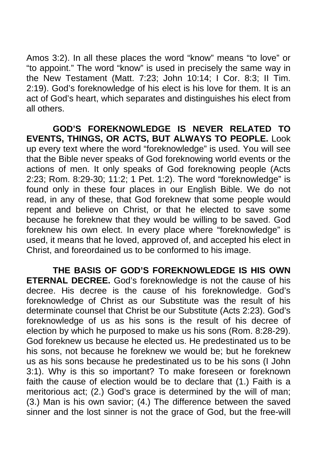Amos 3:2). In all these places the word "know" means "to love" or "to appoint." The word "know" is used in precisely the same way in the New Testament (Matt. 7:23; John 10:14; I Cor. 8:3; II Tim. 2:19). God's foreknowledge of his elect is his love for them. It is an act of God's heart, which separates and distinguishes his elect from all others.

 **GOD'S FOREKNOWLEDGE IS NEVER RELATED TO EVENTS, THINGS, OR ACTS, BUT ALWAYS TO PEOPLE.** Look up every text where the word "foreknowledge" is used. You will see that the Bible never speaks of God foreknowing world events or the actions of men. It only speaks of God foreknowing people (Acts 2:23; Rom. 8:29-30; 11:2; 1 Pet. 1:2). The word "foreknowledge" is found only in these four places in our English Bible. We do not read, in any of these, that God foreknew that some people would repent and believe on Christ, or that he elected to save some because he foreknew that they would be willing to be saved. God foreknew his own elect. In every place where "foreknowledge" is used, it means that he loved, approved of, and accepted his elect in Christ, and foreordained us to be conformed to his image.

 **THE BASIS OF GOD'S FOREKNOWLEDGE IS HIS OWN ETERNAL DECREE.** God's foreknowledge is not the cause of his decree. His decree is the cause of his foreknowledge. God's foreknowledge of Christ as our Substitute was the result of his determinate counsel that Christ be our Substitute (Acts 2:23). God's foreknowledge of us as his sons is the result of his decree of election by which he purposed to make us his sons (Rom. 8:28-29). God foreknew us because he elected us. He predestinated us to be his sons, not because he foreknew we would be; but he foreknew us as his sons because he predestinated us to be his sons (I John 3:1). Why is this so important? To make foreseen or foreknown faith the cause of election would be to declare that (1.) Faith is a meritorious act; (2.) God's grace is determined by the will of man; (3.) Man is his own savior; (4.) The difference between the saved sinner and the lost sinner is not the grace of God, but the free-will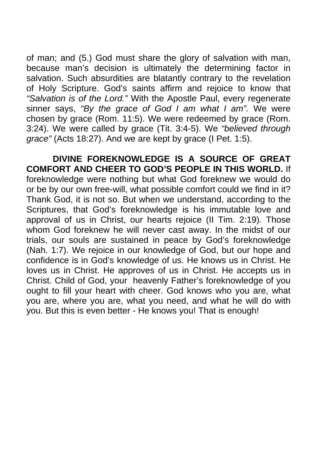of man; and (5.) God must share the glory of salvation with man, because man's decision is ultimately the determining factor in salvation. Such absurdities are blatantly contrary to the revelation of Holy Scripture. God's saints affirm and rejoice to know that *"Salvation is of the Lord."* With the Apostle Paul, every regenerate sinner says, *"By the grace of God I am what I am".* We were chosen by grace (Rom. 11:5). We were redeemed by grace (Rom. 3:24). We were called by grace (Tit. 3:4-5). We *"believed through grace"* (Acts 18:27). And we are kept by grace (I Pet. 1:5).

 **DIVINE FOREKNOWLEDGE IS A SOURCE OF GREAT COMFORT AND CHEER TO GOD'S PEOPLE IN THIS WORLD.** If foreknowledge were nothing but what God foreknew we would do or be by our own free-will, what possible comfort could we find in it? Thank God, it is not so. But when we understand, according to the Scriptures, that God's foreknowledge is his immutable love and approval of us in Christ, our hearts rejoice (II Tim. 2:19). Those whom God foreknew he will never cast away. In the midst of our trials, our souls are sustained in peace by God's foreknowledge (Nah. 1:7). We rejoice in our knowledge of God, but our hope and confidence is in God's knowledge of us. He knows us in Christ. He loves us in Christ. He approves of us in Christ. He accepts us in Christ. Child of God, your heavenly Father's foreknowledge of you ought to fill your heart with cheer. God knows who you are, what you are, where you are, what you need, and what he will do with you. But this is even better - He knows you! That is enough!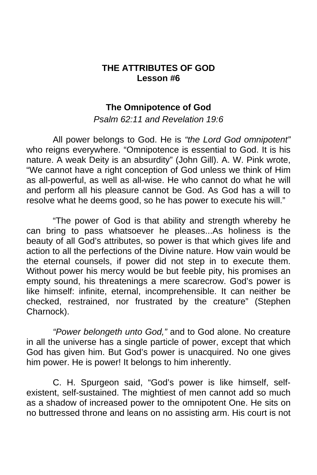## **THE ATTRIBUTES OF GOD Lesson #6**

### **The Omnipotence of God**

*Psalm 62:11 and Revelation 19:6* 

 All power belongs to God. He is *"the Lord God omnipotent"* who reigns everywhere. "Omnipotence is essential to God. It is his nature. A weak Deity is an absurdity" (John Gill). A. W. Pink wrote, "We cannot have a right conception of God unless we think of Him as all-powerful, as well as all-wise. He who cannot do what he will and perform all his pleasure cannot be God. As God has a will to resolve what he deems good, so he has power to execute his will."

 "The power of God is that ability and strength whereby he can bring to pass whatsoever he pleases...As holiness is the beauty of all God's attributes, so power is that which gives life and action to all the perfections of the Divine nature. How vain would be the eternal counsels, if power did not step in to execute them. Without power his mercy would be but feeble pity, his promises an empty sound, his threatenings a mere scarecrow. God's power is like himself: infinite, eternal, incomprehensible. It can neither be checked, restrained, nor frustrated by the creature" (Stephen Charnock).

*"Power belongeth unto God,"* and to God alone. No creature in all the universe has a single particle of power, except that which God has given him. But God's power is unacquired. No one gives him power. He is power! It belongs to him inherently.

 C. H. Spurgeon said, "God's power is like himself, selfexistent, self-sustained. The mightiest of men cannot add so much as a shadow of increased power to the omnipotent One. He sits on no buttressed throne and leans on no assisting arm. His court is not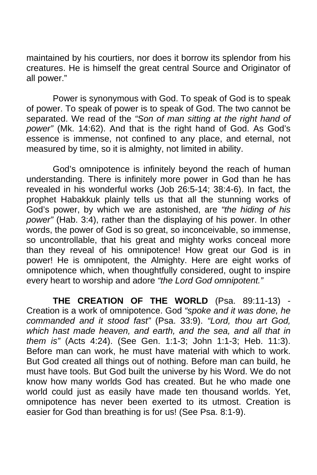maintained by his courtiers, nor does it borrow its splendor from his creatures. He is himself the great central Source and Originator of all power."

 Power is synonymous with God. To speak of God is to speak of power. To speak of power is to speak of God. The two cannot be separated. We read of the *"Son of man sitting at the right hand of power"* (Mk. 14:62). And that is the right hand of God. As God's essence is immense, not confined to any place, and eternal, not measured by time, so it is almighty, not limited in ability.

 God's omnipotence is infinitely beyond the reach of human understanding. There is infinitely more power in God than he has revealed in his wonderful works (Job 26:5-14; 38:4-6). In fact, the prophet Habakkuk plainly tells us that all the stunning works of God's power, by which we are astonished, are *"the hiding of his power"* (Hab. 3:4), rather than the displaying of his power. In other words, the power of God is so great, so inconceivable, so immense, so uncontrollable, that his great and mighty works conceal more than they reveal of his omnipotence! How great our God is in power! He is omnipotent, the Almighty. Here are eight works of omnipotence which, when thoughtfully considered, ought to inspire every heart to worship and adore *"the Lord God omnipotent."*

 **THE CREATION OF THE WORLD** (Psa. 89:11-13) - Creation is a work of omnipotence. God *"spoke and it was done, he commanded and it stood fast"* (Psa. 33:9). *"Lord, thou art God, which hast made heaven, and earth, and the sea, and all that in them is"* (Acts 4:24). (See Gen. 1:1-3; John 1:1-3; Heb. 11:3). Before man can work, he must have material with which to work. But God created all things out of nothing. Before man can build, he must have tools. But God built the universe by his Word. We do not know how many worlds God has created. But he who made one world could just as easily have made ten thousand worlds. Yet, omnipotence has never been exerted to its utmost. Creation is easier for God than breathing is for us! (See Psa. 8:1-9).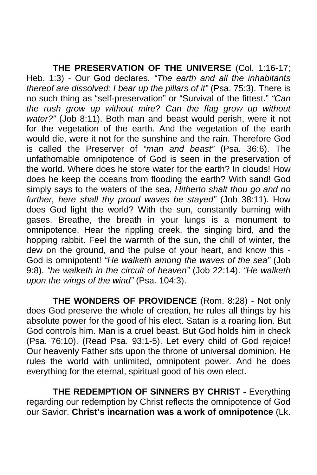**THE PRESERVATION OF THE UNIVERSE** (Col. 1:16-17; Heb. 1:3) - Our God declares, *"The earth and all the inhabitants thereof are dissolved: I bear up the pillars of it"* (Psa. 75:3). There is no such thing as "self-preservation" or "Survival of the fittest." *"Can the rush grow up without mire? Can the flag grow up without water?"* (Job 8:11). Both man and beast would perish, were it not for the vegetation of the earth. And the vegetation of the earth would die, were it not for the sunshine and the rain. Therefore God is called the Preserver of *"man and beast"* (Psa. 36:6). The unfathomable omnipotence of God is seen in the preservation of the world. Where does he store water for the earth? In clouds! How does he keep the oceans from flooding the earth? With sand! God simply says to the waters of the sea, *Hitherto shalt thou go and no further, here shall thy proud waves be stayed"* (Job 38:11). How does God light the world? With the sun, constantly burning with gases. Breathe, the breath in your lungs is a monument to omnipotence. Hear the rippling creek, the singing bird, and the hopping rabbit. Feel the warmth of the sun, the chill of winter, the dew on the ground, and the pulse of your heart, and know this - God is omnipotent! *"He walketh among the waves of the sea"* (Job 9:8). *"he walketh in the circuit of heaven"* (Job 22:14). *"He walketh upon the wings of the wind"* (Psa. 104:3).

 **THE WONDERS OF PROVIDENCE** (Rom. 8:28) - Not only does God preserve the whole of creation, he rules all things by his absolute power for the good of his elect. Satan is a roaring lion. But God controls him. Man is a cruel beast. But God holds him in check (Psa. 76:10). (Read Psa. 93:1-5). Let every child of God rejoice! Our heavenly Father sits upon the throne of universal dominion. He rules the world with unlimited, omnipotent power. And he does everything for the eternal, spiritual good of his own elect.

**THE REDEMPTION OF SINNERS BY CHRIST - Everything** regarding our redemption by Christ reflects the omnipotence of God our Savior. **Christ's incarnation was a work of omnipotence** (Lk.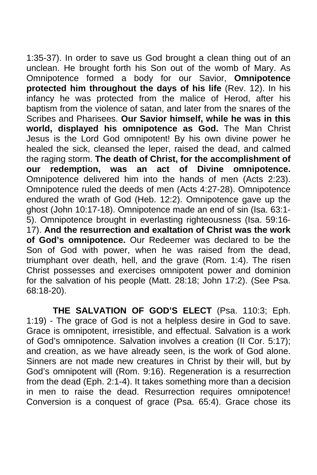1:35-37). In order to save us God brought a clean thing out of an unclean. He brought forth his Son out of the womb of Mary. As Omnipotence formed a body for our Savior, **Omnipotence protected him throughout the days of his life** (Rev. 12). In his infancy he was protected from the malice of Herod, after his baptism from the violence of satan, and later from the snares of the Scribes and Pharisees. **Our Savior himself, while he was in this world, displayed his omnipotence as God.** The Man Christ Jesus is the Lord God omnipotent! By his own divine power he healed the sick, cleansed the leper, raised the dead, and calmed the raging storm. **The death of Christ, for the accomplishment of our redemption, was an act of Divine omnipotence.**  Omnipotence delivered him into the hands of men (Acts 2:23). Omnipotence ruled the deeds of men (Acts 4:27-28). Omnipotence endured the wrath of God (Heb. 12:2). Omnipotence gave up the ghost (John 10:17-18). Omnipotence made an end of sin (Isa. 63:1- 5). Omnipotence brought in everlasting righteousness (Isa. 59:16- 17). **And the resurrection and exaltation of Christ was the work of God's omnipotence.** Our Redeemer was declared to be the Son of God with power, when he was raised from the dead, triumphant over death, hell, and the grave (Rom. 1:4). The risen Christ possesses and exercises omnipotent power and dominion for the salvation of his people (Matt. 28:18; John 17:2). (See Psa. 68:18-20).

 **THE SALVATION OF GOD'S ELECT** (Psa. 110:3; Eph. 1:19) - The grace of God is not a helpless desire in God to save. Grace is omnipotent, irresistible, and effectual. Salvation is a work of God's omnipotence. Salvation involves a creation (II Cor. 5:17); and creation, as we have already seen, is the work of God alone. Sinners are not made new creatures in Christ by their will, but by God's omnipotent will (Rom. 9:16). Regeneration is a resurrection from the dead (Eph. 2:1-4). It takes something more than a decision in men to raise the dead. Resurrection requires omnipotence! Conversion is a conquest of grace (Psa. 65:4). Grace chose its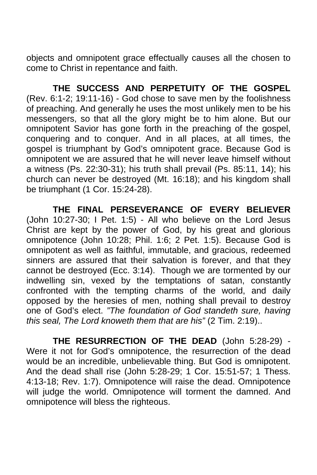objects and omnipotent grace effectually causes all the chosen to come to Christ in repentance and faith.

 **THE SUCCESS AND PERPETUITY OF THE GOSPEL**  (Rev. 6:1-2; 19:11-16) - God chose to save men by the foolishness of preaching. And generally he uses the most unlikely men to be his messengers, so that all the glory might be to him alone. But our omnipotent Savior has gone forth in the preaching of the gospel, conquering and to conquer. And in all places, at all times, the gospel is triumphant by God's omnipotent grace. Because God is omnipotent we are assured that he will never leave himself without a witness (Ps. 22:30-31); his truth shall prevail (Ps. 85:11, 14); his church can never be destroyed (Mt. 16:18); and his kingdom shall be triumphant (1 Cor. 15:24-28).

 **THE FINAL PERSEVERANCE OF EVERY BELIEVER**  (John 10:27-30; I Pet. 1:5) - All who believe on the Lord Jesus Christ are kept by the power of God, by his great and glorious omnipotence (John 10:28; Phil. 1:6; 2 Pet. 1:5). Because God is omnipotent as well as faithful, immutable, and gracious, redeemed sinners are assured that their salvation is forever, and that they cannot be destroyed (Ecc. 3:14). Though we are tormented by our indwelling sin, vexed by the temptations of satan, constantly confronted with the tempting charms of the world, and daily opposed by the heresies of men, nothing shall prevail to destroy one of God's elect. *"The foundation of God standeth sure, having this seal, The Lord knoweth them that are his"* (2 Tim. 2:19)..

 **THE RESURRECTION OF THE DEAD** (John 5:28-29) - Were it not for God's omnipotence, the resurrection of the dead would be an incredible, unbelievable thing. But God is omnipotent. And the dead shall rise (John 5:28-29; 1 Cor. 15:51-57; 1 Thess. 4:13-18; Rev. 1:7). Omnipotence will raise the dead. Omnipotence will judge the world. Omnipotence will torment the damned. And omnipotence will bless the righteous.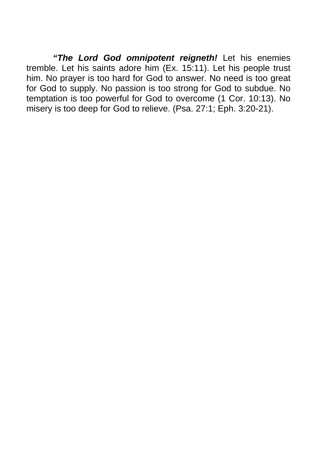*"The Lord God omnipotent reigneth!* Let his enemies tremble. Let his saints adore him (Ex. 15:11). Let his people trust him. No prayer is too hard for God to answer. No need is too great for God to supply. No passion is too strong for God to subdue. No temptation is too powerful for God to overcome (1 Cor. 10:13). No misery is too deep for God to relieve. (Psa. 27:1; Eph. 3:20-21).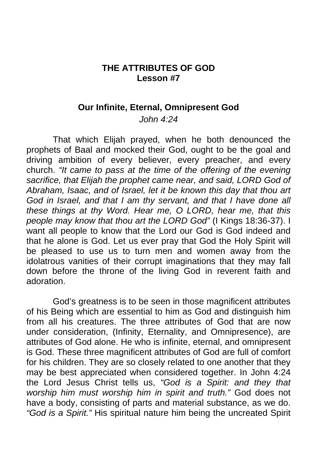## **THE ATTRIBUTES OF GOD Lesson #7**

#### **Our Infinite, Eternal, Omnipresent God**

*John 4:24* 

 That which Elijah prayed, when he both denounced the prophets of Baal and mocked their God, ought to be the goal and driving ambition of every believer, every preacher, and every church. *"It came to pass at the time of the offering of the evening sacrifice, that Elijah the prophet came near, and said, LORD God of Abraham, Isaac, and of Israel, let it be known this day that thou art God in Israel, and that I am thy servant, and that I have done all these things at thy Word. Hear me, O LORD, hear me, that this people may know that thou art the LORD God"* (I Kings 18:36-37). I want all people to know that the Lord our God is God indeed and that he alone is God. Let us ever pray that God the Holy Spirit will be pleased to use us to turn men and women away from the idolatrous vanities of their corrupt imaginations that they may fall down before the throne of the living God in reverent faith and adoration.

 God's greatness is to be seen in those magnificent attributes of his Being which are essential to him as God and distinguish him from all his creatures. The three attributes of God that are now under consideration, (Infinity, Eternality, and Omnipresence), are attributes of God alone. He who is infinite, eternal, and omnipresent is God. These three magnificent attributes of God are full of comfort for his children. They are so closely related to one another that they may be best appreciated when considered together. In John 4:24 the Lord Jesus Christ tells us, *"God is a Spirit: and they that worship him must worship him in spirit and truth."* God does not have a body, consisting of parts and material substance, as we do. *"God is a Spirit."* His spiritual nature him being the uncreated Spirit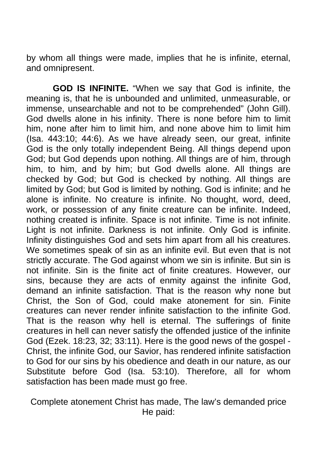by whom all things were made, implies that he is infinite, eternal, and omnipresent.

 **GOD IS INFINITE.** "When we say that God is infinite, the meaning is, that he is unbounded and unlimited, unmeasurable, or immense, unsearchable and not to be comprehended" (John Gill). God dwells alone in his infinity. There is none before him to limit him, none after him to limit him, and none above him to limit him (Isa. 443:10; 44:6). As we have already seen, our great, infinite God is the only totally independent Being. All things depend upon God; but God depends upon nothing. All things are of him, through him, to him, and by him; but God dwells alone. All things are checked by God; but God is checked by nothing. All things are limited by God; but God is limited by nothing. God is infinite; and he alone is infinite. No creature is infinite. No thought, word, deed, work, or possession of any finite creature can be infinite. Indeed, nothing created is infinite. Space is not infinite. Time is not infinite. Light is not infinite. Darkness is not infinite. Only God is infinite. Infinity distinguishes God and sets him apart from all his creatures. We sometimes speak of sin as an infinite evil. But even that is not strictly accurate. The God against whom we sin is infinite. But sin is not infinite. Sin is the finite act of finite creatures. However, our sins, because they are acts of enmity against the infinite God, demand an infinite satisfaction. That is the reason why none but Christ, the Son of God, could make atonement for sin. Finite creatures can never render infinite satisfaction to the infinite God. That is the reason why hell is eternal. The sufferings of finite creatures in hell can never satisfy the offended justice of the infinite God (Ezek. 18:23, 32; 33:11). Here is the good news of the gospel - Christ, the infinite God, our Savior, has rendered infinite satisfaction to God for our sins by his obedience and death in our nature, as our Substitute before God (Isa. 53:10). Therefore, all for whom satisfaction has been made must go free.

Complete atonement Christ has made, The law's demanded price He paid: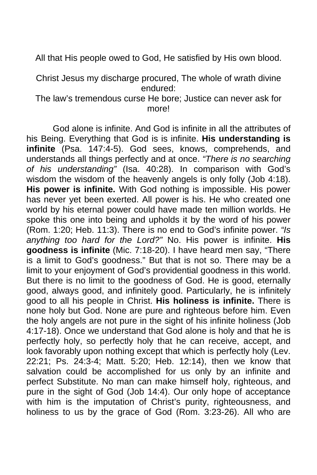All that His people owed to God, He satisfied by His own blood.

Christ Jesus my discharge procured, The whole of wrath divine endured:

The law's tremendous curse He bore; Justice can never ask for more!

 God alone is infinite. And God is infinite in all the attributes of his Being. Everything that God is is infinite. **His understanding is infinite** (Psa. 147:4-5). God sees, knows, comprehends, and understands all things perfectly and at once. *"There is no searching of his understanding"* (Isa. 40:28). In comparison with God's wisdom the wisdom of the heavenly angels is only folly (Job 4:18). **His power is infinite.** With God nothing is impossible. His power has never yet been exerted. All power is his. He who created one world by his eternal power could have made ten million worlds. He spoke this one into being and upholds it by the word of his power (Rom. 1:20; Heb. 11:3). There is no end to God's infinite power. *"Is anything too hard for the Lord?"* No. His power is infinite. **His goodness is infinite** (Mic. 7:18-20). I have heard men say, "There is a limit to God's goodness." But that is not so. There may be a limit to your enjoyment of God's providential goodness in this world. But there is no limit to the goodness of God. He is good, eternally good, always good, and infinitely good. Particularly, he is infinitely good to all his people in Christ. **His holiness is infinite.** There is none holy but God. None are pure and righteous before him. Even the holy angels are not pure in the sight of his infinite holiness (Job 4:17-18). Once we understand that God alone is holy and that he is perfectly holy, so perfectly holy that he can receive, accept, and look favorably upon nothing except that which is perfectly holy (Lev. 22:21; Ps. 24:3-4; Matt. 5:20; Heb. 12:14), then we know that salvation could be accomplished for us only by an infinite and perfect Substitute. No man can make himself holy, righteous, and pure in the sight of God (Job 14:4). Our only hope of acceptance with him is the imputation of Christ's purity, righteousness, and holiness to us by the grace of God (Rom. 3:23-26). All who are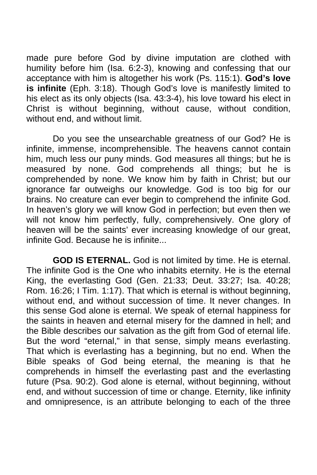made pure before God by divine imputation are clothed with humility before him (Isa. 6:2-3), knowing and confessing that our acceptance with him is altogether his work (Ps. 115:1). **God's love is infinite** (Eph. 3:18). Though God's love is manifestly limited to his elect as its only objects (Isa. 43:3-4), his love toward his elect in Christ is without beginning, without cause, without condition, without end, and without limit.

 Do you see the unsearchable greatness of our God? He is infinite, immense, incomprehensible. The heavens cannot contain him, much less our puny minds. God measures all things; but he is measured by none. God comprehends all things; but he is comprehended by none. We know him by faith in Christ; but our ignorance far outweighs our knowledge. God is too big for our brains. No creature can ever begin to comprehend the infinite God. In heaven's glory we will know God in perfection; but even then we will not know him perfectly, fully, comprehensively. One glory of heaven will be the saints' ever increasing knowledge of our great, infinite God. Because he is infinite...

 **GOD IS ETERNAL.** God is not limited by time. He is eternal. The infinite God is the One who inhabits eternity. He is the eternal King, the everlasting God (Gen. 21:33; Deut. 33:27; Isa. 40:28; Rom. 16:26; I Tim. 1:17). That which is eternal is without beginning, without end, and without succession of time. It never changes. In this sense God alone is eternal. We speak of eternal happiness for the saints in heaven and eternal misery for the damned in hell; and the Bible describes our salvation as the gift from God of eternal life. But the word "eternal," in that sense, simply means everlasting. That which is everlasting has a beginning, but no end. When the Bible speaks of God being eternal, the meaning is that he comprehends in himself the everlasting past and the everlasting future (Psa. 90:2). God alone is eternal, without beginning, without end, and without succession of time or change. Eternity, like infinity and omnipresence, is an attribute belonging to each of the three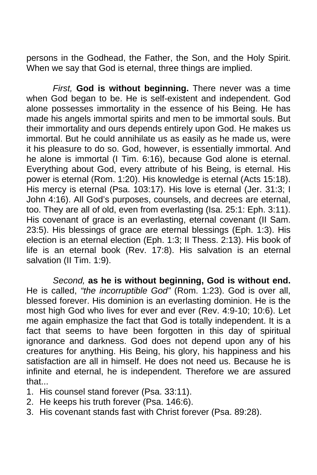persons in the Godhead, the Father, the Son, and the Holy Spirit. When we say that God is eternal, three things are implied.

*First,* **God is without beginning.** There never was a time when God began to be. He is self-existent and independent. God alone possesses immortality in the essence of his Being. He has made his angels immortal spirits and men to be immortal souls. But their immortality and ours depends entirely upon God. He makes us immortal. But he could annihilate us as easily as he made us, were it his pleasure to do so. God, however, is essentially immortal. And he alone is immortal (I Tim. 6:16), because God alone is eternal. Everything about God, every attribute of his Being, is eternal. His power is eternal (Rom. 1:20). His knowledge is eternal (Acts 15:18). His mercy is eternal (Psa. 103:17). His love is eternal (Jer. 31:3; I John 4:16). All God's purposes, counsels, and decrees are eternal, too. They are all of old, even from everlasting (Isa. 25:1: Eph. 3:11). His covenant of grace is an everlasting, eternal covenant (II Sam. 23:5). His blessings of grace are eternal blessings (Eph. 1:3). His election is an eternal election (Eph. 1:3; II Thess. 2:13). His book of life is an eternal book (Rev. 17:8). His salvation is an eternal salvation (II Tim. 1:9).

*Second,* **as he is without beginning, God is without end.**  He is called, *"the incorruptible God"* (Rom. 1:23). God is over all, blessed forever. His dominion is an everlasting dominion. He is the most high God who lives for ever and ever (Rev. 4:9-10; 10:6). Let me again emphasize the fact that God is totally independent. It is a fact that seems to have been forgotten in this day of spiritual ignorance and darkness. God does not depend upon any of his creatures for anything. His Being, his glory, his happiness and his satisfaction are all in himself. He does not need us. Because he is infinite and eternal, he is independent. Therefore we are assured that...

- 1. His counsel stand forever (Psa. 33:11).
- 2. He keeps his truth forever (Psa. 146:6).
- 3. His covenant stands fast with Christ forever (Psa. 89:28).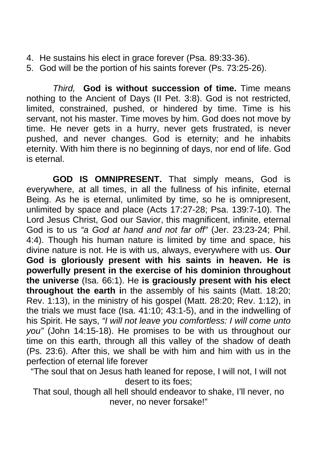- 4. He sustains his elect in grace forever (Psa. 89:33-36).
- 5. God will be the portion of his saints forever (Ps. 73:25-26).

*Third,* **God is without succession of time.** Time means nothing to the Ancient of Days (II Pet. 3:8). God is not restricted, limited, constrained, pushed, or hindered by time. Time is his servant, not his master. Time moves by him. God does not move by time. He never gets in a hurry, never gets frustrated, is never pushed, and never changes. God is eternity; and he inhabits eternity. With him there is no beginning of days, nor end of life. God is eternal.

 **GOD IS OMNIPRESENT.** That simply means, God is everywhere, at all times, in all the fullness of his infinite, eternal Being. As he is eternal, unlimited by time, so he is omnipresent, unlimited by space and place (Acts 17:27-28; Psa. 139:7-10). The Lord Jesus Christ, God our Savior, this magnificent, infinite, eternal God is to us *"a God at hand and not far off"* (Jer. 23:23-24; Phil. 4:4). Though his human nature is limited by time and space, his divine nature is not. He is with us, always, everywhere with us. **Our God is gloriously present with his saints in heaven. He is powerfully present in the exercise of his dominion throughout the universe** (Isa. 66:1). He **is graciously present with his elect throughout the earth i**n the assembly of his saints (Matt. 18:20; Rev. 1:13), in the ministry of his gospel (Matt. 28:20; Rev. 1:12), in the trials we must face (Isa. 41:10; 43:1-5), and in the indwelling of his Spirit. He says, *"I will not leave you comfortless: I will come unto you"* (John 14:15-18). He promises to be with us throughout our time on this earth, through all this valley of the shadow of death (Ps. 23:6). After this, we shall be with him and him with us in the perfection of eternal life forever

"The soul that on Jesus hath leaned for repose, I will not, I will not desert to its foes;

That soul, though all hell should endeavor to shake, I'll never, no never, no never forsake!"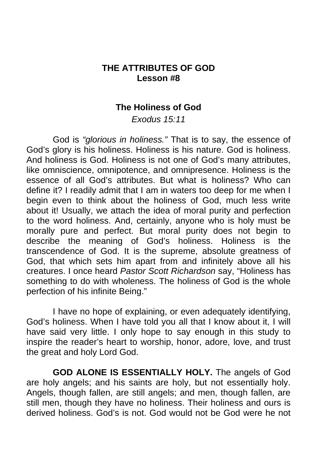# **THE ATTRIBUTES OF GOD Lesson #8**

#### **The Holiness of God**

*Exodus 15:11* 

 God is *"glorious in holiness."* That is to say, the essence of God's glory is his holiness. Holiness is his nature. God is holiness. And holiness is God. Holiness is not one of God's many attributes, like omniscience, omnipotence, and omnipresence. Holiness is the essence of all God's attributes. But what is holiness? Who can define it? I readily admit that I am in waters too deep for me when I begin even to think about the holiness of God, much less write about it! Usually, we attach the idea of moral purity and perfection to the word holiness. And, certainly, anyone who is holy must be morally pure and perfect. But moral purity does not begin to describe the meaning of God's holiness. Holiness is the transcendence of God. It is the supreme, absolute greatness of God, that which sets him apart from and infinitely above all his creatures. I once heard *Pastor Scott Richardson* say, "Holiness has something to do with wholeness. The holiness of God is the whole perfection of his infinite Being."

 I have no hope of explaining, or even adequately identifying, God's holiness. When I have told you all that I know about it, I will have said very little. I only hope to say enough in this study to inspire the reader's heart to worship, honor, adore, love, and trust the great and holy Lord God.

 **GOD ALONE IS ESSENTIALLY HOLY.** The angels of God are holy angels; and his saints are holy, but not essentially holy. Angels, though fallen, are still angels; and men, though fallen, are still men, though they have no holiness. Their holiness and ours is derived holiness. God's is not. God would not be God were he not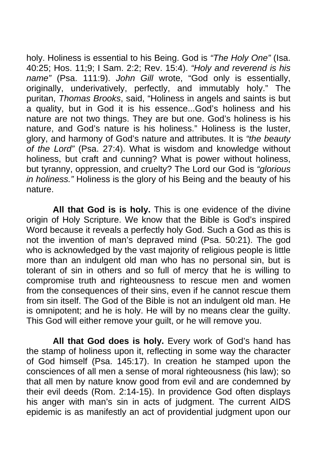holy. Holiness is essential to his Being. God is *"The Holy One"* (Isa. 40:25; Hos. 11;9; I Sam. 2:2; Rev. 15:4). *"Holy and reverend is his name"* (Psa. 111:9). *John Gill* wrote, "God only is essentially, originally, underivatively, perfectly, and immutably holy." The puritan, *Thomas Brooks*, said, "Holiness in angels and saints is but a quality, but in God it is his essence...God's holiness and his nature are not two things. They are but one. God's holiness is his nature, and God's nature is his holiness." Holiness is the luster, glory, and harmony of God's nature and attributes. It is *"the beauty of the Lord"* (Psa. 27:4). What is wisdom and knowledge without holiness, but craft and cunning? What is power without holiness, but tyranny, oppression, and cruelty? The Lord our God is *"glorious in holiness."* Holiness is the glory of his Being and the beauty of his nature.

 **All that God is is holy.** This is one evidence of the divine origin of Holy Scripture. We know that the Bible is God's inspired Word because it reveals a perfectly holy God. Such a God as this is not the invention of man's depraved mind (Psa. 50:21). The god who is acknowledged by the vast majority of religious people is little more than an indulgent old man who has no personal sin, but is tolerant of sin in others and so full of mercy that he is willing to compromise truth and righteousness to rescue men and women from the consequences of their sins, even if he cannot rescue them from sin itself. The God of the Bible is not an indulgent old man. He is omnipotent; and he is holy. He will by no means clear the guilty. This God will either remove your guilt, or he will remove you.

**All that God does is holy.** Every work of God's hand has the stamp of holiness upon it, reflecting in some way the character of God himself (Psa. 145:17). In creation he stamped upon the consciences of all men a sense of moral righteousness (his law); so that all men by nature know good from evil and are condemned by their evil deeds (Rom. 2:14-15). In providence God often displays his anger with man's sin in acts of judgment. The current AIDS epidemic is as manifestly an act of providential judgment upon our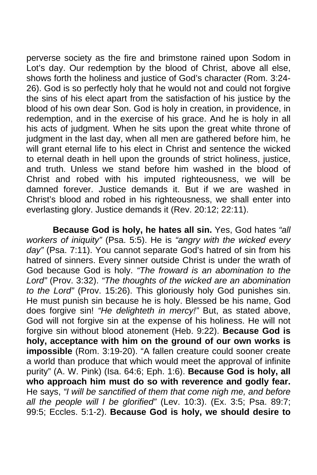perverse society as the fire and brimstone rained upon Sodom in Lot's day. Our redemption by the blood of Christ, above all else, shows forth the holiness and justice of God's character (Rom. 3:24- 26). God is so perfectly holy that he would not and could not forgive the sins of his elect apart from the satisfaction of his justice by the blood of his own dear Son. God is holy in creation, in providence, in redemption, and in the exercise of his grace. And he is holy in all his acts of judgment. When he sits upon the great white throne of judgment in the last day, when all men are gathered before him, he will grant eternal life to his elect in Christ and sentence the wicked to eternal death in hell upon the grounds of strict holiness, justice, and truth. Unless we stand before him washed in the blood of Christ and robed with his imputed righteousness, we will be damned forever. Justice demands it. But if we are washed in Christ's blood and robed in his righteousness, we shall enter into everlasting glory. Justice demands it (Rev. 20:12; 22:11).

**Because God is holy, he hates all sin.** Yes, God hates *"all workers of iniquity"* (Psa. 5:5). He is *"angry with the wicked every day"* (Psa. 7:11). You cannot separate God's hatred of sin from his hatred of sinners. Every sinner outside Christ is under the wrath of God because God is holy. *"The froward is an abomination to the Lord"* (Prov. 3:32). *"The thoughts of the wicked are an abomination to the Lord"* (Prov. 15:26). This gloriously holy God punishes sin. He must punish sin because he is holy. Blessed be his name, God does forgive sin! *"He delighteth in mercy!"* But, as stated above, God will not forgive sin at the expense of his holiness. He will not forgive sin without blood atonement (Heb. 9:22). **Because God is holy, acceptance with him on the ground of our own works is impossible** (Rom. 3:19-20). "A fallen creature could sooner create a world than produce that which would meet the approval of infinite purity" (A. W. Pink) (Isa. 64:6; Eph. 1:6). **Because God is holy, all who approach him must do so with reverence and godly fear.**  He says, *"I will be sanctified of them that come nigh me, and before all the people will I be glorified"* (Lev. 10:3). (Ex. 3:5; Psa. 89:7; 99:5; Eccles. 5:1-2). **Because God is holy, we should desire to**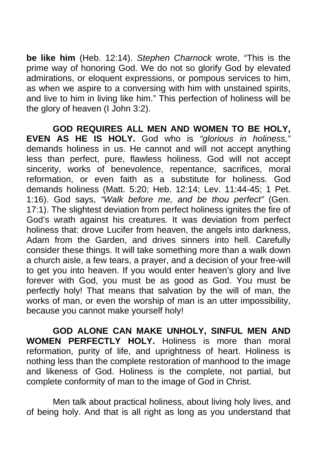**be like him** (Heb. 12:14). *Stephen Charnock* wrote, "This is the prime way of honoring God. We do not so glorify God by elevated admirations, or eloquent expressions, or pompous services to him, as when we aspire to a conversing with him with unstained spirits, and live to him in living like him." This perfection of holiness will be the glory of heaven (I John 3:2).

 **GOD REQUIRES ALL MEN AND WOMEN TO BE HOLY, EVEN AS HE IS HOLY.** God who is *"glorious in holiness,"*  demands holiness in us. He cannot and will not accept anything less than perfect, pure, flawless holiness. God will not accept sincerity, works of benevolence, repentance, sacrifices, moral reformation, or even faith as a substitute for holiness. God demands holiness (Matt. 5:20; Heb. 12:14; Lev. 11:44-45; 1 Pet. 1:16). God says, *"Walk before me, and be thou perfect"* (Gen. 17:1). The slightest deviation from perfect holiness ignites the fire of God's wrath against his creatures. It was deviation from perfect holiness that: drove Lucifer from heaven, the angels into darkness, Adam from the Garden, and drives sinners into hell. Carefully consider these things. It will take something more than a walk down a church aisle, a few tears, a prayer, and a decision of your free-will to get you into heaven. If you would enter heaven's glory and live forever with God, you must be as good as God. You must be perfectly holy! That means that salvation by the will of man, the works of man, or even the worship of man is an utter impossibility, because you cannot make yourself holy!

 **GOD ALONE CAN MAKE UNHOLY, SINFUL MEN AND WOMEN PERFECTLY HOLY.** Holiness is more than moral reformation, purity of life, and uprightness of heart. Holiness is nothing less than the complete restoration of manhood to the image and likeness of God. Holiness is the complete, not partial, but complete conformity of man to the image of God in Christ.

 Men talk about practical holiness, about living holy lives, and of being holy. And that is all right as long as you understand that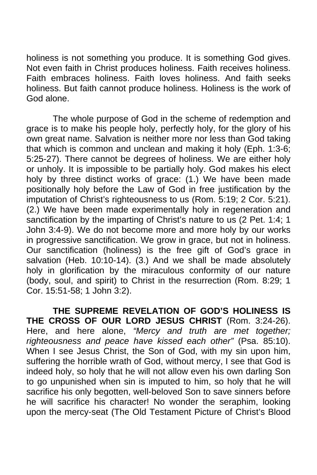holiness is not something you produce. It is something God gives. Not even faith in Christ produces holiness. Faith receives holiness. Faith embraces holiness. Faith loves holiness. And faith seeks holiness. But faith cannot produce holiness. Holiness is the work of God alone.

 The whole purpose of God in the scheme of redemption and grace is to make his people holy, perfectly holy, for the glory of his own great name. Salvation is neither more nor less than God taking that which is common and unclean and making it holy (Eph. 1:3-6; 5:25-27). There cannot be degrees of holiness. We are either holy or unholy. It is impossible to be partially holy. God makes his elect holy by three distinct works of grace: (1.) We have been made positionally holy before the Law of God in free justification by the imputation of Christ's righteousness to us (Rom. 5:19; 2 Cor. 5:21). (2.) We have been made experimentally holy in regeneration and sanctification by the imparting of Christ's nature to us (2 Pet. 1:4; 1) John 3:4-9). We do not become more and more holy by our works in progressive sanctification. We grow in grace, but not in holiness. Our sanctification (holiness) is the free gift of God's grace in salvation (Heb. 10:10-14). (3.) And we shall be made absolutely holy in glorification by the miraculous conformity of our nature (body, soul, and spirit) to Christ in the resurrection (Rom. 8:29; 1 Cor. 15:51-58; 1 John 3:2).

 **THE SUPREME REVELATION OF GOD'S HOLINESS IS THE CROSS OF OUR LORD JESUS CHRIST** (Rom. 3:24-26). Here, and here alone, "Mercy and truth are met together; *righteousness and peace have kissed each other"* (Psa. 85:10). When I see Jesus Christ, the Son of God, with my sin upon him, suffering the horrible wrath of God, without mercy, I see that God is indeed holy, so holy that he will not allow even his own darling Son to go unpunished when sin is imputed to him, so holy that he will sacrifice his only begotten, well-beloved Son to save sinners before he will sacrifice his character! No wonder the seraphim, looking upon the mercy-seat (The Old Testament Picture of Christ's Blood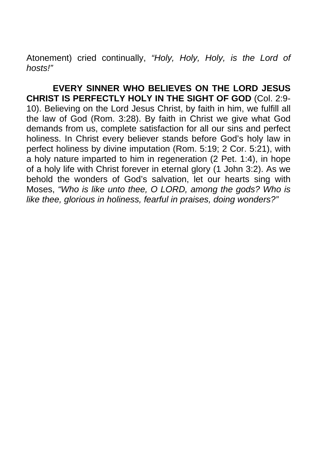Atonement) cried continually, *"Holy, Holy, Holy, is the Lord of hosts!"*

 **EVERY SINNER WHO BELIEVES ON THE LORD JESUS CHRIST IS PERFECTLY HOLY IN THE SIGHT OF GOD** (Col. 2:9- 10). Believing on the Lord Jesus Christ, by faith in him, we fulfill all the law of God (Rom. 3:28). By faith in Christ we give what God demands from us, complete satisfaction for all our sins and perfect holiness. In Christ every believer stands before God's holy law in perfect holiness by divine imputation (Rom. 5:19; 2 Cor. 5:21), with a holy nature imparted to him in regeneration (2 Pet. 1:4), in hope of a holy life with Christ forever in eternal glory (1 John 3:2). As we behold the wonders of God's salvation, let our hearts sing with Moses, *"Who is like unto thee, O LORD, among the gods? Who is like thee, glorious in holiness, fearful in praises, doing wonders?"*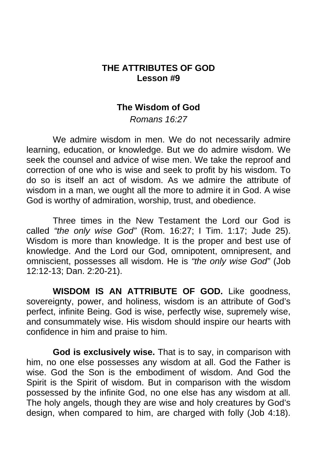## **THE ATTRIBUTES OF GOD Lesson #9**

### **The Wisdom of God**

*Romans 16:27* 

 We admire wisdom in men. We do not necessarily admire learning, education, or knowledge. But we do admire wisdom. We seek the counsel and advice of wise men. We take the reproof and correction of one who is wise and seek to profit by his wisdom. To do so is itself an act of wisdom. As we admire the attribute of wisdom in a man, we ought all the more to admire it in God. A wise God is worthy of admiration, worship, trust, and obedience.

 Three times in the New Testament the Lord our God is called *"the only wise God"* (Rom. 16:27; I Tim. 1:17; Jude 25). Wisdom is more than knowledge. It is the proper and best use of knowledge. And the Lord our God, omnipotent, omnipresent, and omniscient, possesses all wisdom. He is *"the only wise God"* (Job 12:12-13; Dan. 2:20-21).

 **WISDOM IS AN ATTRIBUTE OF GOD.** Like goodness, sovereignty, power, and holiness, wisdom is an attribute of God's perfect, infinite Being. God is wise, perfectly wise, supremely wise, and consummately wise. His wisdom should inspire our hearts with confidence in him and praise to him.

**God is exclusively wise.** That is to say, in comparison with him, no one else possesses any wisdom at all. God the Father is wise. God the Son is the embodiment of wisdom. And God the Spirit is the Spirit of wisdom. But in comparison with the wisdom possessed by the infinite God, no one else has any wisdom at all. The holy angels, though they are wise and holy creatures by God's design, when compared to him, are charged with folly (Job 4:18).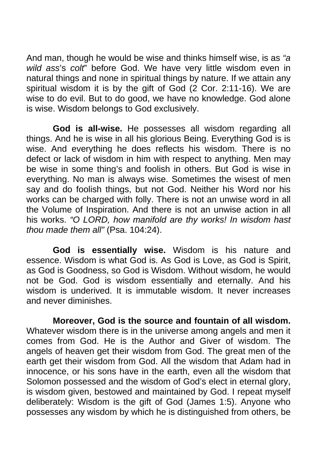And man, though he would be wise and thinks himself wise, is as *"a wild ass*'s *colt*" before God. We have very little wisdom even in natural things and none in spiritual things by nature. If we attain any spiritual wisdom it is by the gift of God (2 Cor. 2:11-16). We are wise to do evil. But to do good, we have no knowledge. God alone is wise. Wisdom belongs to God exclusively.

**God is all-wise.** He possesses all wisdom regarding all things. And he is wise in all his glorious Being. Everything God is is wise. And everything he does reflects his wisdom. There is no defect or lack of wisdom in him with respect to anything. Men may be wise in some thing's and foolish in others. But God is wise in everything. No man is always wise. Sometimes the wisest of men say and do foolish things, but not God. Neither his Word nor his works can be charged with folly. There is not an unwise word in all the Volume of Inspiration. And there is not an unwise action in all his works. *"O LORD, how manifold are thy works! In wisdom hast thou made them all"* (Psa. 104:24).

**God is essentially wise.** Wisdom is his nature and essence. Wisdom is what God is. As God is Love, as God is Spirit, as God is Goodness, so God is Wisdom. Without wisdom, he would not be God. God is wisdom essentially and eternally. And his wisdom is underived. It is immutable wisdom. It never increases and never diminishes.

**Moreover, God is the source and fountain of all wisdom.**  Whatever wisdom there is in the universe among angels and men it comes from God. He is the Author and Giver of wisdom. The angels of heaven get their wisdom from God. The great men of the earth get their wisdom from God. All the wisdom that Adam had in innocence, or his sons have in the earth, even all the wisdom that Solomon possessed and the wisdom of God's elect in eternal glory, is wisdom given, bestowed and maintained by God. I repeat myself deliberately: Wisdom is the gift of God (James 1:5). Anyone who possesses any wisdom by which he is distinguished from others, be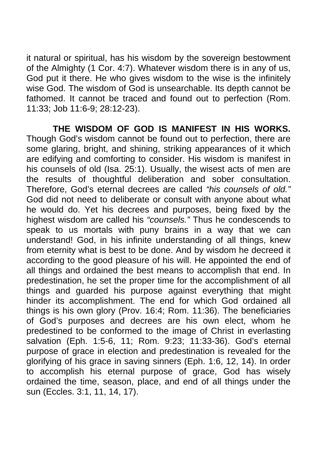it natural or spiritual, has his wisdom by the sovereign bestowment of the Almighty (1 Cor. 4:7). Whatever wisdom there is in any of us, God put it there. He who gives wisdom to the wise is the infinitely wise God. The wisdom of God is unsearchable. Its depth cannot be fathomed. It cannot be traced and found out to perfection (Rom. 11:33; Job 11:6-9; 28:12-23).

 **THE WISDOM OF GOD IS MANIFEST IN HIS WORKS.**  Though God's wisdom cannot be found out to perfection, there are some glaring, bright, and shining, striking appearances of it which are edifying and comforting to consider. His wisdom is manifest in his counsels of old (Isa. 25:1). Usually, the wisest acts of men are the results of thoughtful deliberation and sober consultation. Therefore, God's eternal decrees are called *"his counsels of old."*  God did not need to deliberate or consult with anyone about what he would do. Yet his decrees and purposes, being fixed by the highest wisdom are called his *"counsels."* Thus he condescends to speak to us mortals with puny brains in a way that we can understand! God, in his infinite understanding of all things, knew from eternity what is best to be done. And by wisdom he decreed it according to the good pleasure of his will. He appointed the end of all things and ordained the best means to accomplish that end. In predestination, he set the proper time for the accomplishment of all things and guarded his purpose against everything that might hinder its accomplishment. The end for which God ordained all things is his own glory (Prov. 16:4; Rom. 11:36). The beneficiaries of God's purposes and decrees are his own elect, whom he predestined to be conformed to the image of Christ in everlasting salvation (Eph. 1:5-6, 11; Rom. 9:23; 11:33-36). God's eternal purpose of grace in election and predestination is revealed for the glorifying of his grace in saving sinners (Eph. 1:6, 12, 14). In order to accomplish his eternal purpose of grace, God has wisely ordained the time, season, place, and end of all things under the sun (Eccles. 3:1, 11, 14, 17).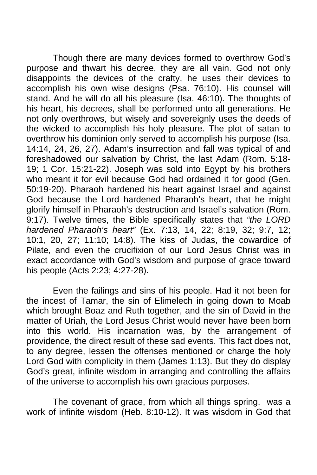Though there are many devices formed to overthrow God's purpose and thwart his decree, they are all vain. God not only disappoints the devices of the crafty, he uses their devices to accomplish his own wise designs (Psa. 76:10). His counsel will stand. And he will do all his pleasure (Isa. 46:10). The thoughts of his heart, his decrees, shall be performed unto all generations. He not only overthrows, but wisely and sovereignly uses the deeds of the wicked to accomplish his holy pleasure. The plot of satan to overthrow his dominion only served to accomplish his purpose (Isa. 14:14, 24, 26, 27). Adam's insurrection and fall was typical of and foreshadowed our salvation by Christ, the last Adam (Rom. 5:18- 19; 1 Cor. 15:21-22). Joseph was sold into Egypt by his brothers who meant it for evil because God had ordained it for good (Gen. 50:19-20). Pharaoh hardened his heart against Israel and against God because the Lord hardened Pharaoh's heart, that he might glorify himself in Pharaoh's destruction and Israel's salvation (Rom. 9:17). Twelve times, the Bible specifically states that *"the LORD hardened Pharaoh's heart"* (Ex. 7:13, 14, 22; 8:19, 32; 9:7, 12; 10:1, 20, 27; 11:10; 14:8). The kiss of Judas, the cowardice of Pilate, and even the crucifixion of our Lord Jesus Christ was in exact accordance with God's wisdom and purpose of grace toward his people (Acts 2:23; 4:27-28).

 Even the failings and sins of his people. Had it not been for the incest of Tamar, the sin of Elimelech in going down to Moab which brought Boaz and Ruth together, and the sin of David in the matter of Uriah, the Lord Jesus Christ would never have been born into this world. His incarnation was, by the arrangement of providence, the direct result of these sad events. This fact does not, to any degree, lessen the offenses mentioned or charge the holy Lord God with complicity in them (James 1:13). But they do display God's great, infinite wisdom in arranging and controlling the affairs of the universe to accomplish his own gracious purposes.

The covenant of grace, from which all things spring, was a work of infinite wisdom (Heb. 8:10-12). It was wisdom in God that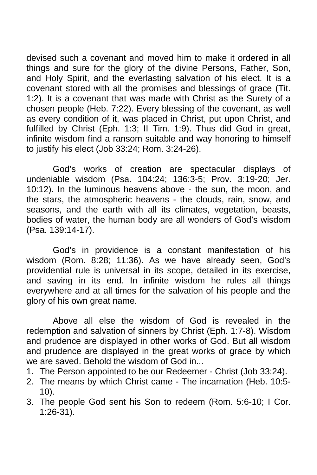devised such a covenant and moved him to make it ordered in all things and sure for the glory of the divine Persons, Father, Son, and Holy Spirit, and the everlasting salvation of his elect. It is a covenant stored with all the promises and blessings of grace (Tit. 1:2). It is a covenant that was made with Christ as the Surety of a chosen people (Heb. 7:22). Every blessing of the covenant, as well as every condition of it, was placed in Christ, put upon Christ, and fulfilled by Christ (Eph. 1:3; II Tim. 1:9). Thus did God in great, infinite wisdom find a ransom suitable and way honoring to himself to justify his elect (Job 33:24; Rom. 3:24-26).

God's works of creation are spectacular displays of undeniable wisdom (Psa. 104:24; 136:3-5; Prov. 3:19-20; Jer. 10:12). In the luminous heavens above - the sun, the moon, and the stars, the atmospheric heavens - the clouds, rain, snow, and seasons, and the earth with all its climates, vegetation, beasts, bodies of water, the human body are all wonders of God's wisdom (Psa. 139:14-17).

God's in providence is a constant manifestation of his wisdom (Rom. 8:28; 11:36). As we have already seen, God's providential rule is universal in its scope, detailed in its exercise, and saving in its end. In infinite wisdom he rules all things everywhere and at all times for the salvation of his people and the glory of his own great name.

 Above all else the wisdom of God is revealed in the redemption and salvation of sinners by Christ (Eph. 1:7-8). Wisdom and prudence are displayed in other works of God. But all wisdom and prudence are displayed in the great works of grace by which we are saved. Behold the wisdom of God in...

- 1. The Person appointed to be our Redeemer Christ (Job 33:24).
- 2. The means by which Christ came The incarnation (Heb. 10:5- 10).
- 3. The people God sent his Son to redeem (Rom. 5:6-10; I Cor. 1:26-31).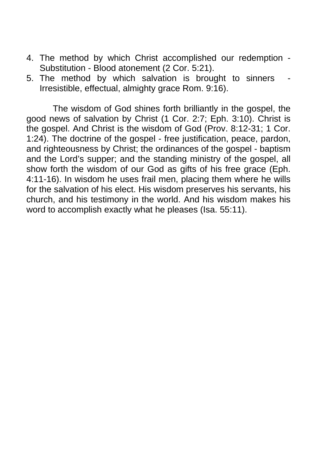- 4. The method by which Christ accomplished our redemption Substitution - Blood atonement (2 Cor. 5:21).
- 5. The method by which salvation is brought to sinners Irresistible, effectual, almighty grace Rom. 9:16).

 The wisdom of God shines forth brilliantly in the gospel, the good news of salvation by Christ (1 Cor. 2:7; Eph. 3:10). Christ is the gospel. And Christ is the wisdom of God (Prov. 8:12-31; 1 Cor. 1:24). The doctrine of the gospel - free justification, peace, pardon, and righteousness by Christ; the ordinances of the gospel - baptism and the Lord's supper; and the standing ministry of the gospel, all show forth the wisdom of our God as gifts of his free grace (Eph. 4:11-16). In wisdom he uses frail men, placing them where he wills for the salvation of his elect. His wisdom preserves his servants, his church, and his testimony in the world. And his wisdom makes his word to accomplish exactly what he pleases (Isa. 55:11).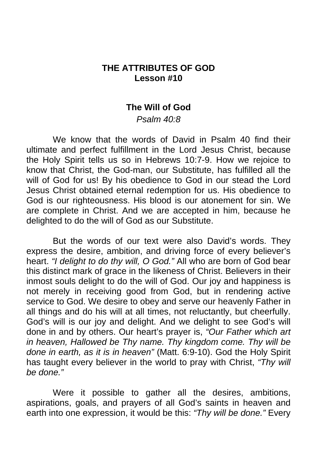## **THE ATTRIBUTES OF GOD Lesson #10**

#### **The Will of God**

*Psalm 40:8* 

 We know that the words of David in Psalm 40 find their ultimate and perfect fulfillment in the Lord Jesus Christ, because the Holy Spirit tells us so in Hebrews 10:7-9. How we rejoice to know that Christ, the God-man, our Substitute, has fulfilled all the will of God for us! By his obedience to God in our stead the Lord Jesus Christ obtained eternal redemption for us. His obedience to God is our righteousness. His blood is our atonement for sin. We are complete in Christ. And we are accepted in him, because he delighted to do the will of God as our Substitute.

 But the words of our text were also David's words. They express the desire, ambition, and driving force of every believer's heart. *"I delight to do thy will, O God."* All who are born of God bear this distinct mark of grace in the likeness of Christ. Believers in their inmost souls delight to do the will of God. Our joy and happiness is not merely in receiving good from God, but in rendering active service to God. We desire to obey and serve our heavenly Father in all things and do his will at all times, not reluctantly, but cheerfully. God's will is our joy and delight. And we delight to see God's will done in and by others. Our heart's prayer is, *"Our Father which art in heaven, Hallowed be Thy name. Thy kingdom come. Thy will be done in earth, as it is in heaven"* (Matt. 6:9-10). God the Holy Spirit has taught every believer in the world to pray with Christ, *"Thy will be done."* 

Were it possible to gather all the desires, ambitions, aspirations, goals, and prayers of all God's saints in heaven and earth into one expression, it would be this: *"Thy will be done."* Every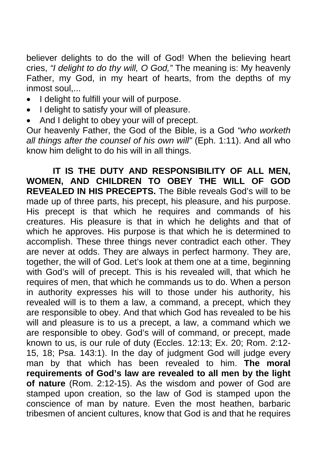believer delights to do the will of God! When the believing heart cries, *"I delight to do thy will, O God,"* The meaning is: My heavenly Father, my God, in my heart of hearts, from the depths of my inmost soul,...

- I delight to fulfill your will of purpose.
- I delight to satisfy your will of pleasure.
- And I delight to obey your will of precept.

Our heavenly Father, the God of the Bible, is a God *"who worketh all things after the counsel of his own will"* (Eph. 1:11). And all who know him delight to do his will in all things.

 **IT IS THE DUTY AND RESPONSIBILITY OF ALL MEN, WOMEN, AND CHILDREN TO OBEY THE WILL OF GOD REVEALED IN HIS PRECEPTS.** The Bible reveals God's will to be made up of three parts, his precept, his pleasure, and his purpose. His precept is that which he requires and commands of his creatures. His pleasure is that in which he delights and that of which he approves. His purpose is that which he is determined to accomplish. These three things never contradict each other. They are never at odds. They are always in perfect harmony. They are, together, the will of God. Let's look at them one at a time, beginning with God's will of precept. This is his revealed will, that which he requires of men, that which he commands us to do. When a person in authority expresses his will to those under his authority, his revealed will is to them a law, a command, a precept, which they are responsible to obey. And that which God has revealed to be his will and pleasure is to us a precept, a law, a command which we are responsible to obey. God's will of command, or precept, made known to us, is our rule of duty (Eccles. 12:13; Ex. 20; Rom. 2:12- 15, 18; Psa. 143:1). In the day of judgment God will judge every man by that which has been revealed to him. **The moral requirements of God's law are revealed to all men by the light of nature** (Rom. 2:12-15). As the wisdom and power of God are stamped upon creation, so the law of God is stamped upon the conscience of man by nature. Even the most heathen, barbaric tribesmen of ancient cultures, know that God is and that he requires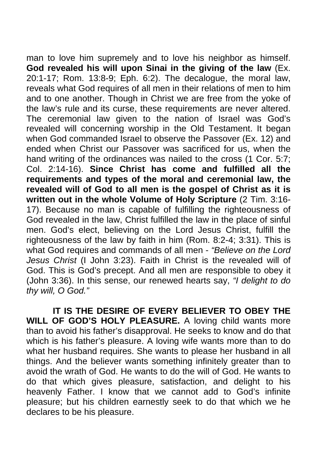man to love him supremely and to love his neighbor as himself. **God revealed his will upon Sinai in the giving of the law** (Ex. 20:1-17; Rom. 13:8-9; Eph. 6:2). The decalogue, the moral law, reveals what God requires of all men in their relations of men to him and to one another. Though in Christ we are free from the yoke of the law's rule and its curse, these requirements are never altered. The ceremonial law given to the nation of Israel was God's revealed will concerning worship in the Old Testament. It began when God commanded Israel to observe the Passover (Ex. 12) and ended when Christ our Passover was sacrificed for us, when the hand writing of the ordinances was nailed to the cross (1 Cor. 5:7: Col. 2:14-16). **Since Christ has come and fulfilled all the requirements and types of the moral and ceremonial law, the revealed will of God to all men is the gospel of Christ as it is written out in the whole Volume of Holy Scripture** (2 Tim. 3:16- 17). Because no man is capable of fulfilling the righteousness of God revealed in the law, Christ fulfilled the law in the place of sinful men. God's elect, believing on the Lord Jesus Christ, fulfill the righteousness of the law by faith in him (Rom. 8:2-4; 3:31). This is what God requires and commands of all men - *"Believe on the Lord Jesus Christ* (I John 3:23). Faith in Christ is the revealed will of God. This is God's precept. And all men are responsible to obey it (John 3:36). In this sense, our renewed hearts say, *"I delight to do thy will, O God."* 

 **IT IS THE DESIRE OF EVERY BELIEVER TO OBEY THE WILL OF GOD'S HOLY PLEASURE.** A loving child wants more than to avoid his father's disapproval. He seeks to know and do that which is his father's pleasure. A loving wife wants more than to do what her husband requires. She wants to please her husband in all things. And the believer wants something infinitely greater than to avoid the wrath of God. He wants to do the will of God. He wants to do that which gives pleasure, satisfaction, and delight to his heavenly Father. I know that we cannot add to God's infinite pleasure; but his children earnestly seek to do that which we he declares to be his pleasure.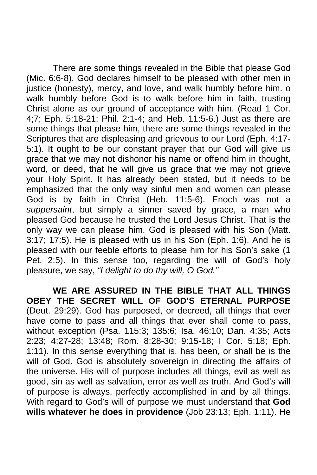There are some things revealed in the Bible that please God (Mic. 6:6-8). God declares himself to be pleased with other men in justice (honesty), mercy, and love, and walk humbly before him. o walk humbly before God is to walk before him in faith, trusting Christ alone as our ground of acceptance with him. (Read 1 Cor. 4;7; Eph. 5:18-21; Phil. 2:1-4; and Heb. 11:5-6.) Just as there are some things that please him, there are some things revealed in the Scriptures that are displeasing and grievous to our Lord (Eph. 4:17- 5:1). It ought to be our constant prayer that our God will give us grace that we may not dishonor his name or offend him in thought, word, or deed, that he will give us grace that we may not grieve your Holy Spirit. It has already been stated, but it needs to be emphasized that the only way sinful men and women can please God is by faith in Christ (Heb. 11:5-6). Enoch was not a *suppersaint*, but simply a sinner saved by grace, a man who pleased God because he trusted the Lord Jesus Christ. That is the only way we can please him. God is pleased with his Son (Matt. 3:17; 17:5). He is pleased with us in his Son (Eph. 1:6). And he is pleased with our feeble efforts to please him for his Son's sake (1 Pet. 2:5). In this sense too, regarding the will of God's holy pleasure, we say, *"I delight to do thy will, O God."* 

 **WE ARE ASSURED IN THE BIBLE THAT ALL THINGS OBEY THE SECRET WILL OF GOD'S ETERNAL PURPOSE**  (Deut. 29:29). God has purposed, or decreed, all things that ever have come to pass and all things that ever shall come to pass, without exception (Psa. 115:3; 135:6; Isa. 46:10; Dan. 4:35; Acts 2:23; 4:27-28; 13:48; Rom. 8:28-30; 9:15-18; I Cor. 5:18; Eph. 1:11). In this sense everything that is, has been, or shall be is the will of God. God is absolutely sovereign in directing the affairs of the universe. His will of purpose includes all things, evil as well as good, sin as well as salvation, error as well as truth. And God's will of purpose is always, perfectly accomplished in and by all things. With regard to God's will of purpose we must understand that **God wills whatever he does in providence** (Job 23:13; Eph. 1:11). He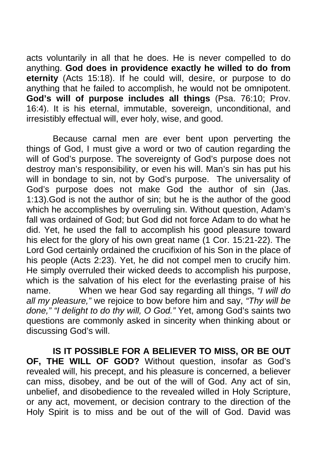acts voluntarily in all that he does. He is never compelled to do anything. **God does in providence exactly he willed to do from eternity** (Acts 15:18). If he could will, desire, or purpose to do anything that he failed to accomplish, he would not be omnipotent. **God's will of purpose includes all things** (Psa. 76:10; Prov. 16:4). It is his eternal, immutable, sovereign, unconditional, and irresistibly effectual will, ever holy, wise, and good.

 Because carnal men are ever bent upon perverting the things of God, I must give a word or two of caution regarding the will of God's purpose. The sovereignty of God's purpose does not destroy man's responsibility, or even his will. Man's sin has put his will in bondage to sin, not by God's purpose. The universality of God's purpose does not make God the author of sin (Jas. 1:13).God is not the author of sin; but he is the author of the good which he accomplishes by overruling sin. Without question, Adam's fall was ordained of God; but God did not force Adam to do what he did. Yet, he used the fall to accomplish his good pleasure toward his elect for the glory of his own great name (1 Cor. 15:21-22). The Lord God certainly ordained the crucifixion of his Son in the place of his people (Acts 2:23). Yet, he did not compel men to crucify him. He simply overruled their wicked deeds to accomplish his purpose, which is the salvation of his elect for the everlasting praise of his name. When we hear God say regarding all things, *"I will do all my pleasure,"* we rejoice to bow before him and say, *"Thy will be done," "I delight to do thy will, O God."* Yet, among God's saints two questions are commonly asked in sincerity when thinking about or discussing God's will.

 **IS IT POSSIBLE FOR A BELIEVER TO MISS, OR BE OUT OF, THE WILL OF GOD?** Without question, insofar as God's revealed will, his precept, and his pleasure is concerned, a believer can miss, disobey, and be out of the will of God. Any act of sin, unbelief, and disobedience to the revealed willed in Holy Scripture, or any act, movement, or decision contrary to the direction of the Holy Spirit is to miss and be out of the will of God. David was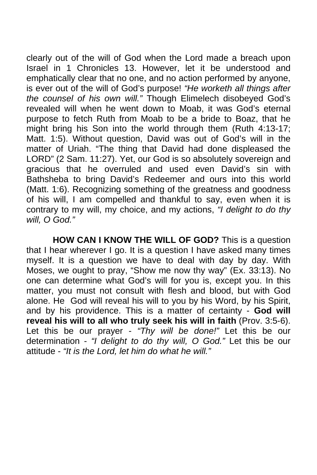clearly out of the will of God when the Lord made a breach upon Israel in 1 Chronicles 13. However, let it be understood and emphatically clear that no one, and no action performed by anyone, is ever out of the will of God's purpose! *"He worketh all things after the counsel of his own will."* Though Elimelech disobeyed God's revealed will when he went down to Moab, it was God's eternal purpose to fetch Ruth from Moab to be a bride to Boaz, that he might bring his Son into the world through them (Ruth 4:13-17; Matt. 1:5). Without question, David was out of God's will in the matter of Uriah. "The thing that David had done displeased the LORD" (2 Sam. 11:27). Yet, our God is so absolutely sovereign and gracious that he overruled and used even David's sin with Bathsheba to bring David's Redeemer and ours into this world (Matt. 1:6). Recognizing something of the greatness and goodness of his will, I am compelled and thankful to say, even when it is contrary to my will, my choice, and my actions, *"I delight to do thy will, O God."* 

 **HOW CAN I KNOW THE WILL OF GOD?** This is a question that I hear wherever I go. It is a question I have asked many times myself. It is a question we have to deal with day by day. With Moses, we ought to pray, "Show me now thy way" (Ex. 33:13). No one can determine what God's will for you is, except you. In this matter, you must not consult with flesh and blood, but with God alone. He God will reveal his will to you by his Word, by his Spirit, and by his providence. This is a matter of certainty - **God will reveal his will to all who truly seek his will in faith** (Prov. 3:5-6). Let this be our prayer - *"Thy will be done!"* Let this be our determination - *"I delight to do thy will, O God."* Let this be our attitude - *"It is the Lord, let him do what he will."*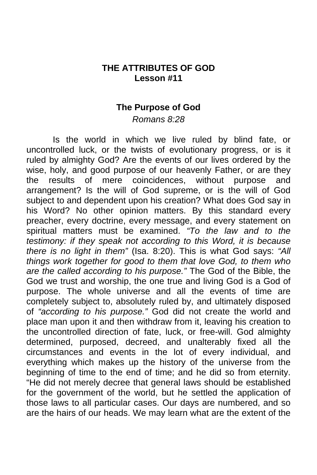## **THE ATTRIBUTES OF GOD Lesson #11**

#### **The Purpose of God**

*Romans 8:28* 

 Is the world in which we live ruled by blind fate, or uncontrolled luck, or the twists of evolutionary progress, or is it ruled by almighty God? Are the events of our lives ordered by the wise, holy, and good purpose of our heavenly Father, or are they the results of mere coincidences, without purpose and arrangement? Is the will of God supreme, or is the will of God subject to and dependent upon his creation? What does God say in his Word? No other opinion matters. By this standard every preacher, every doctrine, every message, and every statement on spiritual matters must be examined. *"To the law and to the testimony: if they speak not according to this Word, it is because there is no light in them"* (Isa. 8:20). This is what God says: *"All things work together for good to them that love God, to them who are the called according to his purpose."* The God of the Bible, the God we trust and worship, the one true and living God is a God of purpose. The whole universe and all the events of time are completely subject to, absolutely ruled by, and ultimately disposed of *"according to his purpose."* God did not create the world and place man upon it and then withdraw from it, leaving his creation to the uncontrolled direction of fate, luck, or free-will. God almighty determined, purposed, decreed, and unalterably fixed all the circumstances and events in the lot of every individual, and everything which makes up the history of the universe from the beginning of time to the end of time; and he did so from eternity. "He did not merely decree that general laws should be established for the government of the world, but he settled the application of those laws to all particular cases. Our days are numbered, and so are the hairs of our heads. We may learn what are the extent of the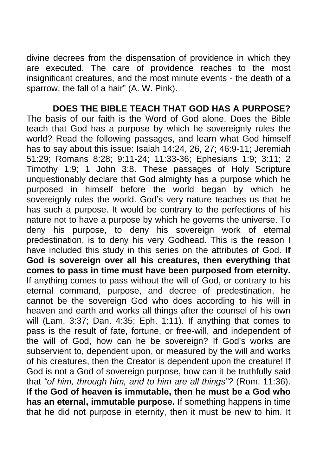divine decrees from the dispensation of providence in which they are executed. The care of providence reaches to the most insignificant creatures, and the most minute events - the death of a sparrow, the fall of a hair" (A. W. Pink).

 **DOES THE BIBLE TEACH THAT GOD HAS A PURPOSE?** The basis of our faith is the Word of God alone. Does the Bible teach that God has a purpose by which he sovereignly rules the world? Read the following passages, and learn what God himself has to say about this issue: Isaiah 14:24, 26, 27; 46:9-11; Jeremiah 51:29; Romans 8:28; 9:11-24; 11:33-36; Ephesians 1:9; 3:11; 2 Timothy 1:9; 1 John 3:8. These passages of Holy Scripture unquestionably declare that God almighty has a purpose which he purposed in himself before the world began by which he sovereignly rules the world. God's very nature teaches us that he has such a purpose. It would be contrary to the perfections of his nature not to have a purpose by which he governs the universe. To deny his purpose, to deny his sovereign work of eternal predestination, is to deny his very Godhead. This is the reason I have included this study in this series on the attributes of God. **If God is sovereign over all his creatures, then everything that comes to pass in time must have been purposed from eternity.**  If anything comes to pass without the will of God, or contrary to his eternal command, purpose, and decree of predestination, he cannot be the sovereign God who does according to his will in heaven and earth and works all things after the counsel of his own will (Lam. 3:37; Dan. 4:35; Eph. 1:11). If anything that comes to pass is the result of fate, fortune, or free-will, and independent of the will of God, how can he be sovereign? If God's works are subservient to, dependent upon, or measured by the will and works of his creatures, then the Creator is dependent upon the creature! If God is not a God of sovereign purpose, how can it be truthfully said that *"of him, through him, and to him are all things"?* (Rom. 11:36). **If the God of heaven is immutable, then he must be a God who has an eternal, immutable purpose.** If something happens in time that he did not purpose in eternity, then it must be new to him. It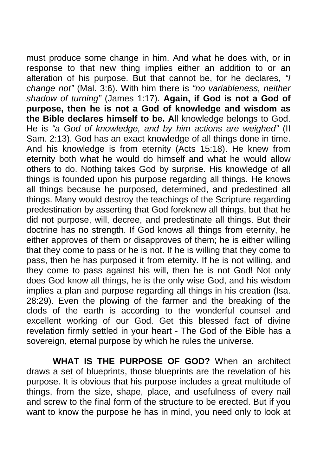must produce some change in him. And what he does with, or in response to that new thing implies either an addition to or an alteration of his purpose. But that cannot be, for he declares, *"I change not"* (Mal. 3:6). With him there is *"no variableness, neither shadow of turning"* (James 1:17). **Again, if God is not a God of purpose, then he is not a God of knowledge and wisdom as the Bible declares himself to be. A**ll knowledge belongs to God. He is *"a God of knowledge, and by him actions are weighed"* (II Sam. 2:13). God has an exact knowledge of all things done in time. And his knowledge is from eternity (Acts 15:18). He knew from eternity both what he would do himself and what he would allow others to do. Nothing takes God by surprise. His knowledge of all things is founded upon his purpose regarding all things. He knows all things because he purposed, determined, and predestined all things. Many would destroy the teachings of the Scripture regarding predestination by asserting that God foreknew all things, but that he did not purpose, will, decree, and predestinate all things. But their doctrine has no strength. If God knows all things from eternity, he either approves of them or disapproves of them; he is either willing that they come to pass or he is not. If he is willing that they come to pass, then he has purposed it from eternity. If he is not willing, and they come to pass against his will, then he is not God! Not only does God know all things, he is the only wise God, and his wisdom implies a plan and purpose regarding all things in his creation (Isa. 28:29). Even the plowing of the farmer and the breaking of the clods of the earth is according to the wonderful counsel and excellent working of our God. Get this blessed fact of divine revelation firmly settled in your heart - The God of the Bible has a sovereign, eternal purpose by which he rules the universe.

 **WHAT IS THE PURPOSE OF GOD?** When an architect draws a set of blueprints, those blueprints are the revelation of his purpose. It is obvious that his purpose includes a great multitude of things, from the size, shape, place, and usefulness of every nail and screw to the final form of the structure to be erected. But if you want to know the purpose he has in mind, you need only to look at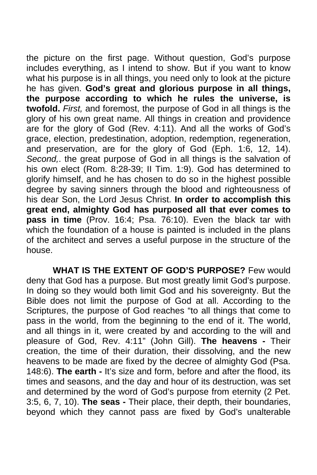the picture on the first page. Without question, God's purpose includes everything, as I intend to show. But if you want to know what his purpose is in all things, you need only to look at the picture he has given. **God's great and glorious purpose in all things, the purpose according to which he rules the universe, is twofold.** *First,* and foremost, the purpose of God in all things is the glory of his own great name. All things in creation and providence are for the glory of God (Rev. 4:11). And all the works of God's grace, election, predestination, adoption, redemption, regeneration, and preservation, are for the glory of God (Eph. 1:6, 12, 14). *Second,*. the great purpose of God in all things is the salvation of his own elect (Rom. 8:28-39; II Tim. 1:9). God has determined to glorify himself, and he has chosen to do so in the highest possible degree by saving sinners through the blood and righteousness of his dear Son, the Lord Jesus Christ. **In order to accomplish this great end, almighty God has purposed all that ever comes to pass in time** (Prov. 16:4; Psa. 76:10). Even the black tar with which the foundation of a house is painted is included in the plans of the architect and serves a useful purpose in the structure of the house.

 **WHAT IS THE EXTENT OF GOD'S PURPOSE?** Few would deny that God has a purpose. But most greatly limit God's purpose. In doing so they would both limit God and his sovereignty. But the Bible does not limit the purpose of God at all. According to the Scriptures, the purpose of God reaches "to all things that come to pass in the world, from the beginning to the end of it. The world, and all things in it, were created by and according to the will and pleasure of God, Rev. 4:11" (John Gill). **The heavens -** Their creation, the time of their duration, their dissolving, and the new heavens to be made are fixed by the decree of almighty God (Psa. 148:6). **The earth -** It's size and form, before and after the flood, its times and seasons, and the day and hour of its destruction, was set and determined by the word of God's purpose from eternity (2 Pet. 3:5, 6, 7, 10). **The seas -** Their place, their depth, their boundaries, beyond which they cannot pass are fixed by God's unalterable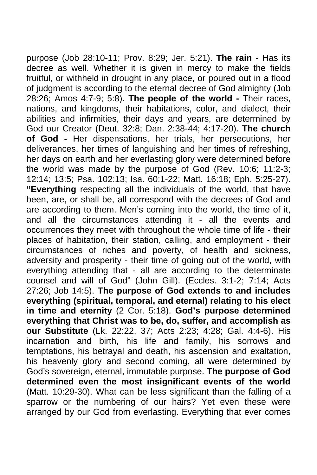purpose (Job 28:10-11; Prov. 8:29; Jer. 5:21). **The rain -** Has its decree as well. Whether it is given in mercy to make the fields fruitful, or withheld in drought in any place, or poured out in a flood of judgment is according to the eternal decree of God almighty (Job 28:26; Amos 4:7-9; 5:8). **The people of the world -** Their races, nations, and kingdoms, their habitations, color, and dialect, their abilities and infirmities, their days and years, are determined by God our Creator (Deut. 32:8; Dan. 2:38-44; 4:17-20). **The church of God -** Her dispensations, her trials, her persecutions, her deliverances, her times of languishing and her times of refreshing, her days on earth and her everlasting glory were determined before the world was made by the purpose of God (Rev. 10:6; 11:2-3; 12:14; 13:5; Psa. 102:13; Isa. 60:1-22; Matt. 16:18; Eph. 5:25-27). **"Everything** respecting all the individuals of the world, that have been, are, or shall be, all correspond with the decrees of God and are according to them. Men's coming into the world, the time of it, and all the circumstances attending it - all the events and occurrences they meet with throughout the whole time of life - their places of habitation, their station, calling, and employment - their circumstances of riches and poverty, of health and sickness, adversity and prosperity - their time of going out of the world, with everything attending that - all are according to the determinate counsel and will of God" (John Gill). (Eccles. 3:1-2; 7:14; Acts 27:26; Job 14:5). **The purpose of God extends to and includes everything (spiritual, temporal, and eternal) relating to his elect in time and eternity** (2 Cor. 5:18). **God's purpose determined everything that Christ was to be, do, suffer, and accomplish as our Substitute** (Lk. 22:22, 37; Acts 2:23; 4:28; Gal. 4:4-6). His incarnation and birth, his life and family, his sorrows and temptations, his betrayal and death, his ascension and exaltation, his heavenly glory and second coming, all were determined by God's sovereign, eternal, immutable purpose. **The purpose of God determined even the most insignificant events of the world**  (Matt. 10:29-30). What can be less significant than the falling of a sparrow or the numbering of our hairs? Yet even these were arranged by our God from everlasting. Everything that ever comes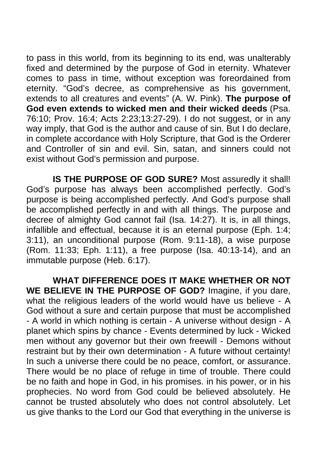to pass in this world, from its beginning to its end, was unalterably fixed and determined by the purpose of God in eternity. Whatever comes to pass in time, without exception was foreordained from eternity. "God's decree, as comprehensive as his government, extends to all creatures and events" (A. W. Pink). **The purpose of God even extends to wicked men and their wicked deeds** (Psa. 76:10; Prov. 16:4; Acts 2:23;13:27-29). I do not suggest, or in any way imply, that God is the author and cause of sin. But I do declare, in complete accordance with Holy Scripture, that God is the Orderer and Controller of sin and evil. Sin, satan, and sinners could not exist without God's permission and purpose.

 **IS THE PURPOSE OF GOD SURE?** Most assuredly it shall! God's purpose has always been accomplished perfectly. God's purpose is being accomplished perfectly. And God's purpose shall be accomplished perfectly in and with all things. The purpose and decree of almighty God cannot fail (Isa. 14:27). It is, in all things, infallible and effectual, because it is an eternal purpose (Eph. 1:4; 3:11), an unconditional purpose (Rom. 9:11-18), a wise purpose (Rom. 11:33; Eph. 1:11), a free purpose (Isa. 40:13-14), and an immutable purpose (Heb. 6:17).

 **WHAT DIFFERENCE DOES IT MAKE WHETHER OR NOT WE BELIEVE IN THE PURPOSE OF GOD?** Imagine, if you dare, what the religious leaders of the world would have us believe - A God without a sure and certain purpose that must be accomplished - A world in which nothing is certain - A universe without design - A planet which spins by chance - Events determined by luck - Wicked men without any governor but their own freewill - Demons without restraint but by their own determination - A future without certainty! In such a universe there could be no peace, comfort, or assurance. There would be no place of refuge in time of trouble. There could be no faith and hope in God, in his promises. in his power, or in his prophecies. No word from God could be believed absolutely. He cannot be trusted absolutely who does not control absolutely. Let us give thanks to the Lord our God that everything in the universe is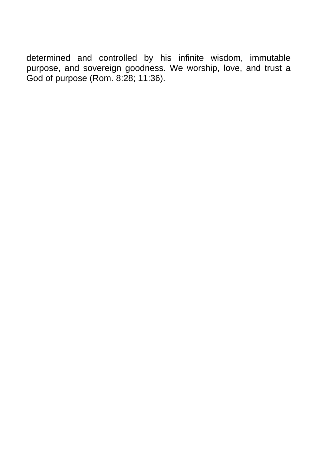determined and controlled by his infinite wisdom, immutable purpose, and sovereign goodness. We worship, love, and trust a God of purpose (Rom. 8:28; 11:36).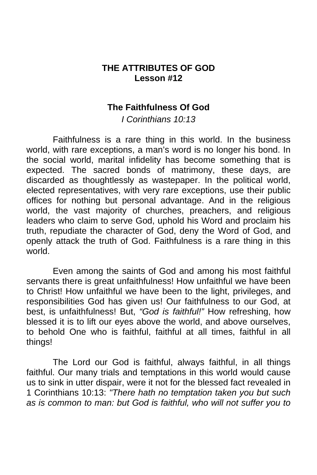# **THE ATTRIBUTES OF GOD Lesson #12**

### **The Faithfulness Of God**

*I Corinthians 10:13* 

 Faithfulness is a rare thing in this world. In the business world, with rare exceptions, a man's word is no longer his bond. In the social world, marital infidelity has become something that is expected. The sacred bonds of matrimony, these days, are discarded as thoughtlessly as wastepaper. In the political world, elected representatives, with very rare exceptions, use their public offices for nothing but personal advantage. And in the religious world, the vast majority of churches, preachers, and religious leaders who claim to serve God, uphold his Word and proclaim his truth, repudiate the character of God, deny the Word of God, and openly attack the truth of God. Faithfulness is a rare thing in this world.

 Even among the saints of God and among his most faithful servants there is great unfaithfulness! How unfaithful we have been to Christ! How unfaithful we have been to the light, privileges, and responsibilities God has given us! Our faithfulness to our God, at best, is unfaithfulness! But, *"God is faithful!"* How refreshing, how blessed it is to lift our eyes above the world, and above ourselves, to behold One who is faithful, faithful at all times, faithful in all things!

 The Lord our God is faithful, always faithful, in all things faithful. Our many trials and temptations in this world would cause us to sink in utter dispair, were it not for the blessed fact revealed in 1 Corinthians 10:13: *"There hath no temptation taken you but such as is common to man: but God is faithful, who will not suffer you to*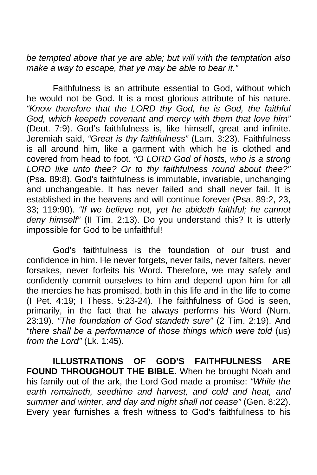*be tempted above that ye are able; but will with the temptation also make a way to escape, that ye may be able to bear it."* 

 Faithfulness is an attribute essential to God, without which he would not be God. It is a most glorious attribute of his nature. *"Know therefore that the LORD thy God, he is God, the faithful God, which keepeth covenant and mercy with them that love him"*  (Deut. 7:9). God's faithfulness is, like himself, great and infinite. Jeremiah said, *"Great is thy faithfulness"* (Lam. 3:23). Faithfulness is all around him, like a garment with which he is clothed and covered from head to foot. *"O LORD God of hosts, who is a strong LORD like unto thee? Or to thy faithfulness round about thee?"*  (Psa. 89:8). God's faithfulness is immutable, invariable, unchanging and unchangeable. It has never failed and shall never fail. It is established in the heavens and will continue forever (Psa. 89:2, 23, 33; 119:90). *"If we believe not, yet he abideth faithful; he cannot deny himself"* (II Tim. 2:13). Do you understand this? It is utterly impossible for God to be unfaithful!

 God's faithfulness is the foundation of our trust and confidence in him. He never forgets, never fails, never falters, never forsakes, never forfeits his Word. Therefore, we may safely and confidently commit ourselves to him and depend upon him for all the mercies he has promised, both in this life and in the life to come (I Pet. 4:19; I Thess. 5:23-24). The faithfulness of God is seen, primarily, in the fact that he always performs his Word (Num. 23:19). *"The foundation of God standeth sure"* (2 Tim. 2:19). And *"there shall be a performance of those things which were told* (us) *from the Lord"* (Lk. 1:45).

 **ILLUSTRATIONS OF GOD'S FAITHFULNESS ARE FOUND THROUGHOUT THE BIBLE.** When he brought Noah and his family out of the ark, the Lord God made a promise: *"While the earth remaineth, seedtime and harvest, and cold and heat, and summer and winter, and day and night shall not cease"* (Gen. 8:22). Every year furnishes a fresh witness to God's faithfulness to his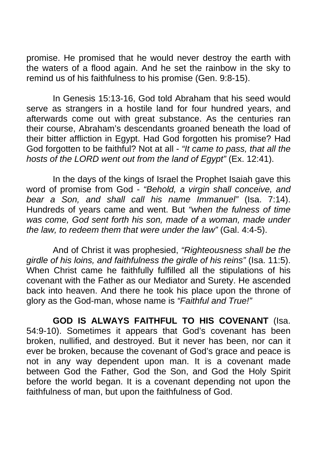promise. He promised that he would never destroy the earth with the waters of a flood again. And he set the rainbow in the sky to remind us of his faithfulness to his promise (Gen. 9:8-15).

 In Genesis 15:13-16, God told Abraham that his seed would serve as strangers in a hostile land for four hundred years, and afterwards come out with great substance. As the centuries ran their course, Abraham's descendants groaned beneath the load of their bitter affliction in Egypt. Had God forgotten his promise? Had God forgotten to be faithful? Not at all - *"It came to pass, that all the hosts of the LORD went out from the land of Egypt"* (Ex. 12:41).

 In the days of the kings of Israel the Prophet Isaiah gave this word of promise from God - *"Behold, a virgin shall conceive, and bear a Son, and shall call his name Immanuel"* (Isa. 7:14). Hundreds of years came and went. But *"when the fulness of time was come, God sent forth his son, made of a woman, made under the law, to redeem them that were under the law"* (Gal. 4:4-5).

 And of Christ it was prophesied, *"Righteousness shall be the girdle of his loins, and faithfulness the girdle of his reins"* (Isa. 11:5). When Christ came he faithfully fulfilled all the stipulations of his covenant with the Father as our Mediator and Surety. He ascended back into heaven. And there he took his place upon the throne of glory as the God-man, whose name is *"Faithful and True!"* 

 **GOD IS ALWAYS FAITHFUL TO HIS COVENANT** (Isa. 54:9-10). Sometimes it appears that God's covenant has been broken, nullified, and destroyed. But it never has been, nor can it ever be broken, because the covenant of God's grace and peace is not in any way dependent upon man. It is a covenant made between God the Father, God the Son, and God the Holy Spirit before the world began. It is a covenant depending not upon the faithfulness of man, but upon the faithfulness of God.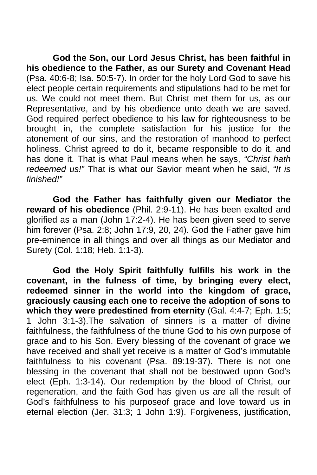**God the Son, our Lord Jesus Christ, has been faithful in his obedience to the Father, as our Surety and Covenant Head**  (Psa. 40:6-8; Isa. 50:5-7). In order for the holy Lord God to save his elect people certain requirements and stipulations had to be met for us. We could not meet them. But Christ met them for us, as our Representative, and by his obedience unto death we are saved. God required perfect obedience to his law for righteousness to be brought in, the complete satisfaction for his justice for the atonement of our sins, and the restoration of manhood to perfect holiness. Christ agreed to do it, became responsible to do it, and has done it. That is what Paul means when he says, *"Christ hath redeemed us!"* That is what our Savior meant when he said, *"It is finished!"* 

**God the Father has faithfully given our Mediator the reward of his obedience** (Phil. 2:9-11). He has been exalted and glorified as a man (John 17:2-4). He has been given seed to serve him forever (Psa. 2:8; John 17:9, 20, 24). God the Father gave him pre-eminence in all things and over all things as our Mediator and Surety (Col. 1:18; Heb. 1:1-3).

**God the Holy Spirit faithfully fulfills his work in the covenant, in the fulness of time, by bringing every elect, redeemed sinner in the world into the kingdom of grace, graciously causing each one to receive the adoption of sons to which they were predestined from eternity** (Gal. 4:4-7; Eph. 1:5; 1 John 3:1-3).The salvation of sinners is a matter of divine faithfulness, the faithfulness of the triune God to his own purpose of grace and to his Son. Every blessing of the covenant of grace we have received and shall yet receive is a matter of God's immutable faithfulness to his covenant (Psa. 89:19-37). There is not one blessing in the covenant that shall not be bestowed upon God's elect (Eph. 1:3-14). Our redemption by the blood of Christ, our regeneration, and the faith God has given us are all the result of God's faithfulness to his purposeof grace and love toward us in eternal election (Jer. 31:3; 1 John 1:9). Forgiveness, justification,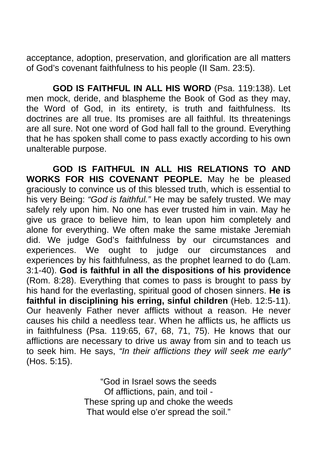acceptance, adoption, preservation, and glorification are all matters of God's covenant faithfulness to his people (II Sam. 23:5).

 **GOD IS FAITHFUL IN ALL HIS WORD** (Psa. 119:138). Let men mock, deride, and blaspheme the Book of God as they may, the Word of God, in its entirety, is truth and faithfulness. Its doctrines are all true. Its promises are all faithful. Its threatenings are all sure. Not one word of God hall fall to the ground. Everything that he has spoken shall come to pass exactly according to his own unalterable purpose.

 **GOD IS FAITHFUL IN ALL HIS RELATIONS TO AND WORKS FOR HIS COVENANT PEOPLE.** May he be pleased graciously to convince us of this blessed truth, which is essential to his very Being: *"God is faithful."* He may be safely trusted. We may safely rely upon him. No one has ever trusted him in vain. May he give us grace to believe him, to lean upon him completely and alone for everything. We often make the same mistake Jeremiah did. We judge God's faithfulness by our circumstances and experiences. We ought to judge our circumstances and experiences by his faithfulness, as the prophet learned to do (Lam. 3:1-40). **God is faithful in all the dispositions of his providence**  (Rom. 8:28). Everything that comes to pass is brought to pass by his hand for the everlasting, spiritual good of chosen sinners. **He is faithful in disciplining his erring, sinful children** (Heb. 12:5-11). Our heavenly Father never afflicts without a reason. He never causes his child a needless tear. When he afflicts us, he afflicts us in faithfulness (Psa. 119:65, 67, 68, 71, 75). He knows that our afflictions are necessary to drive us away from sin and to teach us to seek him. He says, *"In their afflictions they will seek me early"*  (Hos. 5:15).

> "God in Israel sows the seeds Of afflictions, pain, and toil - These spring up and choke the weeds That would else o'er spread the soil."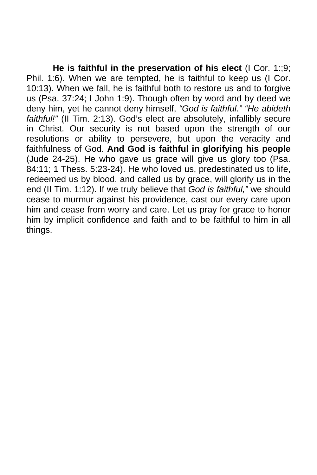**He is faithful in the preservation of his elect** (I Cor. 1:;9; Phil. 1:6). When we are tempted, he is faithful to keep us (I Cor. 10:13). When we fall, he is faithful both to restore us and to forgive us (Psa. 37:24; I John 1:9). Though often by word and by deed we deny him, yet he cannot deny himself, *"God is faithful." "He abideth faithful!"* (II Tim. 2:13). God's elect are absolutely, infallibly secure in Christ. Our security is not based upon the strength of our resolutions or ability to persevere, but upon the veracity and faithfulness of God. **And God is faithful in glorifying his people**  (Jude 24-25). He who gave us grace will give us glory too (Psa. 84:11; 1 Thess. 5:23-24). He who loved us, predestinated us to life, redeemed us by blood, and called us by grace, will glorify us in the end (II Tim. 1:12). If we truly believe that *God is faithful,"* we should cease to murmur against his providence, cast our every care upon him and cease from worry and care. Let us pray for grace to honor him by implicit confidence and faith and to be faithful to him in all things.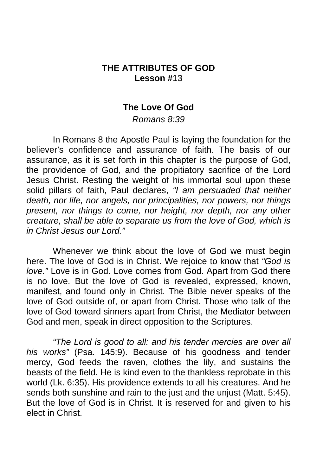### **THE ATTRIBUTES OF GOD Lesson #**13

#### **The Love Of God**

*Romans 8:39* 

 In Romans 8 the Apostle Paul is laying the foundation for the believer's confidence and assurance of faith. The basis of our assurance, as it is set forth in this chapter is the purpose of God, the providence of God, and the propitiatory sacrifice of the Lord Jesus Christ. Resting the weight of his immortal soul upon these solid pillars of faith, Paul declares, *"I am persuaded that neither death, nor life, nor angels, nor principalities, nor powers, nor things present, nor things to come, nor height, nor depth, nor any other creature, shall be able to separate us from the love of God, which is in Christ Jesus our Lord."* 

 Whenever we think about the love of God we must begin here. The love of God is in Christ. We rejoice to know that *"God is love."* Love is in God. Love comes from God. Apart from God there is no love. But the love of God is revealed, expressed, known, manifest, and found only in Christ. The Bible never speaks of the love of God outside of, or apart from Christ. Those who talk of the love of God toward sinners apart from Christ, the Mediator between God and men, speak in direct opposition to the Scriptures.

*"The Lord is good to all: and his tender mercies are over all his works"* (Psa. 145:9). Because of his goodness and tender mercy, God feeds the raven, clothes the lily, and sustains the beasts of the field. He is kind even to the thankless reprobate in this world (Lk. 6:35). His providence extends to all his creatures. And he sends both sunshine and rain to the just and the unjust (Matt. 5:45). But the love of God is in Christ. It is reserved for and given to his elect in Christ.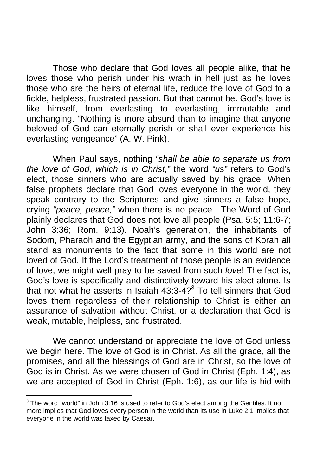Those who declare that God loves all people alike, that he loves those who perish under his wrath in hell just as he loves those who are the heirs of eternal life, reduce the love of God to a fickle, helpless, frustrated passion. But that cannot be. God's love is like himself, from everlasting to everlasting, immutable and unchanging. "Nothing is more absurd than to imagine that anyone beloved of God can eternally perish or shall ever experience his everlasting vengeance" (A. W. Pink).

 When Paul says, nothing *"shall be able to separate us from the love of God, which is in Christ,"* the word *"us"* refers to God's elect, those sinners who are actually saved by his grac[e.](#page-77-0) When false prophets declare that God loves everyone in the world, they speak contrary to the Scriptures and give sinners a false hope, crying *"peace, peace,"* when there is no peace. The Word of God plainly declares that God does not love all people (Psa. 5:5; 11:6-7; John 3:36; Rom. 9:13). Noah's generation, the inhabitants of Sodom, Pharaoh and the Egyptian army, and the sons of Korah all stand as monuments to the fact that some in this world are not loved of God. If the Lord's treatment of those people is an evidence of love, we might well pray to be saved from such *love*! The fact is, God's love is specifically and distinctively toward his elect alone. Is that not what he asserts in Isaiah  $43:3-4?$ <sup>3</sup> To tell sinners that God loves them regardless of their relationship to Christ is either an assurance of salvation without Christ, or a declaration that God is weak, mutable, helpless, and frustrated.

 We cannot understand or appreciate the love of God unless we begin here. The love of God is in Christ. As all the grace, all the promises, and all the blessings of God are in Christ, so the love of God is in Christ. As we were chosen of God in Christ (Eph. 1:4), as we are accepted of God in Christ (Eph. 1:6), as our life is hid with

<u>.</u>

<span id="page-77-0"></span> $3$  The word "world" in John 3:16 is used to refer to God's elect among the Gentiles. It no more implies that God loves every person in the world than its use in Luke 2:1 implies that everyone in the world was taxed by Caesar.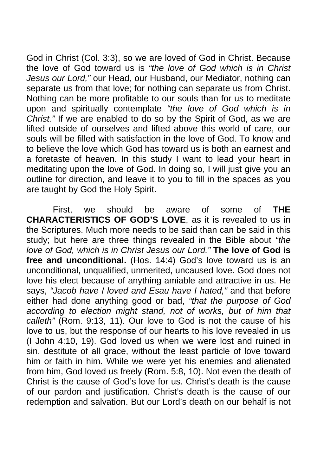God in Christ (Col. 3:3), so we are loved of God in Christ. Because the love of God toward us is *"the love of God which is in Christ Jesus our Lord,"* our Head, our Husband, our Mediator, nothing can separate us from that love; for nothing can separate us from Christ. Nothing can be more profitable to our souls than for us to meditate upon and spiritually contemplate *"the love of God which is in Christ."* If we are enabled to do so by the Spirit of God, as we are lifted outside of ourselves and lifted above this world of care, our souls will be filled with satisfaction in the love of God. To know and to believe the love which God has toward us is both an earnest and a foretaste of heaven. In this study I want to lead your heart in meditating upon the love of God. In doing so, I will just give you an outline for direction, and leave it to you to fill in the spaces as you are taught by God the Holy Spirit.

 First, we should be aware of some of **THE CHARACTERISTICS OF GOD'S LOVE**, as it is revealed to us in the Scriptures. Much more needs to be said than can be said in this study; but here are three things revealed in the Bible about *"the love of God, which is in Christ Jesus our Lord."* **The love of God is free and unconditional.** (Hos. 14:4) God's love toward us is an unconditional, unqualified, unmerited, uncaused love. God does not love his elect because of anything amiable and attractive in us. He says, *"Jacob have I loved and Esau have I hated,"* and that before either had done anything good or bad, *"that the purpose of God according to election might stand, not of works, but of him that calleth"* (Rom. 9:13, 11). Our love to God is not the cause of his love to us, but the response of our hearts to his love revealed in us (I John 4:10, 19). God loved us when we were lost and ruined in sin, destitute of all grace, without the least particle of love toward him or faith in him. While we were yet his enemies and alienated from him, God loved us freely (Rom. 5:8, 10). Not even the death of Christ is the cause of God's love for us. Christ's death is the cause of our pardon and justification. Christ's death is the cause of our redemption and salvation. But our Lord's death on our behalf is not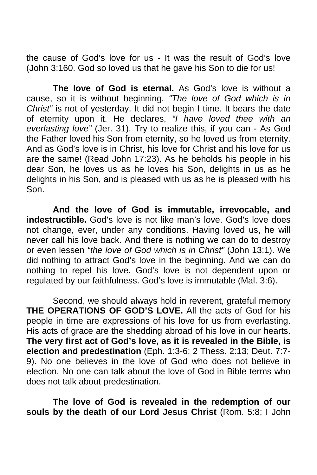the cause of God's love for us - It was the result of God's love (John 3:160. God so loved us that he gave his Son to die for us!

**The love of God is eternal.** As God's love is without a cause, so it is without beginning. *"The love of God which is in Christ"* is not of yesterday. It did not begin I time. It bears the date of eternity upon it. He declares, *"I have loved thee with an everlasting love"* (Jer. 31). Try to realize this, if you can - As God the Father loved his Son from eternity, so he loved us from eternity. And as God's love is in Christ, his love for Christ and his love for us are the same! (Read John 17:23). As he beholds his people in his dear Son, he loves us as he loves his Son, delights in us as he delights in his Son, and is pleased with us as he is pleased with his Son.

**And the love of God is immutable, irrevocable, and indestructible.** God's love is not like man's love. God's love does not change, ever, under any conditions. Having loved us, he will never call his love back. And there is nothing we can do to destroy or even lessen *"the love of God which is in Christ"* (John 13:1). We did nothing to attract God's love in the beginning. And we can do nothing to repel his love. God's love is not dependent upon or regulated by our faithfulness. God's love is immutable (Mal. 3:6).

Second, we should always hold in reverent, grateful memory **THE OPERATIONS OF GOD'S LOVE.** All the acts of God for his people in time are expressions of his love for us from everlasting. His acts of grace are the shedding abroad of his love in our hearts. **The very first act of God's love, as it is revealed in the Bible, is election and predestination** (Eph. 1:3-6; 2 Thess. 2:13; Deut. 7:7- 9). No one believes in the love of God who does not believe in election. No one can talk about the love of God in Bible terms who does not talk about predestination.

**The love of God is revealed in the redemption of our souls by the death of our Lord Jesus Christ** (Rom. 5:8; I John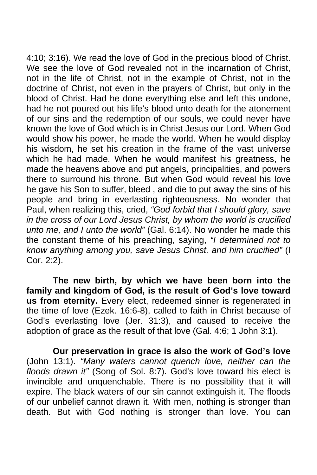4:10; 3:16). We read the love of God in the precious blood of Christ. We see the love of God revealed not in the incarnation of Christ, not in the life of Christ, not in the example of Christ, not in the doctrine of Christ, not even in the prayers of Christ, but only in the blood of Christ. Had he done everything else and left this undone, had he not poured out his life's blood unto death for the atonement of our sins and the redemption of our souls, we could never have known the love of God which is in Christ Jesus our Lord. When God would show his power, he made the world. When he would display his wisdom, he set his creation in the frame of the vast universe which he had made. When he would manifest his greatness, he made the heavens above and put angels, principalities, and powers there to surround his throne. But when God would reveal his love he gave his Son to suffer, bleed , and die to put away the sins of his people and bring in everlasting righteousness. No wonder that Paul, when realizing this, cried, *"God forbid that I should glory, save in the cross of our Lord Jesus Christ, by whom the world is crucified unto me, and I unto the world"* (Gal. 6:14). No wonder he made this the constant theme of his preaching, saying, *"I determined not to know anything among you, save Jesus Christ, and him crucified"* (I Cor. 2:2).

 **The new birth, by which we have been born into the family and kingdom of God, is the result of God's love toward us from eternity.** Every elect, redeemed sinner is regenerated in the time of love (Ezek. 16:6-8), called to faith in Christ because of God's everlasting love (Jer. 31:3), and caused to receive the adoption of grace as the result of that love (Gal. 4:6; 1 John 3:1).

 **Our preservation in grace is also the work of God's love**  (John 13:1). *"Many waters cannot quench love, neither can the floods drawn it"* (Song of Sol. 8:7). God's love toward his elect is invincible and unquenchable. There is no possibility that it will expire. The black waters of our sin cannot extinguish it. The floods of our unbelief cannot drawn it. With men, nothing is stronger than death. But with God nothing is stronger than love. You can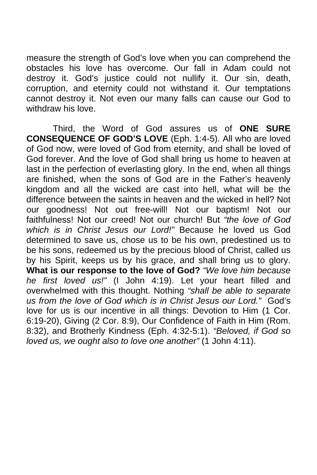measure the strength of God's love when you can comprehend the obstacles his love has overcome. Our fall in Adam could not destroy it. God's justice could not nullify it. Our sin, death, corruption, and eternity could not withstand it. Our temptations cannot destroy it. Not even our many falls can cause our God to withdraw his love.

Third, the Word of God assures us of **ONE SURE CONSEQUENCE OF GOD'S LOVE** (Eph. 1:4-5). All who are loved of God now, were loved of God from eternity, and shall be loved of God forever. And the love of God shall bring us home to heaven at last in the perfection of everlasting glory. In the end, when all things are finished, when the sons of God are in the Father's heavenly kingdom and all the wicked are cast into hell, what will be the difference between the saints in heaven and the wicked in hell? Not our goodness! Not out free-will! Not our baptism! Not our faithfulness! Not our creed! Not our church! But *"the love of God which is in Christ Jesus our Lord!"* Because he loved us God determined to save us, chose us to be his own, predestined us to be his sons, redeemed us by the precious blood of Christ, called us by his Spirit, keeps us by his grace, and shall bring us to glory. **What is our response to the love of God?** *"We love him because he first loved us!"* (I John 4:19). Let your heart filled and overwhelmed with this thought. Nothing *"shall be able to separate us from the love of God which is in Christ Jesus our Lord."* God's love for us is our incentive in all things: Devotion to Him (1 Cor. 6:19-20), Giving (2 Cor. 8:9), Our Confidence of Faith in Him (Rom. 8:32), and Brotherly Kindness (Eph. 4:32-5:1). *"Beloved, if God so loved us, we ought also to love one another"* (1 John 4:11).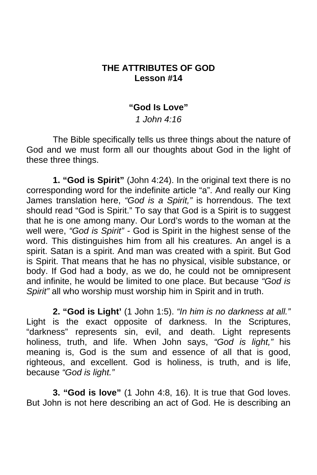# **THE ATTRIBUTES OF GOD Lesson #14**

#### **"God Is Love"**

#### *1 John 4:16*

 The Bible specifically tells us three things about the nature of God and we must form all our thoughts about God in the light of these three things.

**1. "God is Spirit"** (John 4:24). In the original text there is no corresponding word for the indefinite article "a". And really our King James translation here, *"God is a Spirit,"* is horrendous. The text should read "God is Spirit." To say that God is a Spirit is to suggest that he is one among many. Our Lord's words to the woman at the well were, *"God is Spirit" -* God is Spirit in the highest sense of the word. This distinguishes him from all his creatures. An angel is a spirit. Satan is a spirit. And man was created with a spirit. But God is Spirit. That means that he has no physical, visible substance, or body. If God had a body, as we do, he could not be omnipresent and infinite, he would be limited to one place. But because *"God is Spirit"* all who worship must worship him in Spirit and in truth.

**2. "God is Light'** (1 John 1:5). *"In him is no darkness at all."*  Light is the exact opposite of darkness. In the Scriptures, "darkness" represents sin, evil, and death. Light represents holiness, truth, and life. When John says, *"God is light,"* his meaning is, God is the sum and essence of all that is good, righteous, and excellent. God is holiness, is truth, and is life, because *"God is light."* 

**3. "God is love"** (1 John 4:8, 16). It is true that God loves. But John is not here describing an act of God. He is describing an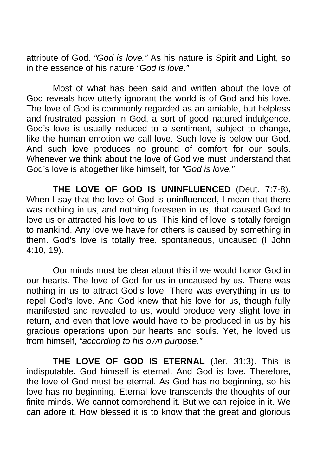attribute of God. *"God is love."* As his nature is Spirit and Light, so in the essence of his nature *"God is love."*

 Most of what has been said and written about the love of God reveals how utterly ignorant the world is of God and his love. The love of God is commonly regarded as an amiable, but helpless and frustrated passion in God, a sort of good natured indulgence. God's love is usually reduced to a sentiment, subject to change, like the human emotion we call love. Such love is below our God. And such love produces no ground of comfort for our souls. Whenever we think about the love of God we must understand that God's love is altogether like himself, for *"God is love."* 

 **THE LOVE OF GOD IS UNINFLUENCED** (Deut. 7:7-8). When I say that the love of God is uninfluenced, I mean that there was nothing in us, and nothing foreseen in us, that caused God to love us or attracted his love to us. This kind of love is totally foreign to mankind. Any love we have for others is caused by something in them. God's love is totally free, spontaneous, uncaused (I John 4:10, 19).

 Our minds must be clear about this if we would honor God in our hearts. The love of God for us in uncaused by us. There was nothing in us to attract God's love. There was everything in us to repel God's love. And God knew that his love for us, though fully manifested and revealed to us, would produce very slight love in return, and even that love would have to be produced in us by his gracious operations upon our hearts and souls. Yet, he loved us from himself, *"according to his own purpose."*

 **THE LOVE OF GOD IS ETERNAL** (Jer. 31:3). This is indisputable. God himself is eternal. And God is love. Therefore, the love of God must be eternal. As God has no beginning, so his love has no beginning. Eternal love transcends the thoughts of our finite minds. We cannot comprehend it. But we can rejoice in it. We can adore it. How blessed it is to know that the great and glorious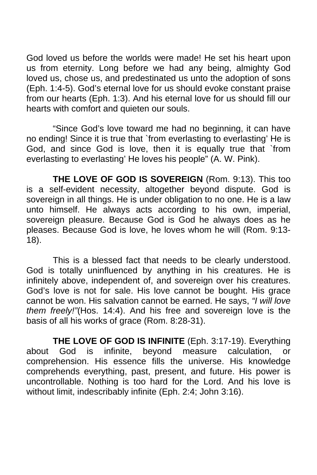God loved us before the worlds were made! He set his heart upon us from eternity. Long before we had any being, almighty God loved us, chose us, and predestinated us unto the adoption of sons (Eph. 1:4-5). God's eternal love for us should evoke constant praise from our hearts (Eph. 1:3). And his eternal love for us should fill our hearts with comfort and quieten our souls.

 "Since God's love toward me had no beginning, it can have no ending! Since it is true that `from everlasting to everlasting' He is God, and since God is love, then it is equally true that `from everlasting to everlasting' He loves his people" (A. W. Pink).

 **THE LOVE OF GOD IS SOVEREIGN** (Rom. 9:13). This too is a self-evident necessity, altogether beyond dispute. God is sovereign in all things. He is under obligation to no one. He is a law unto himself. He always acts according to his own, imperial, sovereign pleasure. Because God is God he always does as he pleases. Because God is love, he loves whom he will (Rom. 9:13- 18).

 This is a blessed fact that needs to be clearly understood. God is totally uninfluenced by anything in his creatures. He is infinitely above, independent of, and sovereign over his creatures. God's love is not for sale. His love cannot be bought. His grace cannot be won. His salvation cannot be earned. He says, *"I will love them freely!"*(Hos. 14:4). And his free and sovereign love is the basis of all his works of grace (Rom. 8:28-31).

 **THE LOVE OF GOD IS INFINITE** (Eph. 3:17-19). Everything about God is infinite, beyond measure calculation, comprehension. His essence fills the universe. His knowledge comprehends everything, past, present, and future. His power is uncontrollable. Nothing is too hard for the Lord. And his love is without limit, indescribably infinite (Eph. 2:4; John 3:16).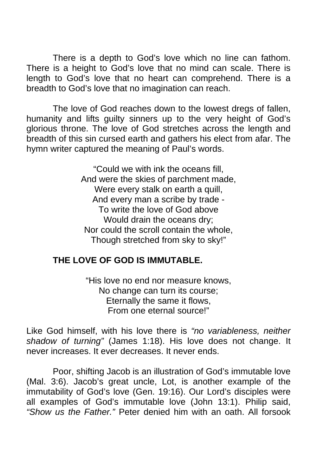There is a depth to God's love which no line can fathom. There is a height to God's love that no mind can scale. There is length to God's love that no heart can comprehend. There is a breadth to God's love that no imagination can reach.

 The love of God reaches down to the lowest dregs of fallen, humanity and lifts guilty sinners up to the very height of God's glorious throne. The love of God stretches across the length and breadth of this sin cursed earth and gathers his elect from afar. The hymn writer captured the meaning of Paul's words.

> "Could we with ink the oceans fill, And were the skies of parchment made, Were every stalk on earth a quill, And every man a scribe by trade - To write the love of God above Would drain the oceans dry; Nor could the scroll contain the whole, Though stretched from sky to sky!"

# **THE LOVE OF GOD IS IMMUTABLE.**

"His love no end nor measure knows, No change can turn its course; Eternally the same it flows, From one eternal source!"

Like God himself, with his love there is *"no variableness, neither shadow of turning"* (James 1:18). His love does not change. It never increases. It ever decreases. It never ends.

 Poor, shifting Jacob is an illustration of God's immutable love (Mal. 3:6). Jacob's great uncle, Lot, is another example of the immutability of God's love (Gen. 19:16). Our Lord's disciples were all examples of God's immutable love (John 13:1). Philip said, *"Show us the Father."* Peter denied him with an oath. All forsook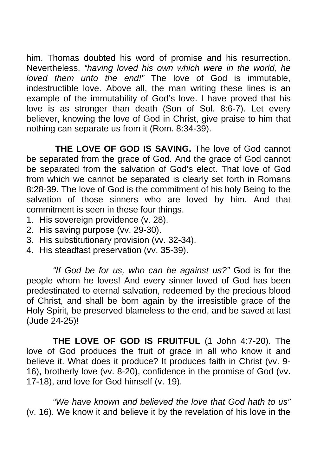him. Thomas doubted his word of promise and his resurrection. Nevertheless, *"having loved his own which were in the world, he loved them unto the end!"* The love of God is immutable, indestructible love. Above all, the man writing these lines is an example of the immutability of God's love. I have proved that his love is as stronger than death (Son of Sol. 8:6-7). Let every believer, knowing the love of God in Christ, give praise to him that nothing can separate us from it (Rom. 8:34-39).

**THE LOVE OF GOD IS SAVING.** The love of God cannot be separated from the grace of God. And the grace of God cannot be separated from the salvation of God's elect. That love of God from which we cannot be separated is clearly set forth in Romans 8:28-39. The love of God is the commitment of his holy Being to the salvation of those sinners who are loved by him. And that commitment is seen in these four things.

- 1. His sovereign providence (v. 28).
- 2. His saving purpose (vv. 29-30).
- 3. His substitutionary provision (vv. 32-34).
- 4. His steadfast preservation (vv. 35-39).

*"If God be for us, who can be against us?"* God is for the people whom he loves! And every sinner loved of God has been predestinated to eternal salvation, redeemed by the precious blood of Christ, and shall be born again by the irresistible grace of the Holy Spirit, be preserved blameless to the end, and be saved at last (Jude 24-25)!

 **THE LOVE OF GOD IS FRUITFUL** (1 John 4:7-20). The love of God produces the fruit of grace in all who know it and believe it. What does it produce? It produces faith in Christ (vv. 9- 16), brotherly love (vv. 8-20), confidence in the promise of God (vv. 17-18), and love for God himself (v. 19).

*"We have known and believed the love that God hath to us"*  (v. 16). We know it and believe it by the revelation of his love in the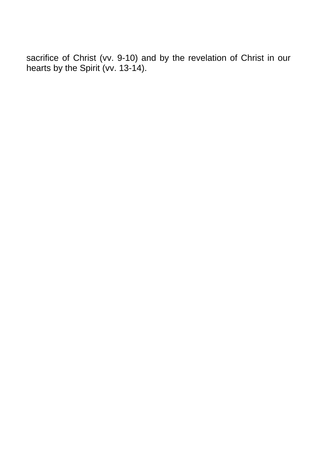sacrifice of Christ (vv. 9-10) and by the revelation of Christ in our hearts by the Spirit (vv. 13-14).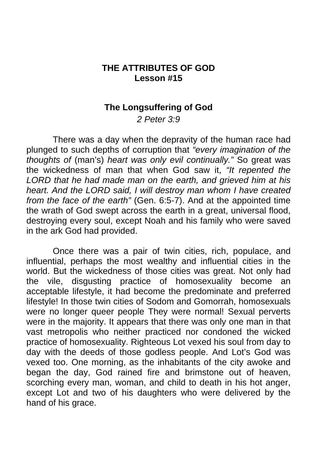### **THE ATTRIBUTES OF GOD Lesson #15**

#### **The Longsuffering of God**

*2 Peter 3:9* 

 There was a day when the depravity of the human race had plunged to such depths of corruption that *"every imagination of the thoughts of* (man's) *heart was only evil continually."* So great was the wickedness of man that when God saw it, *"It repented the LORD that he had made man on the earth, and grieved him at his heart. And the LORD said, I will destroy man whom I have created from the face of the earth"* (Gen. 6:5-7). And at the appointed time the wrath of God swept across the earth in a great, universal flood, destroying every soul, except Noah and his family who were saved in the ark God had provided.

 Once there was a pair of twin cities, rich, populace, and influential, perhaps the most wealthy and influential cities in the world. But the wickedness of those cities was great. Not only had the vile, disgusting practice of homosexuality become an acceptable lifestyle, it had become the predominate and preferred lifestyle! In those twin cities of Sodom and Gomorrah, homosexuals were no longer queer people They were normal! Sexual perverts were in the majority. It appears that there was only one man in that vast metropolis who neither practiced nor condoned the wicked practice of homosexuality. Righteous Lot vexed his soul from day to day with the deeds of those godless people. And Lot's God was vexed too. One morning, as the inhabitants of the city awoke and began the day, God rained fire and brimstone out of heaven, scorching every man, woman, and child to death in his hot anger, except Lot and two of his daughters who were delivered by the hand of his grace.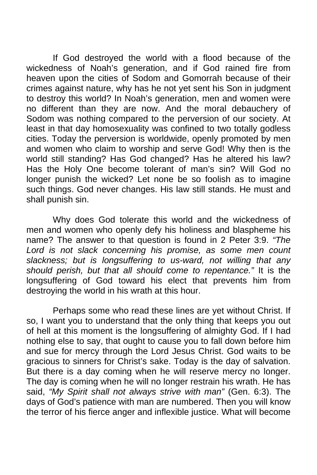If God destroyed the world with a flood because of the wickedness of Noah's generation, and if God rained fire from heaven upon the cities of Sodom and Gomorrah because of their crimes against nature, why has he not yet sent his Son in judgment to destroy this world? In Noah's generation, men and women were no different than they are now. And the moral debauchery of Sodom was nothing compared to the perversion of our society. At least in that day homosexuality was confined to two totally godless cities. Today the perversion is worldwide, openly promoted by men and women who claim to worship and serve God! Why then is the world still standing? Has God changed? Has he altered his law? Has the Holy One become tolerant of man's sin? Will God no longer punish the wicked? Let none be so foolish as to imagine such things. God never changes. His law still stands. He must and shall punish sin.

 Why does God tolerate this world and the wickedness of men and women who openly defy his holiness and blaspheme his name? The answer to that question is found in 2 Peter 3:9. *"The Lord is not slack concerning his promise, as some men count slackness; but is longsuffering to us-ward, not willing that any should perish, but that all should come to repentance."* It is the longsuffering of God toward his elect that prevents him from destroying the world in his wrath at this hour.

 Perhaps some who read these lines are yet without Christ. If so, I want you to understand that the only thing that keeps you out of hell at this moment is the longsuffering of almighty God. If I had nothing else to say, that ought to cause you to fall down before him and sue for mercy through the Lord Jesus Christ. God waits to be gracious to sinners for Christ's sake. Today is the day of salvation. But there is a day coming when he will reserve mercy no longer. The day is coming when he will no longer restrain his wrath. He has said, *"My Spirit shall not always strive with man"* (Gen. 6:3). The days of God's patience with man are numbered. Then you will know the terror of his fierce anger and inflexible justice. What will become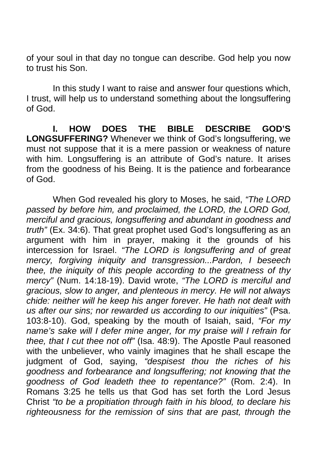of your soul in that day no tongue can describe. God help you now to trust his Son.

In this study I want to raise and answer four questions which, I trust, will help us to understand something about the longsuffering of God.

 **I. HOW DOES THE BIBLE DESCRIBE GOD'S LONGSUFFERING?** Whenever we think of God's longsuffering, we must not suppose that it is a mere passion or weakness of nature with him. Longsuffering is an attribute of God's nature. It arises from the goodness of his Being. It is the patience and forbearance of God.

 When God revealed his glory to Moses, he said, *"The LORD passed by before him, and proclaimed, the LORD, the LORD God, merciful and gracious, longsuffering and abundant in goodness and truth"* (Ex. 34:6). That great prophet used God's longsuffering as an argument with him in prayer, making it the grounds of his intercession for Israel. *"The LORD is longsuffering and of great mercy, forgiving iniquity and transgression...Pardon, I beseech thee, the iniquity of this people according to the greatness of thy mercy"* (Num. 14:18-19). David wrote, *"The LORD is merciful and gracious, slow to anger, and plenteous in mercy. He will not always chide: neither will he keep his anger forever. He hath not dealt with us after our sins; nor rewarded us according to our iniquities"* (Psa. 103:8-10). God, speaking by the mouth of Isaiah, said, *"For my name's sake will I defer mine anger, for my praise will I refrain for thee, that I cut thee not off"* (Isa. 48:9). The Apostle Paul reasoned with the unbeliever, who vainly imagines that he shall escape the judgment of God, saying, *"despisest thou the riches of his goodness and forbearance and longsuffering; not knowing that the goodness of God leadeth thee to repentance?"* (Rom. 2:4). In Romans 3:25 he tells us that God has set forth the Lord Jesus Christ *"to be a propitiation through faith in his blood, to declare his righteousness for the remission of sins that are past, through the*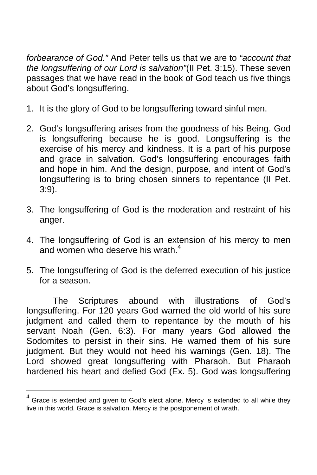*forbearance of God."* And Peter tells us that we are to *"account that the longsuffering of our Lord is salvation"*(II Pet. 3:15). These seven passages that we have read in the book of God teach us five things about God's longsuffering.

- 1. It is the glory of God to be longsuffering toward sinful men.
- 2. God's longsuffering arises from the goodness of his Being. God is longsuffering because he is good. Longsuff[eri](#page-91-0)ng is the exercise of his mercy and kindness. It is a part of his purpose and grace in salvation. God's longsuffering encourages faith and hope in him. And the design, purpose, and intent of God's longsuffering is to bring chosen sinners to repentance (II Pet. 3:9).
- 3. The longsuffering of God is the moderation and restraint of his anger.
- 4. The longsuffering of God is an extension of his mercy to men and women who deserve his wrath. $4$
- 5. The longsuffering of God is the deferred execution of his justice for a season.

 The Scriptures abound with illustrations of God's longsuffering. For 120 years God warned the old world of his sure judgment and called them to repentance by the mouth of his servant Noah (Gen. 6:3). For many years God allowed the Sodomites to persist in their sins. He warned them of his sure judgment. But they would not heed his warnings (Gen. 18). The Lord showed great longsuffering with Pharaoh. But Pharaoh hardened his heart and defied God (Ex. 5). God was longsuffering

1

<span id="page-91-0"></span> $4$  Grace is extended and given to God's elect alone. Mercy is extended to all while they live in this world. Grace is salvation. Mercy is the postponement of wrath.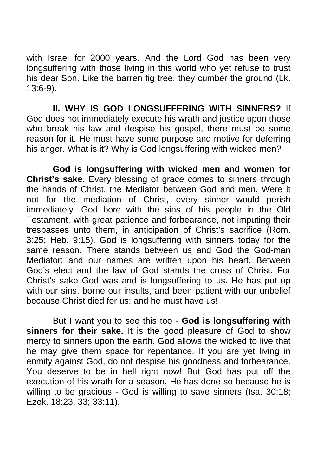with Israel for 2000 years. And the Lord God has been very longsuffering with those living in this world who yet refuse to trust his dear Son. Like the barren fig tree, they cumber the ground (Lk. 13:6-9).

 **II. WHY IS GOD LONGSUFFERING WITH SINNERS?** If God does not immediately execute his wrath and justice upon those who break his law and despise his gospel, there must be some reason for it. He must have some purpose and motive for deferring his anger. What is it? Why is God longsuffering with wicked men?

**God is longsuffering with wicked men and women for Christ's sake.** Every blessing of grace comes to sinners through the hands of Christ, the Mediator between God and men. Were it not for the mediation of Christ, every sinner would perish immediately. God bore with the sins of his people in the Old Testament, with great patience and forbearance, not imputing their trespasses unto them, in anticipation of Christ's sacrifice (Rom. 3:25; Heb. 9:15). God is longsuffering with sinners today for the same reason. There stands between us and God the God-man Mediator; and our names are written upon his heart. Between God's elect and the law of God stands the cross of Christ. For Christ's sake God was and is longsuffering to us. He has put up with our sins, borne our insults, and been patient with our unbelief because Christ died for us; and he must have us!

 But I want you to see this too - **God is longsuffering with sinners for their sake.** It is the good pleasure of God to show mercy to sinners upon the earth. God allows the wicked to live that he may give them space for repentance. If you are yet living in enmity against God, do not despise his goodness and forbearance. You deserve to be in hell right now! But God has put off the execution of his wrath for a season. He has done so because he is willing to be gracious - God is willing to save sinners (Isa. 30:18; Ezek. 18:23, 33; 33:11).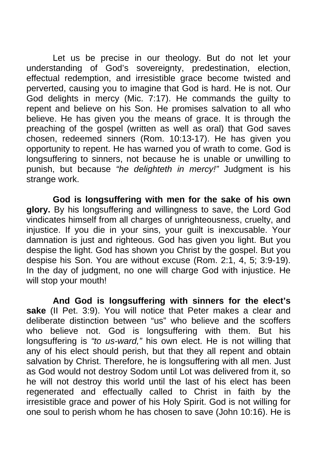Let us be precise in our theology. But do not let your understanding of God's sovereignty, predestination, election, effectual redemption, and irresistible grace become twisted and perverted, causing you to imagine that God is hard. He is not. Our God delights in mercy (Mic. 7:17). He commands the guilty to repent and believe on his Son. He promises salvation to all who believe. He has given you the means of grace. It is through the preaching of the gospel (written as well as oral) that God saves chosen, redeemed sinners (Rom. 10:13-17). He has given you opportunity to repent. He has warned you of wrath to come. God is longsuffering to sinners, not because he is unable or unwilling to punish, but because *"he delighteth in mercy!"* Judgment is his strange work.

**God is longsuffering with men for the sake of his own glory.** By his longsuffering and willingness to save, the Lord God vindicates himself from all charges of unrighteousness, cruelty, and injustice. If you die in your sins, your guilt is inexcusable. Your damnation is just and righteous. God has given you light. But you despise the light. God has shown you Christ by the gospel. But you despise his Son. You are without excuse (Rom. 2:1, 4, 5; 3:9-19). In the day of judgment, no one will charge God with injustice. He will stop your mouth!

**And God is longsuffering with sinners for the elect's sake** (II Pet. 3:9). You will notice that Peter makes a clear and deliberate distinction between "us" who believe and the scoffers who believe not. God is longsuffering with them. But his longsuffering is *"to us-ward,"* his own elect. He is not willing that any of his elect should perish, but that they all repent and obtain salvation by Christ. Therefore, he is longsuffering with all men. Just as God would not destroy Sodom until Lot was delivered from it, so he will not destroy this world until the last of his elect has been regenerated and effectually called to Christ in faith by the irresistible grace and power of his Holy Spirit. God is not willing for one soul to perish whom he has chosen to save (John 10:16). He is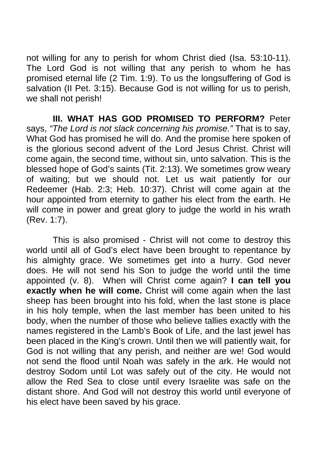not willing for any to perish for whom Christ died (Isa. 53:10-11). The Lord God is not willing that any perish to whom he has promised eternal life (2 Tim. 1:9). To us the longsuffering of God is salvation (II Pet. 3:15). Because God is not willing for us to perish, we shall not perish!

 **III. WHAT HAS GOD PROMISED TO PERFORM?** Peter says, *"The Lord is not slack concerning his promise."* That is to say, What God has promised he will do. And the promise here spoken of is the glorious second advent of the Lord Jesus Christ. Christ will come again, the second time, without sin, unto salvation. This is the blessed hope of God's saints (Tit. 2:13). We sometimes grow weary of waiting; but we should not. Let us wait patiently for our Redeemer (Hab. 2:3; Heb. 10:37). Christ will come again at the hour appointed from eternity to gather his elect from the earth. He will come in power and great glory to judge the world in his wrath (Rev. 1:7).

 This is also promised - Christ will not come to destroy this world until all of God's elect have been brought to repentance by his almighty grace. We sometimes get into a hurry. God never does. He will not send his Son to judge the world until the time appointed (v. 8). When will Christ come again? **I can tell you exactly when he will come.** Christ will come again when the last sheep has been brought into his fold, when the last stone is place in his holy temple, when the last member has been united to his body, when the number of those who believe tallies exactly with the names registered in the Lamb's Book of Life, and the last jewel has been placed in the King's crown. Until then we will patiently wait, for God is not willing that any perish, and neither are we! God would not send the flood until Noah was safely in the ark. He would not destroy Sodom until Lot was safely out of the city. He would not allow the Red Sea to close until every Israelite was safe on the distant shore. And God will not destroy this world until everyone of his elect have been saved by his grace.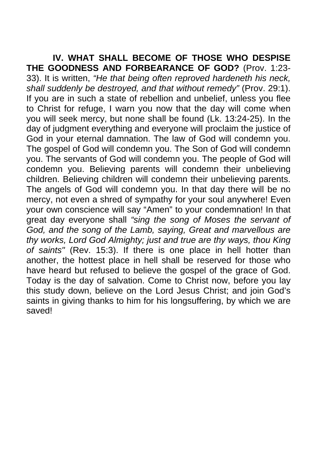**IV. WHAT SHALL BECOME OF THOSE WHO DESPISE THE GOODNESS AND FORBEARANCE OF GOD?** (Prov. 1:23- 33). It is written, *"He that being often reproved hardeneth his neck, shall suddenly be destroyed, and that without remedy"* (Prov. 29:1). If you are in such a state of rebellion and unbelief, unless you flee to Christ for refuge, I warn you now that the day will come when you will seek mercy, but none shall be found (Lk. 13:24-25). In the day of judgment everything and everyone will proclaim the justice of God in your eternal damnation. The law of God will condemn you. The gospel of God will condemn you. The Son of God will condemn you. The servants of God will condemn you. The people of God will condemn you. Believing parents will condemn their unbelieving children. Believing children will condemn their unbelieving parents. The angels of God will condemn you. In that day there will be no mercy, not even a shred of sympathy for your soul anywhere! Even your own conscience will say "Amen" to your condemnation! In that great day everyone shall *"sing the song of Moses the servant of God, and the song of the Lamb, saying, Great and marvellous are thy works, Lord God Almighty; just and true are thy ways, thou King of saints"* (Rev. 15:3). If there is one place in hell hotter than another, the hottest place in hell shall be reserved for those who have heard but refused to believe the gospel of the grace of God. Today is the day of salvation. Come to Christ now, before you lay this study down, believe on the Lord Jesus Christ; and join God's saints in giving thanks to him for his longsuffering, by which we are saved!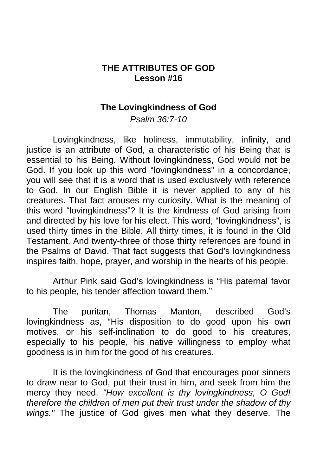# **THE ATTRIBUTES OF GOD Lesson #16**

#### **The Lovingkindness of God**

*Psalm 36:7-10* 

 Lovingkindness, like holiness, immutability, infinity, and justice is an attribute of God, a characteristic of his Being that is essential to his Being. Without lovingkindness, God would not be God. If you look up this word "lovingkindness" in a concordance, you will see that it is a word that is used exclusively with reference to God. In our English Bible it is never applied to any of his creatures. That fact arouses my curiosity. What is the meaning of this word "lovingkindness"? It is the kindness of God arising from and directed by his love for his elect. This word, "lovingkindness", is used thirty times in the Bible. All thirty times, it is found in the Old Testament. And twenty-three of those thirty references are found in the Psalms of David. That fact suggests that God's lovingkindness inspires faith, hope, prayer, and worship in the hearts of his people.

 Arthur Pink said God's lovingkindness is "His paternal favor to his people, his tender affection toward them."

 The puritan, Thomas Manton, described God's lovingkindness as, "His disposition to do good upon his own motives, or his self-inclination to do good to his creatures, especially to his people, his native willingness to employ what goodness is in him for the good of his creatures.

It is the lovingkindness of God that encourages poor sinners to draw near to God, put their trust in him, and seek from him the mercy they need. *"How excellent is thy lovingkindness, O God! therefore the children of men put their trust under the shadow of thy wings."* The justice of God gives men what they deserve. The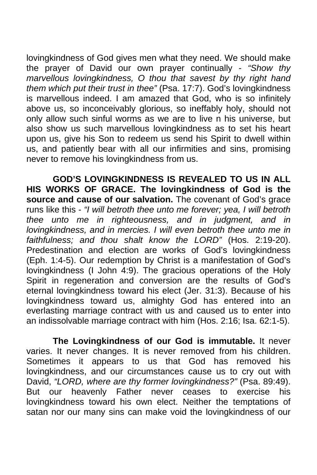lovingkindness of God gives men what they need. We should make the prayer of David our own prayer continually - *"Show thy marvellous lovingkindness, O thou that savest by thy right hand them which put their trust in thee"* (Psa. 17:7). God's lovingkindness is marvellous indeed. I am amazed that God, who is so infinitely above us, so inconceivably glorious, so ineffably holy, should not only allow such sinful worms as we are to live n his universe, but also show us such marvellous lovingkindness as to set his heart upon us, give his Son to redeem us send his Spirit to dwell within us, and patiently bear with all our infirmities and sins, promising never to remove his lovingkindness from us.

**GOD'S LOVINGKINDNESS IS REVEALED TO US IN ALL HIS WORKS OF GRACE. The lovingkindness of God is the source and cause of our salvation.** The covenant of God's grace runs like this - *"I will betroth thee unto me forever; yea, I will betroth thee unto me in righteousness, and in judgment, and in lovingkindness, and in mercies. I will even betroth thee unto me in faithfulness; and thou shalt know the LORD"* (Hos. 2:19-20). Predestination and election are works of God's lovingkindness (Eph. 1:4-5). Our redemption by Christ is a manifestation of God's lovingkindness (I John 4:9). The gracious operations of the Holy Spirit in regeneration and conversion are the results of God's eternal lovingkindness toward his elect (Jer. 31:3). Because of his lovingkindness toward us, almighty God has entered into an everlasting marriage contract with us and caused us to enter into an indissolvable marriage contract with him (Hos. 2:16; Isa. 62:1-5).

**The Lovingkindness of our God is immutable.** It never varies. It never changes. It is never removed from his children. Sometimes it appears to us that God has removed his lovingkindness, and our circumstances cause us to cry out with David, *"LORD, where are thy former lovingkindness?"* (Psa. 89:49). But our heavenly Father never ceases to exercise his lovingkindness toward his own elect. Neither the temptations of satan nor our many sins can make void the lovingkindness of our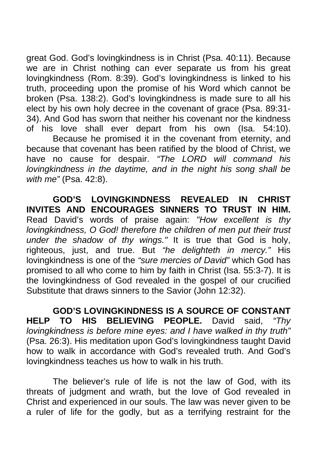great God. God's lovingkindness is in Christ (Psa. 40:11). Because we are in Christ nothing can ever separate us from his great lovingkindness (Rom. 8:39). God's lovingkindness is linked to his truth, proceeding upon the promise of his Word which cannot be broken (Psa. 138:2). God's lovingkindness is made sure to all his elect by his own holy decree in the covenant of grace (Psa. 89:31- 34). And God has sworn that neither his covenant nor the kindness of his love shall ever depart from his own (Isa. 54:10).

 Because he promised it in the covenant from eternity, and because that covenant has been ratified by the blood of Christ, we have no cause for despair. *"The LORD will command his lovingkindness in the daytime, and in the night his song shall be with me"* (Psa. 42:8).

 **GOD'S LOVINGKINDNESS REVEALED IN CHRIST INVITES AND ENCOURAGES SINNERS TO TRUST IN HIM.**  Read David's words of praise again: *"How excellent is thy lovingkindness, O God! therefore the children of men put their trust under the shadow of thy wings."* It is true that God is holy, righteous, just, and true. But *"he delighteth in mercy."* His lovingkindness is one of the *"sure mercies of David"* which God has promised to all who come to him by faith in Christ (Isa. 55:3-7). It is the lovingkindness of God revealed in the gospel of our crucified Substitute that draws sinners to the Savior (John 12:32).

 **GOD'S LOVINGKINDNESS IS A SOURCE OF CONSTANT HELP TO HIS BELIEVING PEOPLE.** David said, *"Thy lovingkindness is before mine eyes: and I have walked in thy truth"*  (Psa. 26:3). His meditation upon God's lovingkindness taught David how to walk in accordance with God's revealed truth. And God's lovingkindness teaches us how to walk in his truth.

 The believer's rule of life is not the law of God, with its threats of judgment and wrath, but the love of God revealed in Christ and experienced in our souls. The law was never given to be a ruler of life for the godly, but as a terrifying restraint for the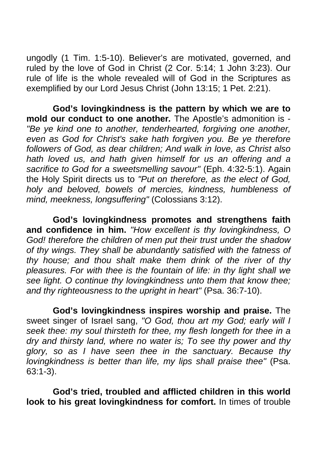ungodly (1 Tim. 1:5-10). Believer's are motivated, governed, and ruled by the love of God in Christ (2 Cor. 5:14; 1 John 3:23). Our rule of life is the whole revealed will of God in the Scriptures as exemplified by our Lord Jesus Christ (John 13:15; 1 Pet. 2:21).

**God's lovingkindness is the pattern by which we are to mold our conduct to one another***.* The Apostle's admonition is - *"Be ye kind one to another, tenderhearted, forgiving one another, even as God for Christ's sake hath forgiven you. Be ye therefore followers of God, as dear children; And walk in love, as Christ also hath loved us, and hath given himself for us an offering and a sacrifice to God for a sweetsmelling savour"* (Eph. 4:32-5:1). Again the Holy Spirit directs us to *"Put on therefore, as the elect of God, holy and beloved, bowels of mercies, kindness, humbleness of mind, meekness, longsuffering"* (Colossians 3:12).

**God's lovingkindness promotes and strengthens faith and confidence in him.** *"How excellent is thy lovingkindness, O God! therefore the children of men put their trust under the shadow of thy wings. They shall be abundantly satisfied with the fatness of thy house; and thou shalt make them drink of the river of thy pleasures. For with thee is the fountain of life: in thy light shall we see light. O continue thy lovingkindness unto them that know thee; and thy righteousness to the upright in heart"* (Psa. 36:7-10).

**God's lovingkindness inspires worship and praise.** The sweet singer of Israel sang, *"O God, thou art my God; early will I seek thee: my soul thirsteth for thee, my flesh longeth for thee in a dry and thirsty land, where no water is; To see thy power and thy glory, so as I have seen thee in the sanctuary. Because thy lovingkindness is better than life, my lips shall praise thee"* (Psa. 63:1-3).

**God's tried, troubled and afflicted children in this world look to his great lovingkindness for comfort.** In times of trouble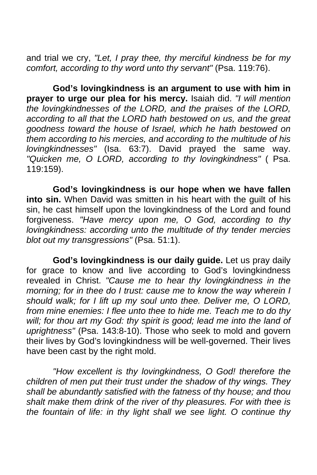and trial we cry, *"Let, I pray thee, thy merciful kindness be for my comfort, according to thy word unto thy servant"* (Psa. 119:76).

**God's lovingkindness is an argument to use with him in prayer to urge our plea for his mercy.** Isaiah did. *"I will mention the lovingkindnesses of the LORD, and the praises of the LORD, according to all that the LORD hath bestowed on us, and the great goodness toward the house of Israel, which he hath bestowed on them according to his mercies, and according to the multitude of his lovingkindnesses"* (Isa. 63:7). David prayed the same way. *"Quicken me, O LORD, according to thy lovingkindness"* ( Psa. 119:159).

**God's lovingkindness is our hope when we have fallen into sin.** When David was smitten in his heart with the guilt of his sin, he cast himself upon the lovingkindness of the Lord and found forgiveness. *"Have mercy upon me, O God, according to thy lovingkindness: according unto the multitude of thy tender mercies blot out my transgressions"* (Psa. 51:1).

 **God's lovingkindness is our daily guide.** Let us pray daily for grace to know and live according to God's lovingkindness revealed in Christ. *"Cause me to hear thy lovingkindness in the morning; for in thee do I trust: cause me to know the way wherein I should walk; for I lift up my soul unto thee. Deliver me, O LORD, from mine enemies: I flee unto thee to hide me. Teach me to do thy*  will; for thou art my God: thy spirit is good; lead me into the land of *uprightness"* (Psa. 143:8-10). Those who seek to mold and govern their lives by God's lovingkindness will be well-governed. Their lives have been cast by the right mold.

*"How excellent is thy lovingkindness, O God! therefore the children of men put their trust under the shadow of thy wings. They shall be abundantly satisfied with the fatness of thy house; and thou shalt make them drink of the river of thy pleasures. For with thee is the fountain of life: in thy light shall we see light. O continue thy*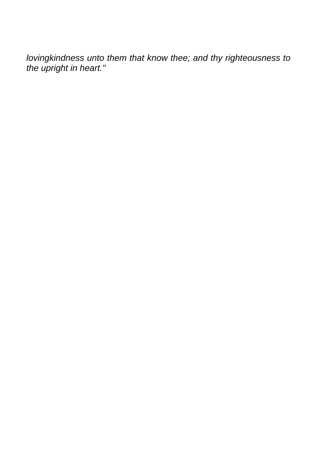*lovingkindness unto them that know thee; and thy righteousness to the upright in heart."*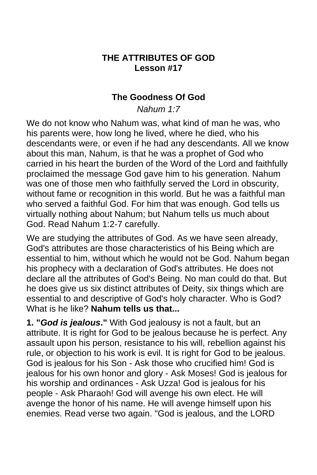### **THE ATTRIBUTES OF GOD Lesson #17**

### **The Goodness Of God**

*Nahum 1:7* 

We do not know who Nahum was, what kind of man he was, who his parents were, how long he lived, where he died, who his descendants were, or even if he had any descendants. All we know about this man, Nahum, is that he was a prophet of God who carried in his heart the burden of the Word of the Lord and faithfully proclaimed the message God gave him to his generation. Nahum was one of those men who faithfully served the Lord in obscurity, without fame or recognition in this world. But he was a faithful man who served a faithful God. For him that was enough. God tells us virtually nothing about Nahum; but Nahum tells us much about God. Read Nahum 1:2-7 carefully.

We are studying the attributes of God. As we have seen already, God's attributes are those characteristics of his Being which are essential to him, without which he would not be God. Nahum began his prophecy with a declaration of God's attributes. He does not declare all the attributes of God's Being. No man could do that. But he does give us six distinct attributes of Deity, six things which are essential to and descriptive of God's holy character. Who is God? What is he like? **Nahum tells us that...**

**1. "***God is jealous***."** With God jealousy is not a fault, but an attribute. It is right for God to be jealous because he is perfect. Any assault upon his person, resistance to his will, rebellion against his rule, or objection to his work is evil. It is right for God to be jealous. God is jealous for his Son - Ask those who crucified him! God is jealous for his own honor and glory - Ask Moses! God is jealous for his worship and ordinances - Ask Uzza! God is jealous for his people - Ask Pharaoh! God will avenge his own elect. He will avenge the honor of his name. He will avenge himself upon his enemies. Read verse two again. "God is jealous, and the LORD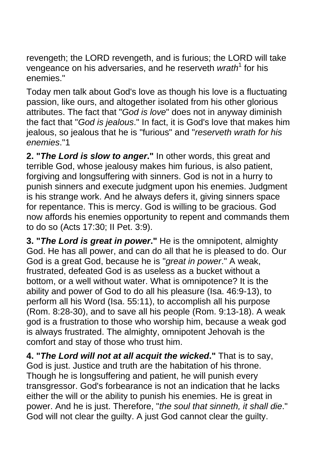revengeth; the LORD revengeth, and is furious; the LORD will take vengeance on his adversaries, and he reserveth wrath<sup>1</sup> for his enemies."

Today men talk about God's love as though his love is a fluctuating passion, like ours, and altogether isolated from his other glorious attributes. The fact that "*God is love*" does not in anyway diminish the fact that "*God is jealous*." In fact, it is God's love that makes him jealous, so jealous that he is "furious" and "*reserveth wrath for his enemies*."1

**2. "***The Lord is slow to anger***."** In other words, this great and terrible God, whose jealousy makes him furious, is also patient, forgiving and longsuffering with sinners. God is not in a hurry to punish sinners and execute judgment upon his enemies. Judgment is his strange work. And he always defers it, giving sinners space for repentance. This is mercy. God is willing to be gracious. God now affords his enemies opportunity to repent and commands them to do so (Acts 17:30; II Pet. 3:9).

**3. "***The Lord is great in power***."** He is the omnipotent, almighty God. He has all power, and can do all that he is pleased to do. Our God is a great God, because he is "*great in power*." A weak, frustrated, defeated God is as useless as a bucket without a bottom, or a well without water. What is omnipotence? It is the ability and power of God to do all his pleasure (Isa. 46:9-13), to perform all his Word (Isa. 55:11), to accomplish all his purpose (Rom. 8:28-30), and to save all his people (Rom. 9:13-18). A weak god is a frustration to those who worship him, because a weak god is always frustrated. The almighty, omnipotent Jehovah is the comfort and stay of those who trust him.

**4. "***The Lord will not at all acquit the wicked***."** That is to say, God is just. Justice and truth are the habitation of his throne. Though he is longsuffering and patient, he will punish every transgressor. God's forbearance is not an indication that he lacks either the will or the ability to punish his enemies. He is great in power. And he is just. Therefore, "*the soul that sinneth, it shall die*." God will not clear the guilty. A just God cannot clear the guilty.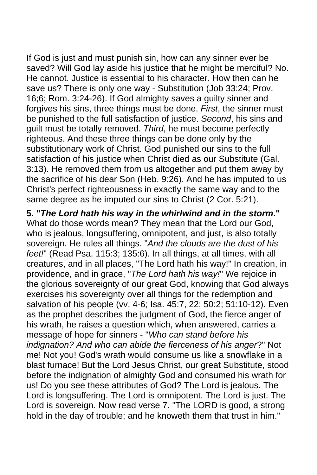If God is just and must punish sin, how can any sinner ever be saved? Will God lay aside his justice that he might be merciful? No. He cannot. Justice is essential to his character. How then can he save us? There is only one way - Substitution (Job 33:24; Prov. 16;6; Rom. 3:24-26). If God almighty saves a guilty sinner and forgives his sins, three things must be done. *First*, the sinner must be punished to the full satisfaction of justice. *Second*, his sins and guilt must be totally removed. *Third*, he must become perfectly righteous. And these three things can be done only by the substitutionary work of Christ. God punished our sins to the full satisfaction of his justice when Christ died as our Substitute (Gal. 3:13). He removed them from us altogether and put them away by the sacrifice of his dear Son (Heb. 9:26). And he has imputed to us Christ's perfect righteousness in exactly the same way and to the same degree as he imputed our sins to Christ (2 Cor. 5:21).

**5. "***The Lord hath his way in the whirlwind and in the storm***."**  What do those words mean? They mean that the Lord our God, who is jealous, longsuffering, omnipotent, and just, is also totally sovereign. He rules all things. "*And the clouds are the dust of his feet!*" (Read Psa. 115:3; 135:6). In all things, at all times, with all creatures, and in all places, "The Lord hath his way!" In creation, in providence, and in grace, "*The Lord hath his way!*" We rejoice in the glorious sovereignty of our great God, knowing that God always exercises his sovereignty over all things for the redemption and salvation of his people (vv. 4-6; Isa. 45:7, 22; 50:2; 51:10-12). Even as the prophet describes the judgment of God, the fierce anger of his wrath, he raises a question which, when answered, carries a message of hope for sinners - "*Who can stand before his indignation? And who can abide the fierceness of his anger*?" Not me! Not you! God's wrath would consume us like a snowflake in a blast furnace! But the Lord Jesus Christ, our great Substitute, stood before the indignation of almighty God and consumed his wrath for us! Do you see these attributes of God? The Lord is jealous. The Lord is longsuffering. The Lord is omnipotent. The Lord is just. The Lord is sovereign. Now read verse 7. "The LORD is good, a strong hold in the day of trouble; and he knoweth them that trust in him."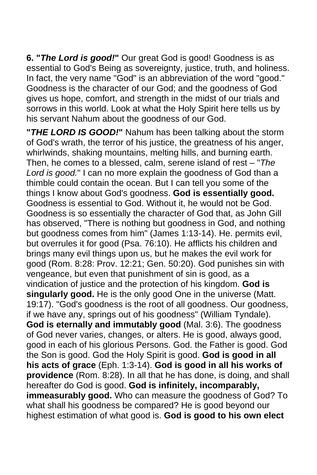**6. "***The Lord is good!***"** Our great God is good! Goodness is as essential to God's Being as sovereignty, justice, truth, and holiness. In fact, the very name "God" is an abbreviation of the word "good." Goodness is the character of our God; and the goodness of God gives us hope, comfort, and strength in the midst of our trials and sorrows in this world. Look at what the Holy Spirit here tells us by his servant Nahum about the goodness of our God.

**"***THE LORD IS GOOD!***"** Nahum has been talking about the storm of God's wrath, the terror of his justice, the greatness of his anger, whirlwinds, shaking mountains, melting hills, and burning earth. Then, he comes to a blessed, calm, serene island of rest – "*The Lord is good.*" I can no more explain the goodness of God than a thimble could contain the ocean. But I can tell you some of the things I know about God's goodness. **God is essentially good.** Goodness is essential to God. Without it, he would not be God. Goodness is so essentially the character of God that, as John Gill has observed, "There is nothing but goodness in God, and nothing but goodness comes from him" (James 1:13-14). He. permits evil, but overrules it for good (Psa. 76:10). He afflicts his children and brings many evil things upon us, but he makes the evil work for good (Rom. 8:28: Prov. 12:21; Gen. 50:20). God punishes sin with vengeance, but even that punishment of sin is good, as a vindication of justice and the protection of his kingdom. **God is singularly good.** He is the only good One in the universe (Matt. 19:17). "God's goodness is the root of all goodness. Our goodness, if we have any, springs out of his goodness" (William Tyndale). **God is eternally and immutably good** (Mal. 3:6). The goodness of God never varies, changes, or alters. He is good, always good, good in each of his glorious Persons. God. the Father is good. God the Son is good. God the Holy Spirit is good. **God is good in all his acts of grace** (Eph. 1:3-14). **God is good in all his works of providence** (Rom. 8:28). In all that he has done, is doing, and shall hereafter do God is good. **God is infinitely, incomparably, immeasurably good.** Who can measure the goodness of God? To what shall his goodness be compared? He is good beyond our highest estimation of what good is. **God is good to his own elect**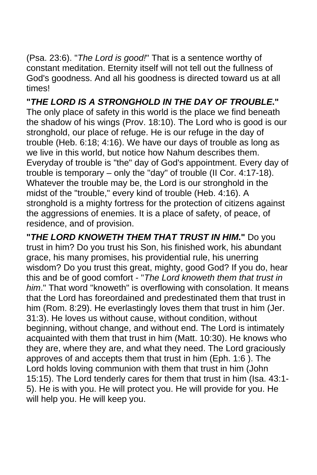(Psa. 23:6). "*The Lord is good!*" That is a sentence worthy of constant meditation. Eternity itself will not tell out the fullness of God's goodness. And all his goodness is directed toward us at all times!

**"***THE LORD IS A STRONGHOLD IN THE DAY OF TROUBLE***."**  The only place of safety in this world is the place we find beneath the shadow of his wings (Prov. 18:10). The Lord who is good is our stronghold, our place of refuge. He is our refuge in the day of trouble (Heb. 6:18; 4:16). We have our days of trouble as long as we live in this world, but notice how Nahum describes them. Everyday of trouble is "the" day of God's appointment. Every day of trouble is temporary – only the "day" of trouble (II Cor. 4:17-18). Whatever the trouble may be, the Lord is our stronghold in the midst of the "trouble," every kind of trouble (Heb. 4:16). A stronghold is a mighty fortress for the protection of citizens against the aggressions of enemies. It is a place of safety, of peace, of residence, and of provision.

**"***THE LORD KNOWETH THEM THAT TRUST IN HIM***."** Do you trust in him? Do you trust his Son, his finished work, his abundant grace, his many promises, his providential rule, his unerring wisdom? Do you trust this great, mighty, good God? If you do, hear this and be of good comfort - "*The Lord knoweth them that trust in him*." That word "knoweth" is overflowing with consolation. It means that the Lord has foreordained and predestinated them that trust in him (Rom. 8:29). He everlastingly loves them that trust in him (Jer. 31:3). He loves us without cause, without condition, without beginning, without change, and without end. The Lord is intimately acquainted with them that trust in him (Matt. 10:30). He knows who they are, where they are, and what they need. The Lord graciously approves of and accepts them that trust in him (Eph. 1:6 ). The Lord holds loving communion with them that trust in him (John 15:15). The Lord tenderly cares for them that trust in him (Isa. 43:1- 5). He is with you. He will protect you. He will provide for you. He will help you. He will keep you.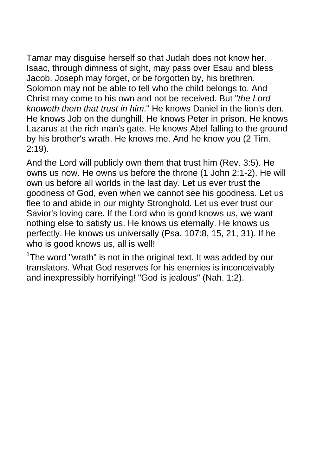Tamar may disguise herself so that Judah does not know her. Isaac, through dimness of sight, may pass over Esau and bless Jacob. Joseph may forget, or be forgotten by, his brethren. Solomon may not be able to tell who the child belongs to. And Christ may come to his own and not be received. But "*the Lord knoweth them that trust in him*." He knows Daniel in the lion's den. He knows Job on the dunghill. He knows Peter in prison. He knows Lazarus at the rich man's gate. He knows Abel falling to the ground by his brother's wrath. He knows me. And he know you (2 Tim. 2:19).

And the Lord will publicly own them that trust him (Rev. 3:5). He owns us now. He owns us before the throne (1 John 2:1-2). He will own us before all worlds in the last day. Let us ever trust the goodness of God, even when we cannot see his goodness. Let us flee to and abide in our mighty Stronghold. Let us ever trust our Savior's loving care. If the Lord who is good knows us, we want nothing else to satisfy us. He knows us eternally. He knows us perfectly. He knows us universally (Psa. 107:8, 15, 21, 31). If he who is good knows us, all is well!

 $1$ The word "wrath" is not in the original text. It was added by our translators. What God reserves for his enemies is inconceivably and inexpressibly horrifying! "God is jealous" (Nah. 1:2).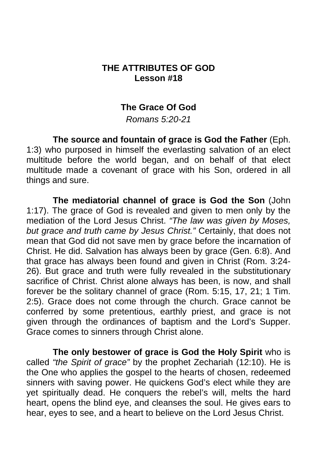## **THE ATTRIBUTES OF GOD Lesson #18**

### **The Grace Of God**

*Romans 5:20-21* 

**The source and fountain of grace is God the Father** (Eph. 1:3) who purposed in himself the everlasting salvation of an elect multitude before the world began, and on behalf of that elect multitude made a covenant of grace with his Son, ordered in all things and sure.

**The mediatorial channel of grace is God the Son** (John 1:17). The grace of God is revealed and given to men only by the mediation of the Lord Jesus Christ. *"The law was given by Moses, but grace and truth came by Jesus Christ."* Certainly, that does not mean that God did not save men by grace before the incarnation of Christ. He did. Salvation has always been by grace (Gen. 6:8). And that grace has always been found and given in Christ (Rom. 3:24- 26). But grace and truth were fully revealed in the substitutionary sacrifice of Christ. Christ alone always has been, is now, and shall forever be the solitary channel of grace (Rom. 5:15, 17, 21; 1 Tim. 2:5). Grace does not come through the church. Grace cannot be conferred by some pretentious, earthly priest, and grace is not given through the ordinances of baptism and the Lord's Supper. Grace comes to sinners through Christ alone.

**The only bestower of grace is God the Holy Spirit** who is called *"the Spirit of grace"* by the prophet Zechariah (12:10). He is the One who applies the gospel to the hearts of chosen, redeemed sinners with saving power. He quickens God's elect while they are yet spiritually dead. He conquers the rebel's will, melts the hard heart, opens the blind eye, and cleanses the soul. He gives ears to hear, eyes to see, and a heart to believe on the Lord Jesus Christ.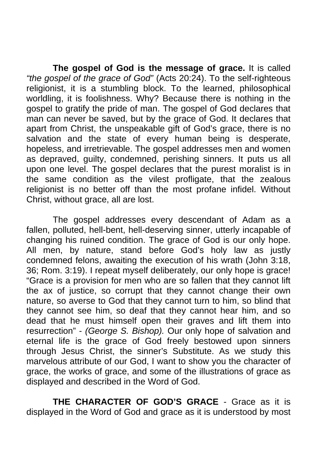**The gospel of God is the message of grace.** It is called *"the gospel of the grace of God"* (Acts 20:24). To the self-righteous religionist, it is a stumbling block. To the learned, philosophical worldling, it is foolishness. Why? Because there is nothing in the gospel to gratify the pride of man. The gospel of God declares that man can never be saved, but by the grace of God. It declares that apart from Christ, the unspeakable gift of God's grace, there is no salvation and the state of every human being is desperate, hopeless, and irretrievable. The gospel addresses men and women as depraved, guilty, condemned, perishing sinners. It puts us all upon one level. The gospel declares that the purest moralist is in the same condition as the vilest profligate, that the zealous religionist is no better off than the most profane infidel. Without Christ, without grace, all are lost.

 The gospel addresses every descendant of Adam as a fallen, polluted, hell-bent, hell-deserving sinner, utterly incapable of changing his ruined condition. The grace of God is our only hope. All men, by nature, stand before God's holy law as justly condemned felons, awaiting the execution of his wrath (John 3:18, 36; Rom. 3:19). I repeat myself deliberately, our only hope is grace! "Grace is a provision for men who are so fallen that they cannot lift the ax of justice, so corrupt that they cannot change their own nature, so averse to God that they cannot turn to him, so blind that they cannot see him, so deaf that they cannot hear him, and so dead that he must himself open their graves and lift them into resurrection" - *(George S. Bishop).* Our only hope of salvation and eternal life is the grace of God freely bestowed upon sinners through Jesus Christ, the sinner's Substitute. As we study this marvelous attribute of our God, I want to show you the character of grace, the works of grace, and some of the illustrations of grace as displayed and described in the Word of God.

 **THE CHARACTER OF GOD'S GRACE** - Grace as it is displayed in the Word of God and grace as it is understood by most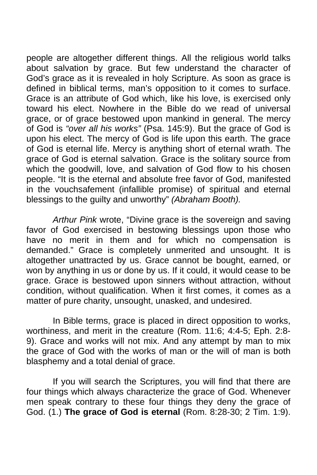people are altogether different things. All the religious world talks about salvation by grace. But few understand the character of God's grace as it is revealed in holy Scripture. As soon as grace is defined in biblical terms, man's opposition to it comes to surface. Grace is an attribute of God which, like his love, is exercised only toward his elect. Nowhere in the Bible do we read of universal grace, or of grace bestowed upon mankind in general. The mercy of God is *"over all his works"* (Psa. 145:9). But the grace of God is upon his elect. The mercy of God is life upon this earth. The grace of God is eternal life. Mercy is anything short of eternal wrath. The grace of God is eternal salvation. Grace is the solitary source from which the goodwill, love, and salvation of God flow to his chosen people. "It is the eternal and absolute free favor of God, manifested in the vouchsafement (infallible promise) of spiritual and eternal blessings to the guilty and unworthy" *(Abraham Booth).*

*Arthur Pink* wrote, "Divine grace is the sovereign and saving favor of God exercised in bestowing blessings upon those who have no merit in them and for which no compensation is demanded." Grace is completely unmerited and unsought. It is altogether unattracted by us. Grace cannot be bought, earned, or won by anything in us or done by us. If it could, it would cease to be grace. Grace is bestowed upon sinners without attraction, without condition, without qualification. When it first comes, it comes as a matter of pure charity, unsought, unasked, and undesired.

 In Bible terms, grace is placed in direct opposition to works, worthiness, and merit in the creature (Rom. 11:6; 4:4-5; Eph. 2:8- 9). Grace and works will not mix. And any attempt by man to mix the grace of God with the works of man or the will of man is both blasphemy and a total denial of grace.

 If you will search the Scriptures, you will find that there are four things which always characterize the grace of God. Whenever men speak contrary to these four things they deny the grace of God. (1.) **The grace of God is eternal** (Rom. 8:28-30; 2 Tim. 1:9).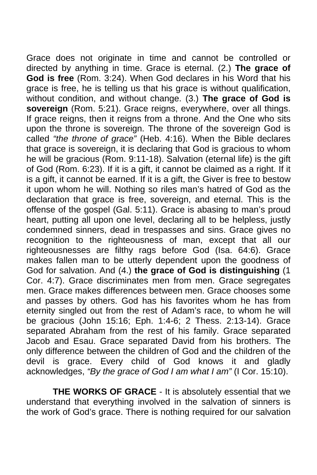Grace does not originate in time and cannot be controlled or directed by anything in time. Grace is eternal. (2.) **The grace of God is free** (Rom. 3:24). When God declares in his Word that his grace is free, he is telling us that his grace is without qualification, without condition, and without change. (3.) **The grace of God is sovereign** (Rom. 5:21). Grace reigns, everywhere, over all things. If grace reigns, then it reigns from a throne. And the One who sits upon the throne is sovereign. The throne of the sovereign God is called *"the throne of grace"* (Heb. 4:16). When the Bible declares that grace is sovereign, it is declaring that God is gracious to whom he will be gracious (Rom. 9:11-18). Salvation (eternal life) is the gift of God (Rom. 6:23). If it is a gift, it cannot be claimed as a right. If it is a gift, it cannot be earned. If it is a gift, the Giver is free to bestow it upon whom he will. Nothing so riles man's hatred of God as the declaration that grace is free, sovereign, and eternal. This is the offense of the gospel (Gal. 5:11). Grace is abasing to man's proud heart, putting all upon one level, declaring all to be helpless, justly condemned sinners, dead in trespasses and sins. Grace gives no recognition to the righteousness of man, except that all our righteousnesses are filthy rags before God (Isa. 64:6). Grace makes fallen man to be utterly dependent upon the goodness of God for salvation. And (4.) **the grace of God is distinguishing** (1 Cor. 4:7). Grace discriminates men from men. Grace segregates men. Grace makes differences between men. Grace chooses some and passes by others. God has his favorites whom he has from eternity singled out from the rest of Adam's race, to whom he will be gracious (John 15:16; Eph. 1:4-6; 2 Thess. 2:13-14). Grace separated Abraham from the rest of his family. Grace separated Jacob and Esau. Grace separated David from his brothers. The only difference between the children of God and the children of the devil is grace. Every child of God knows it and gladly acknowledges, *"By the grace of God I am what I am"* (I Cor. 15:10).

 **THE WORKS OF GRACE** - It is absolutely essential that we understand that everything involved in the salvation of sinners is the work of God's grace. There is nothing required for our salvation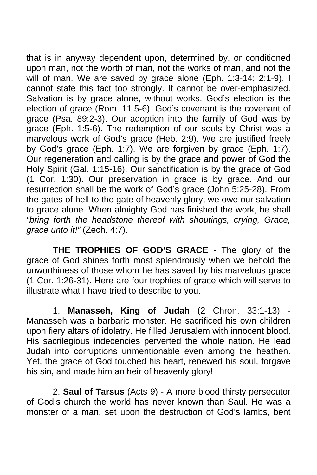that is in anyway dependent upon, determined by, or conditioned upon man, not the worth of man, not the works of man, and not the will of man. We are saved by grace alone (Eph. 1:3-14; 2:1-9). I cannot state this fact too strongly. It cannot be over-emphasized. Salvation is by grace alone, without works. God's election is the election of grace (Rom. 11:5-6). God's covenant is the covenant of grace (Psa. 89:2-3). Our adoption into the family of God was by grace (Eph. 1:5-6). The redemption of our souls by Christ was a marvelous work of God's grace (Heb. 2:9). We are justified freely by God's grace (Eph. 1:7). We are forgiven by grace (Eph. 1:7). Our regeneration and calling is by the grace and power of God the Holy Spirit (Gal. 1:15-16). Our sanctification is by the grace of God (1 Cor. 1:30). Our preservation in grace is by grace. And our resurrection shall be the work of God's grace (John 5:25-28). From the gates of hell to the gate of heavenly glory, we owe our salvation to grace alone. When almighty God has finished the work, he shall *"bring forth the headstone thereof with shoutings, crying, Grace, grace unto it!"* (Zech. 4:7).

 **THE TROPHIES OF GOD'S GRACE** - The glory of the grace of God shines forth most splendrously when we behold the unworthiness of those whom he has saved by his marvelous grace (1 Cor. 1:26-31). Here are four trophies of grace which will serve to illustrate what I have tried to describe to you.

 1. **Manasseh, King of Judah** (2 Chron. 33:1-13) - Manasseh was a barbaric monster. He sacrificed his own children upon fiery altars of idolatry. He filled Jerusalem with innocent blood. His sacrilegious indecencies perverted the whole nation. He lead Judah into corruptions unmentionable even among the heathen. Yet, the grace of God touched his heart, renewed his soul, forgave his sin, and made him an heir of heavenly glory!

 2. **Saul of Tarsus** (Acts 9) - A more blood thirsty persecutor of God's church the world has never known than Saul. He was a monster of a man, set upon the destruction of God's lambs, bent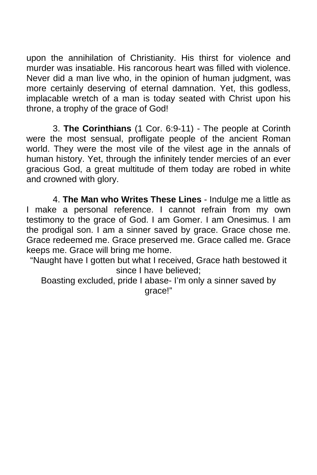upon the annihilation of Christianity. His thirst for violence and murder was insatiable. His rancorous heart was filled with violence. Never did a man live who, in the opinion of human judgment, was more certainly deserving of eternal damnation. Yet, this godless, implacable wretch of a man is today seated with Christ upon his throne, a trophy of the grace of God!

 3. **The Corinthians** (1 Cor. 6:9-11) - The people at Corinth were the most sensual, profligate people of the ancient Roman world. They were the most vile of the vilest age in the annals of human history. Yet, through the infinitely tender mercies of an ever gracious God, a great multitude of them today are robed in white and crowned with glory.

 4. **The Man who Writes These Lines** - Indulge me a little as I make a personal reference. I cannot refrain from my own testimony to the grace of God. I am Gomer. I am Onesimus. I am the prodigal son. I am a sinner saved by grace. Grace chose me. Grace redeemed me. Grace preserved me. Grace called me. Grace keeps me. Grace will bring me home.

"Naught have I gotten but what I received, Grace hath bestowed it since I have believed;

Boasting excluded, pride I abase- I'm only a sinner saved by grace!"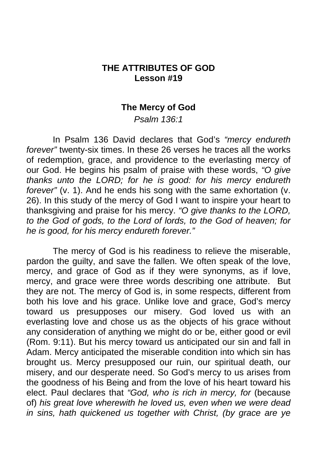### **THE ATTRIBUTES OF GOD Lesson #19**

#### **The Mercy of God**

*Psalm 136:1* 

 In Psalm 136 David declares that God's *"mercy endureth forever"* twenty-six times. In these 26 verses he traces all the works of redemption, grace, and providence to the everlasting mercy of our God. He begins his psalm of praise with these words, *"O give thanks unto the LORD; for he is good: for his mercy endureth forever"* (v. 1). And he ends his song with the same exhortation (v. 26). In this study of the mercy of God I want to inspire your heart to thanksgiving and praise for his mercy. *"O give thanks to the LORD, to the God of gods, to the Lord of lords, to the God of heaven; for he is good, for his mercy endureth forever."* 

The mercy of God is his readiness to relieve the miserable, pardon the guilty, and save the fallen. We often speak of the love, mercy, and grace of God as if they were synonyms, as if love, mercy, and grace were three words describing one attribute. But they are not. The mercy of God is, in some respects, different from both his love and his grace. Unlike love and grace, God's mercy toward us presupposes our misery. God loved us with an everlasting love and chose us as the objects of his grace without any consideration of anything we might do or be, either good or evil (Rom. 9:11). But his mercy toward us anticipated our sin and fall in Adam. Mercy anticipated the miserable condition into which sin has brought us. Mercy presupposed our ruin, our spiritual death, our misery, and our desperate need. So God's mercy to us arises from the goodness of his Being and from the love of his heart toward his elect. Paul declares that *"God, who is rich in mercy, for* (because of) *his great love wherewith he loved us, even when we were dead in sins, hath quickened us together with Christ, (by grace are ye*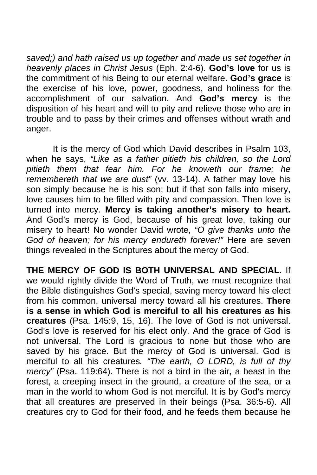*saved;) and hath raised us up together and made us set together in heavenly places in Christ Jesus* (Eph. 2:4-6). **God's love** for us is the commitment of his Being to our eternal welfare. **God's grace** is the exercise of his love, power, goodness, and holiness for the accomplishment of our salvation. And **God's mercy** is the disposition of his heart and will to pity and relieve those who are in trouble and to pass by their crimes and offenses without wrath and anger.

 It is the mercy of God which David describes in Psalm 103, when he says, *"Like as a father pitieth his children, so the Lord pitieth them that fear him. For he knoweth our frame; he remembereth that we are dust"* (vv. 13-14). A father may love his son simply because he is his son; but if that son falls into misery, love causes him to be filled with pity and compassion. Then love is turned into mercy. **Mercy is taking another's misery to heart.**  And God's mercy is God, because of his great love, taking our misery to heart! No wonder David wrote, *"O give thanks unto the God of heaven; for his mercy endureth forever!"* Here are seven things revealed in the Scriptures about the mercy of God.

**THE MERCY OF GOD IS BOTH UNIVERSAL AND SPECIAL.** If we would rightly divide the Word of Truth, we must recognize that the Bible distinguishes God's special, saving mercy toward his elect from his common, universal mercy toward all his creatures. **There is a sense in which God is merciful to all his creatures as his creatures** (Psa. 145:9, 15, 16). The love of God is not universal. God's love is reserved for his elect only. And the grace of God is not universal. The Lord is gracious to none but those who are saved by his grace. But the mercy of God is universal. God is merciful to all his creatures*. "The earth, O LORD, is full of thy mercy"* (Psa. 119:64). There is not a bird in the air, a beast in the forest, a creeping insect in the ground, a creature of the sea, or a man in the world to whom God is not merciful. It is by God's mercy that all creatures are preserved in their beings (Psa. 36:5-6). All creatures cry to God for their food, and he feeds them because he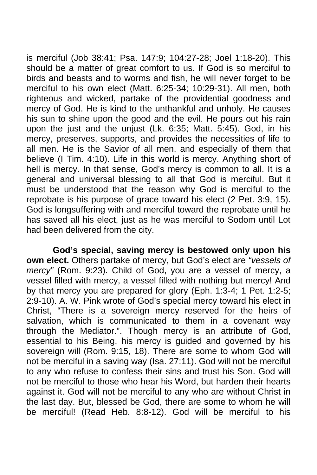is merciful (Job 38:41; Psa. 147:9; 104:27-28; Joel 1:18-20). This should be a matter of great comfort to us. If God is so merciful to birds and beasts and to worms and fish, he will never forget to be merciful to his own elect (Matt. 6:25-34; 10:29-31). All men, both righteous and wicked, partake of the providential goodness and mercy of God. He is kind to the unthankful and unholy. He causes his sun to shine upon the good and the evil. He pours out his rain upon the just and the unjust (Lk. 6:35; Matt. 5:45). God, in his mercy, preserves, supports, and provides the necessities of life to all men. He is the Savior of all men, and especially of them that believe (I Tim. 4:10). Life in this world is mercy. Anything short of hell is mercy. In that sense, God's mercy is common to all. It is a general and universal blessing to all that God is merciful. But it must be understood that the reason why God is merciful to the reprobate is his purpose of grace toward his elect (2 Pet. 3:9, 15). God is longsuffering with and merciful toward the reprobate until he has saved all his elect, just as he was merciful to Sodom until Lot had been delivered from the city.

**God's special, saving mercy is bestowed only upon his own elect.** Others partake of mercy, but God's elect are *"vessels of mercy"* (Rom. 9:23). Child of God, you are a vessel of mercy, a vessel filled with mercy, a vessel filled with nothing but mercy! And by that mercy you are prepared for glory (Eph. 1:3-4; 1 Pet. 1:2-5; 2:9-10). A. W. Pink wrote of God's special mercy toward his elect in Christ, "There is a sovereign mercy reserved for the heirs of salvation, which is communicated to them in a covenant way through the Mediator.". Though mercy is an attribute of God, essential to his Being, his mercy is guided and governed by his sovereign will (Rom. 9:15, 18). There are some to whom God will not be merciful in a saving way (Isa. 27:11). God will not be merciful to any who refuse to confess their sins and trust his Son. God will not be merciful to those who hear his Word, but harden their hearts against it. God will not be merciful to any who are without Christ in the last day. But, blessed be God, there are some to whom he will be merciful! (Read Heb. 8:8-12). God will be merciful to his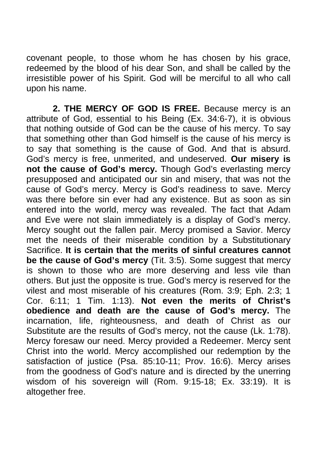covenant people, to those whom he has chosen by his grace, redeemed by the blood of his dear Son, and shall be called by the irresistible power of his Spirit. God will be merciful to all who call upon his name.

 **2. THE MERCY OF GOD IS FREE.** Because mercy is an attribute of God, essential to his Being (Ex. 34:6-7), it is obvious that nothing outside of God can be the cause of his mercy. To say that something other than God himself is the cause of his mercy is to say that something is the cause of God. And that is absurd. God's mercy is free, unmerited, and undeserved. **Our misery is not the cause of God's mercy.** Though God's everlasting mercy presupposed and anticipated our sin and misery, that was not the cause of God's mercy. Mercy is God's readiness to save. Mercy was there before sin ever had any existence. But as soon as sin entered into the world, mercy was revealed. The fact that Adam and Eve were not slain immediately is a display of God's mercy. Mercy sought out the fallen pair. Mercy promised a Savior. Mercy met the needs of their miserable condition by a Substitutionary Sacrifice. **It is certain that the merits of sinful creatures cannot be the cause of God's mercy** (Tit. 3:5). Some suggest that mercy is shown to those who are more deserving and less vile than others. But just the opposite is true. God's mercy is reserved for the vilest and most miserable of his creatures (Rom. 3:9; Eph. 2:3; 1 Cor. 6:11; 1 Tim. 1:13). **Not even the merits of Christ's obedience and death are the cause of God's mercy.** The incarnation, life, righteousness, and death of Christ as our Substitute are the results of God's mercy, not the cause (Lk. 1:78). Mercy foresaw our need. Mercy provided a Redeemer. Mercy sent Christ into the world. Mercy accomplished our redemption by the satisfaction of justice (Psa. 85:10-11; Prov. 16:6). Mercy arises from the goodness of God's nature and is directed by the unerring wisdom of his sovereign will (Rom. 9:15-18; Ex. 33:19). It is altogether free.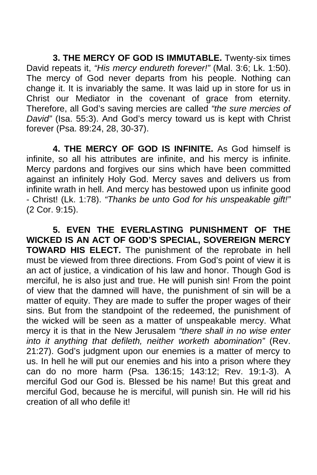**3. THE MERCY OF GOD IS IMMUTABLE.** Twenty-six times David repeats it, *"His mercy endureth forever!"* (Mal. 3:6; Lk. 1:50). The mercy of God never departs from his people. Nothing can change it. It is invariably the same. It was laid up in store for us in Christ our Mediator in the covenant of grace from eternity. Therefore, all God's saving mercies are called *"the sure mercies of David"* (Isa. 55:3). And God's mercy toward us is kept with Christ forever (Psa. 89:24, 28, 30-37).

 **4. THE MERCY OF GOD IS INFINITE.** As God himself is infinite, so all his attributes are infinite, and his mercy is infinite. Mercy pardons and forgives our sins which have been committed against an infinitely Holy God. Mercy saves and delivers us from infinite wrath in hell. And mercy has bestowed upon us infinite good - Christ! (Lk. 1:78). *"Thanks be unto God for his unspeakable gift!"*  (2 Cor. 9:15).

 **5. EVEN THE EVERLASTING PUNISHMENT OF THE WICKED IS AN ACT OF GOD'S SPECIAL, SOVEREIGN MERCY TOWARD HIS ELECT.** The punishment of the reprobate in hell must be viewed from three directions. From God's point of view it is an act of justice, a vindication of his law and honor. Though God is merciful, he is also just and true. He will punish sin! From the point of view that the damned will have, the punishment of sin will be a matter of equity. They are made to suffer the proper wages of their sins. But from the standpoint of the redeemed, the punishment of the wicked will be seen as a matter of unspeakable mercy. What mercy it is that in the New Jerusalem *"there shall in no wise enter into it anything that defileth, neither worketh abomination"* (Rev. 21:27). God's judgment upon our enemies is a matter of mercy to us. In hell he will put our enemies and his into a prison where they can do no more harm (Psa. 136:15; 143:12; Rev. 19:1-3). A merciful God our God is. Blessed be his name! But this great and merciful God, because he is merciful, will punish sin. He will rid his creation of all who defile it!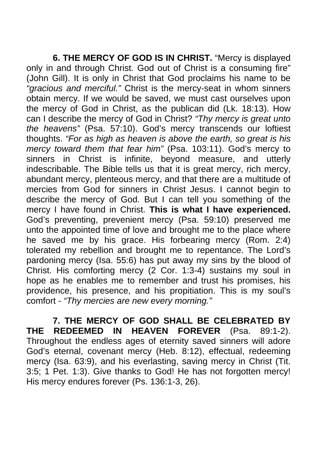**6. THE MERCY OF GOD IS IN CHRIST.** "Mercy is displayed only in and through Christ. God out of Christ is a consuming fire" (John Gill). It is only in Christ that God proclaims his name to be *"gracious and merciful."* Christ is the mercy-seat in whom sinners obtain mercy. If we would be saved, we must cast ourselves upon the mercy of God in Christ, as the publican did (Lk. 18:13). How can I describe the mercy of God in Christ? *"Thy mercy is great unto the heavens"* (Psa. 57:10). God's mercy transcends our loftiest thoughts. *"For as high as heaven is above the earth, so great is his mercy toward them that fear him"* (Psa. 103:11). God's mercy to sinners in Christ is infinite, beyond measure, and utterly indescribable. The Bible tells us that it is great mercy, rich mercy, abundant mercy, plenteous mercy, and that there are a multitude of mercies from God for sinners in Christ Jesus. I cannot begin to describe the mercy of God. But I can tell you something of the mercy I have found in Christ. **This is what I have experienced.**  God's preventing, prevenient mercy (Psa. 59:10) preserved me unto the appointed time of love and brought me to the place where he saved me by his grace. His forbearing mercy (Rom. 2:4) tolerated my rebellion and brought me to repentance. The Lord's pardoning mercy (Isa. 55:6) has put away my sins by the blood of Christ. His comforting mercy (2 Cor. 1:3-4) sustains my soul in hope as he enables me to remember and trust his promises, his providence, his presence, and his propitiation. This is my soul's comfort - *"Thy mercies are new every morning."* 

 **7. THE MERCY OF GOD SHALL BE CELEBRATED BY THE REDEEMED IN HEAVEN FOREVER** (Psa. 89:1-2). Throughout the endless ages of eternity saved sinners will adore God's eternal, covenant mercy (Heb. 8:12), effectual, redeeming mercy (Isa. 63:9), and his everlasting, saving mercy in Christ (Tit. 3:5; 1 Pet. 1:3). Give thanks to God! He has not forgotten mercy! His mercy endures forever (Ps. 136:1-3, 26).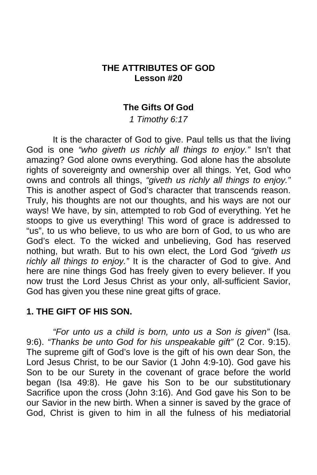## **THE ATTRIBUTES OF GOD Lesson #20**

## **The Gifts Of God**

*1 Timothy 6:17* 

 It is the character of God to give. Paul tells us that the living God is one *"who giveth us richly all things to enjoy."* Isn't that amazing? God alone owns everything. God alone has the absolute rights of sovereignty and ownership over all things. Yet, God who owns and controls all things, *"giveth us richly all things to enjoy."*  This is another aspect of God's character that transcends reason. Truly, his thoughts are not our thoughts, and his ways are not our ways! We have, by sin, attempted to rob God of everything. Yet he stoops to give us everything! This word of grace is addressed to "us", to us who believe, to us who are born of God, to us who are God's elect. To the wicked and unbelieving, God has reserved nothing, but wrath. But to his own elect, the Lord God *"giveth us richly all things to enjoy."* It is the character of God to give. And here are nine things God has freely given to every believer. If you now trust the Lord Jesus Christ as your only, all-sufficient Savior, God has given you these nine great gifts of grace.

### **1. THE GIFT OF HIS SON.**

*"For unto us a child is born, unto us a Son is given"* (Isa. 9:6). *"Thanks be unto God for his unspeakable gift"* (2 Cor. 9:15). The supreme gift of God's love is the gift of his own dear Son, the Lord Jesus Christ, to be our Savior (1 John 4:9-10). God gave his Son to be our Surety in the covenant of grace before the world began (Isa 49:8). He gave his Son to be our substitutionary Sacrifice upon the cross (John 3:16). And God gave his Son to be our Savior in the new birth. When a sinner is saved by the grace of God, Christ is given to him in all the fulness of his mediatorial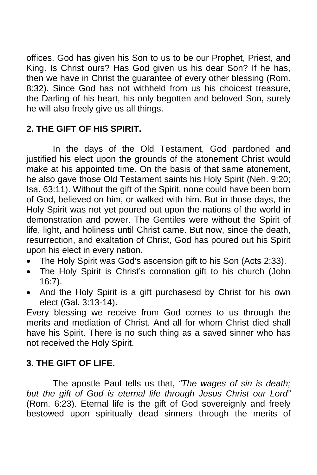offices. God has given his Son to us to be our Prophet, Priest, and King. Is Christ ours? Has God given us his dear Son? If he has, then we have in Christ the guarantee of every other blessing (Rom. 8:32). Since God has not withheld from us his choicest treasure, the Darling of his heart, his only begotten and beloved Son, surely he will also freely give us all things.

# **2. THE GIFT OF HIS SPIRIT.**

In the days of the Old Testament, God pardoned and justified his elect upon the grounds of the atonement Christ would make at his appointed time. On the basis of that same atonement, he also gave those Old Testament saints his Holy Spirit (Neh. 9:20; Isa. 63:11). Without the gift of the Spirit, none could have been born of God, believed on him, or walked with him. But in those days, the Holy Spirit was not yet poured out upon the nations of the world in demonstration and power. The Gentiles were without the Spirit of life, light, and holiness until Christ came. But now, since the death, resurrection, and exaltation of Christ, God has poured out his Spirit upon his elect in every nation.

- The Holy Spirit was God's ascension gift to his Son (Acts 2:33).
- The Holy Spirit is Christ's coronation gift to his church (John 16:7).
- And the Holy Spirit is a gift purchasesd by Christ for his own elect (Gal. 3:13-14).

Every blessing we receive from God comes to us through the merits and mediation of Christ. And all for whom Christ died shall have his Spirit. There is no such thing as a saved sinner who has not received the Holy Spirit.

# **3. THE GIFT OF LIFE.**

The apostle Paul tells us that, *"The wages of sin is death; but the gift of God is eternal life through Jesus Christ our Lord"*  (Rom. 6:23). Eternal life is the gift of God sovereignly and freely bestowed upon spiritually dead sinners through the merits of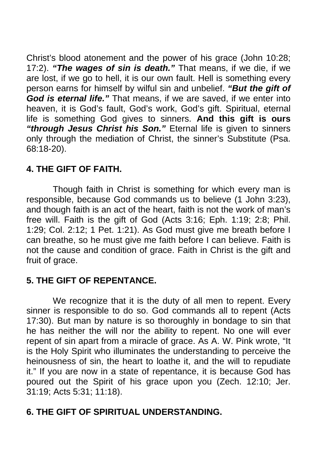Christ's blood atonement and the power of his grace (John 10:28; 17:2). *"The wages of sin is death."* That means, if we die, if we are lost, if we go to hell, it is our own fault. Hell is something every person earns for himself by wilful sin and unbelief. *"But the gift of God is eternal life."* That means, if we are saved, if we enter into heaven, it is God's fault, God's work, God's gift. Spiritual, eternal life is something God gives to sinners. **And this gift is ours**  *"through Jesus Christ his Son."* Eternal life is given to sinners only through the mediation of Christ, the sinner's Substitute (Psa. 68:18-20).

## **4. THE GIFT OF FAITH.**

Though faith in Christ is something for which every man is responsible, because God commands us to believe (1 John 3:23), and though faith is an act of the heart, faith is not the work of man's free will. Faith is the gift of God (Acts 3:16; Eph. 1:19; 2:8; Phil. 1:29; Col. 2:12; 1 Pet. 1:21). As God must give me breath before I can breathe, so he must give me faith before I can believe. Faith is not the cause and condition of grace. Faith in Christ is the gift and fruit of grace.

# **5. THE GIFT OF REPENTANCE.**

We recognize that it is the duty of all men to repent. Every sinner is responsible to do so. God commands all to repent (Acts 17:30). But man by nature is so thoroughly in bondage to sin that he has neither the will nor the ability to repent. No one will ever repent of sin apart from a miracle of grace. As A. W. Pink wrote, "It is the Holy Spirit who illuminates the understanding to perceive the heinousness of sin, the heart to loathe it, and the will to repudiate it." If you are now in a state of repentance, it is because God has poured out the Spirit of his grace upon you (Zech. 12:10; Jer. 31:19; Acts 5:31; 11:18).

## **6. THE GIFT OF SPIRITUAL UNDERSTANDING.**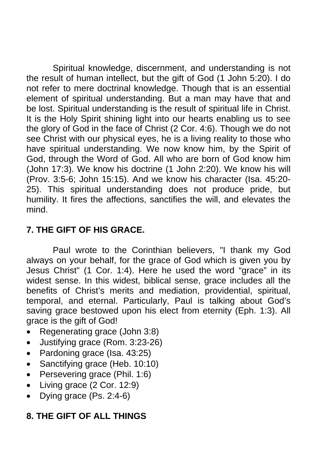Spiritual knowledge, discernment, and understanding is not the result of human intellect, but the gift of God (1 John 5:20). I do not refer to mere doctrinal knowledge. Though that is an essential element of spiritual understanding. But a man may have that and be lost. Spiritual understanding is the result of spiritual life in Christ. It is the Holy Spirit shining light into our hearts enabling us to see the glory of God in the face of Christ (2 Cor. 4:6). Though we do not see Christ with our physical eyes, he is a living reality to those who have spiritual understanding. We now know him, by the Spirit of God, through the Word of God. All who are born of God know him (John 17:3). We know his doctrine (1 John 2:20). We know his will (Prov. 3:5-6; John 15:15). And we know his character (Isa. 45:20- 25). This spiritual understanding does not produce pride, but humility. It fires the affections, sanctifies the will, and elevates the mind.

# **7. THE GIFT OF HIS GRACE.**

 Paul wrote to the Corinthian believers, "I thank my God always on your behalf, for the grace of God which is given you by Jesus Christ" (1 Cor. 1:4). Here he used the word "grace" in its widest sense. In this widest, biblical sense, grace includes all the benefits of Christ's merits and mediation, providential, spiritual, temporal, and eternal. Particularly, Paul is talking about God's saving grace bestowed upon his elect from eternity (Eph. 1:3). All grace is the gift of God!

- Regenerating grace (John 3:8)
- Justifying grace (Rom. 3:23-26)
- Pardoning grace (Isa. 43:25)
- Sanctifying grace (Heb. 10:10)
- Persevering grace (Phil. 1:6)
- Living grace (2 Cor. 12:9)
- Dying grace (Ps. 2:4-6)

# **8. THE GIFT OF ALL THINGS**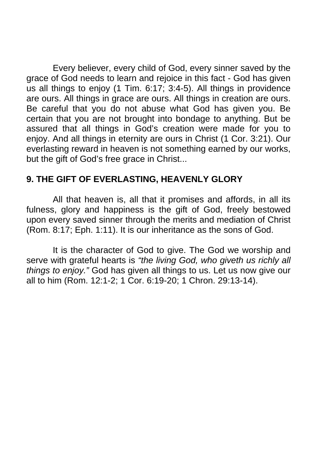Every believer, every child of God, every sinner saved by the grace of God needs to learn and rejoice in this fact - God has given us all things to enjoy (1 Tim. 6:17; 3:4-5). All things in providence are ours. All things in grace are ours. All things in creation are ours. Be careful that you do not abuse what God has given you. Be certain that you are not brought into bondage to anything. But be assured that all things in God's creation were made for you to enjoy. And all things in eternity are ours in Christ (1 Cor. 3:21). Our everlasting reward in heaven is not something earned by our works, but the gift of God's free grace in Christ...

## **9. THE GIFT OF EVERLASTING, HEAVENLY GLORY**

 All that heaven is, all that it promises and affords, in all its fulness, glory and happiness is the gift of God, freely bestowed upon every saved sinner through the merits and mediation of Christ (Rom. 8:17; Eph. 1:11). It is our inheritance as the sons of God.

It is the character of God to give. The God we worship and serve with grateful hearts is *"the living God, who giveth us richly all things to enjoy."* God has given all things to us. Let us now give our all to him (Rom. 12:1-2; 1 Cor. 6:19-20; 1 Chron. 29:13-14).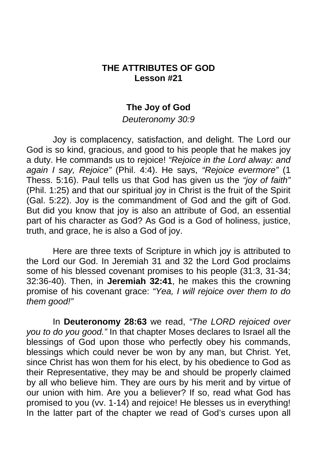### **THE ATTRIBUTES OF GOD Lesson #21**

### **The Joy of God**

*Deuteronomy 30:9* 

 Joy is complacency, satisfaction, and delight. The Lord our God is so kind, gracious, and good to his people that he makes joy a duty. He commands us to rejoice! *"Rejoice in the Lord alway: and again I say, Rejoice"* (Phil. 4:4). He says, *"Rejoice evermore"* (1 Thess. 5:16). Paul tells us that God has given us the *"joy of faith"*  (Phil. 1:25) and that our spiritual joy in Christ is the fruit of the Spirit (Gal. 5:22). Joy is the commandment of God and the gift of God. But did you know that joy is also an attribute of God, an essential part of his character as God? As God is a God of holiness, justice, truth, and grace, he is also a God of joy.

 Here are three texts of Scripture in which joy is attributed to the Lord our God. In Jeremiah 31 and 32 the Lord God proclaims some of his blessed covenant promises to his people (31:3, 31-34; 32:36-40). Then, in **Jeremiah 32:41**, he makes this the crowning promise of his covenant grace: *"Yea, I will rejoice over them to do them good!"*

 In **Deuteronomy 28:63** we read, *"The LORD rejoiced over you to do you good."* In that chapter Moses declares to Israel all the blessings of God upon those who perfectly obey his commands, blessings which could never be won by any man, but Christ. Yet, since Christ has won them for his elect, by his obedience to God as their Representative, they may be and should be properly claimed by all who believe him. They are ours by his merit and by virtue of our union with him. Are you a believer? If so, read what God has promised to you (vv. 1-14) and rejoice! He blesses us in everything! In the latter part of the chapter we read of God's curses upon all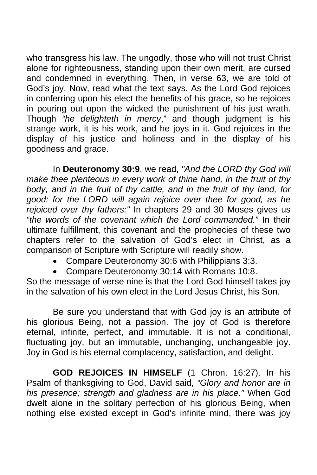who transgress his law. The ungodly, those who will not trust Christ alone for righteousness, standing upon their own merit, are cursed and condemned in everything. Then, in verse 63, we are told of God's joy. Now, read what the text says. As the Lord God rejoices in conferring upon his elect the benefits of his grace, so he rejoices in pouring out upon the wicked the punishment of his just wrath. Though *"he delighteth in mercy*," and though judgment is his strange work, it is his work, and he joys in it. God rejoices in the display of his justice and holiness and in the display of his goodness and grace.

 In **Deuteronomy 30:9**, we read, *"And the LORD thy God will make thee plenteous in every work of thine hand, in the fruit of thy body, and in the fruit of thy cattle, and in the fruit of thy land, for good: for the LORD will again rejoice over thee for good, as he rejoiced over thy fathers:"* In chapters 29 and 30 Moses gives us *"the words of the covenant which the Lord commanded."* In their ultimate fulfillment, this covenant and the prophecies of these two chapters refer to the salvation of God's elect in Christ, as a comparison of Scripture with Scripture will readily show.

- Compare Deuteronomy 30:6 with Philippians 3:3.
- Compare Deuteronomy 30:14 with Romans 10:8.

So the message of verse nine is that the Lord God himself takes joy in the salvation of his own elect in the Lord Jesus Christ, his Son.

 Be sure you understand that with God joy is an attribute of his glorious Being, not a passion. The joy of God is therefore eternal, infinite, perfect, and immutable. It is not a conditional, fluctuating joy, but an immutable, unchanging, unchangeable joy. Joy in God is his eternal complacency, satisfaction, and delight.

**GOD REJOICES IN HIMSELF** (1 Chron. 16:27). In his Psalm of thanksgiving to God, David said, *"Glory and honor are in his presence; strength and gladness are in his place."* When God dwelt alone in the solitary perfection of his glorious Being, when nothing else existed except in God's infinite mind, there was joy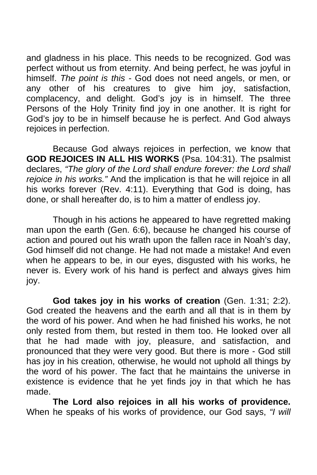and gladness in his place. This needs to be recognized. God was perfect without us from eternity. And being perfect, he was joyful in himself. *The point is this -* God does not need angels, or men, or any other of his creatures to give him joy, satisfaction, complacency, and delight. God's joy is in himself. The three Persons of the Holy Trinity find joy in one another. It is right for God's joy to be in himself because he is perfect. And God always rejoices in perfection.

 Because God always rejoices in perfection, we know that **GOD REJOICES IN ALL HIS WORKS** (Psa. 104:31). The psalmist declares, *"The glory of the Lord shall endure forever: the Lord shall rejoice in his works."* And the implication is that he will rejoice in all his works forever (Rev. 4:11). Everything that God is doing, has done, or shall hereafter do, is to him a matter of endless joy.

 Though in his actions he appeared to have regretted making man upon the earth (Gen. 6:6), because he changed his course of action and poured out his wrath upon the fallen race in Noah's day, God himself did not change. He had not made a mistake! And even when he appears to be, in our eyes, disgusted with his works, he never is. Every work of his hand is perfect and always gives him joy.

**God takes joy in his works of creation** (Gen. 1:31; 2:2). God created the heavens and the earth and all that is in them by the word of his power. And when he had finished his works, he not only rested from them, but rested in them too. He looked over all that he had made with joy, pleasure, and satisfaction, and pronounced that they were very good. But there is more - God still has joy in his creation, otherwise, he would not uphold all things by the word of his power. The fact that he maintains the universe in existence is evidence that he yet finds joy in that which he has made.

**The Lord also rejoices in all his works of providence.**  When he speaks of his works of providence, our God says, *"I will*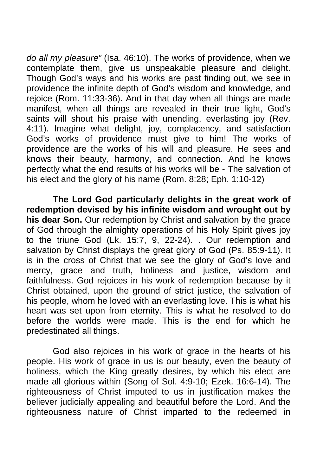*do all my pleasure"* (Isa. 46:10). The works of providence, when we contemplate them, give us unspeakable pleasure and delight. Though God's ways and his works are past finding out, we see in providence the infinite depth of God's wisdom and knowledge, and rejoice (Rom. 11:33-36). And in that day when all things are made manifest, when all things are revealed in their true light, God's saints will shout his praise with unending, everlasting joy (Rev. 4:11). Imagine what delight, joy, complacency, and satisfaction God's works of providence must give to him! The works of providence are the works of his will and pleasure. He sees and knows their beauty, harmony, and connection. And he knows perfectly what the end results of his works will be - The salvation of his elect and the glory of his name (Rom. 8:28; Eph. 1:10-12)

**The Lord God particularly delights in the great work of redemption devised by his infinite wisdom and wrought out by his dear Son.** Our redemption by Christ and salvation by the grace of God through the almighty operations of his Holy Spirit gives joy to the triune God (Lk. 15:7, 9, 22-24). . Our redemption and salvation by Christ displays the great glory of God (Ps. 85:9-11). It is in the cross of Christ that we see the glory of God's love and mercy, grace and truth, holiness and justice, wisdom and faithfulness. God rejoices in his work of redemption because by it Christ obtained, upon the ground of strict justice, the salvation of his people, whom he loved with an everlasting love. This is what his heart was set upon from eternity. This is what he resolved to do before the worlds were made. This is the end for which he predestinated all things.

 God also rejoices in his work of grace in the hearts of his people. His work of grace in us is our beauty, even the beauty of holiness, which the King greatly desires, by which his elect are made all glorious within (Song of Sol. 4:9-10; Ezek. 16:6-14). The righteousness of Christ imputed to us in justification makes the believer judicially appealing and beautiful before the Lord. And the righteousness nature of Christ imparted to the redeemed in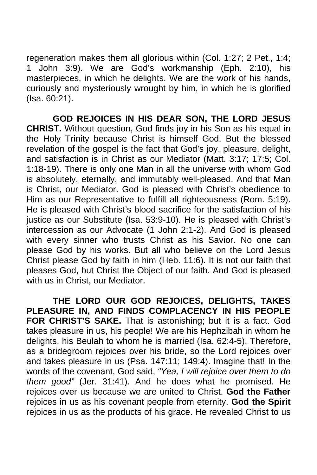regeneration makes them all glorious within (Col. 1:27; 2 Pet., 1:4; 1 John 3:9). We are God's workmanship (Eph. 2:10), his masterpieces, in which he delights. We are the work of his hands, curiously and mysteriously wrought by him, in which he is glorified (Isa. 60:21).

 **GOD REJOICES IN HIS DEAR SON, THE LORD JESUS CHRIST.** Without question, God finds joy in his Son as his equal in the Holy Trinity because Christ is himself God. But the blessed revelation of the gospel is the fact that God's joy, pleasure, delight, and satisfaction is in Christ as our Mediator (Matt. 3:17; 17:5; Col. 1:18-19). There is only one Man in all the universe with whom God is absolutely, eternally, and immutably well-pleased. And that Man is Christ, our Mediator. God is pleased with Christ's obedience to Him as our Representative to fulfill all righteousness (Rom. 5:19). He is pleased with Christ's blood sacrifice for the satisfaction of his justice as our Substitute (Isa. 53:9-10). He is pleased with Christ's intercession as our Advocate (1 John 2:1-2). And God is pleased with every sinner who trusts Christ as his Savior. No one can please God by his works. But all who believe on the Lord Jesus Christ please God by faith in him (Heb. 11:6). It is not our faith that pleases God, but Christ the Object of our faith. And God is pleased with us in Christ, our Mediator.

 **THE LORD OUR GOD REJOICES, DELIGHTS, TAKES PLEASURE IN, AND FINDS COMPLACENCY IN HIS PEOPLE FOR CHRIST'S SAKE.** That is astonishing; but it is a fact. God takes pleasure in us, his people! We are his Hephzibah in whom he delights, his Beulah to whom he is married (Isa. 62:4-5). Therefore, as a bridegroom rejoices over his bride, so the Lord rejoices over and takes pleasure in us (Psa. 147:11; 149:4). Imagine that! In the words of the covenant, God said, *"Yea, I will rejoice over them to do them good"* (Jer. 31:41). And he does what he promised. He rejoices over us because we are united to Christ. **God the Father** rejoices in us as his covenant people from eternity. **God the Spirit** rejoices in us as the products of his grace. He revealed Christ to us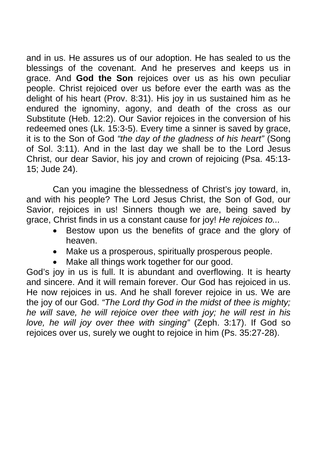and in us. He assures us of our adoption. He has sealed to us the blessings of the covenant. And he preserves and keeps us in grace. And **God the Son** rejoices over us as his own peculiar people. Christ rejoiced over us before ever the earth was as the delight of his heart (Prov. 8:31). His joy in us sustained him as he endured the ignominy, agony, and death of the cross as our Substitute (Heb. 12:2). Our Savior rejoices in the conversion of his redeemed ones (Lk. 15:3-5). Every time a sinner is saved by grace, it is to the Son of God *"the day of the gladness of his heart"* (Song of Sol. 3:11). And in the last day we shall be to the Lord Jesus Christ, our dear Savior, his joy and crown of rejoicing (Psa. 45:13- 15; Jude 24).

 Can you imagine the blessedness of Christ's joy toward, in, and with his people? The Lord Jesus Christ, the Son of God, our Savior, rejoices in us! Sinners though we are, being saved by grace, Christ finds in us a constant cause for joy! *He rejoices to...*

- Bestow upon us the benefits of grace and the glory of heaven.
- Make us a prosperous, spiritually prosperous people.
- Make all things work together for our good.

God's joy in us is full. It is abundant and overflowing. It is hearty and sincere. And it will remain forever. Our God has rejoiced in us. He now rejoices in us. And he shall forever rejoice in us. We are the joy of our God. *"The Lord thy God in the midst of thee is mighty; he will save, he will rejoice over thee with joy; he will rest in his love, he will joy over thee with singing"* (Zeph. 3:17). If God so rejoices over us, surely we ought to rejoice in him (Ps. 35:27-28).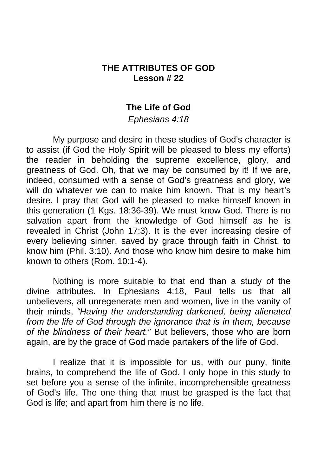## **THE ATTRIBUTES OF GOD Lesson # 22**

### **The Life of God**

#### *Ephesians 4:18*

 My purpose and desire in these studies of God's character is to assist (if God the Holy Spirit will be pleased to bless my efforts) the reader in beholding the supreme excellence, glory, and greatness of God. Oh, that we may be consumed by it! If we are, indeed, consumed with a sense of God's greatness and glory, we will do whatever we can to make him known. That is my heart's desire. I pray that God will be pleased to make himself known in this generation (1 Kgs. 18:36-39). We must know God. There is no salvation apart from the knowledge of God himself as he is revealed in Christ (John 17:3). It is the ever increasing desire of every believing sinner, saved by grace through faith in Christ, to know him (Phil. 3:10). And those who know him desire to make him known to others (Rom. 10:1-4).

 Nothing is more suitable to that end than a study of the divine attributes. In Ephesians 4:18, Paul tells us that all unbelievers, all unregenerate men and women, live in the vanity of their minds, *"Having the understanding darkened, being alienated from the life of God through the ignorance that is in them, because of the blindness of their heart."* But believers, those who are born again, are by the grace of God made partakers of the life of God.

 I realize that it is impossible for us, with our puny, finite brains, to comprehend the life of God. I only hope in this study to set before you a sense of the infinite, incomprehensible greatness of God's life. The one thing that must be grasped is the fact that God is life; and apart from him there is no life.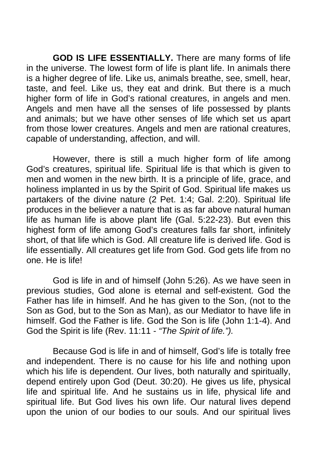**GOD IS LIFE ESSENTIALLY.** There are many forms of life in the universe. The lowest form of life is plant life. In animals there is a higher degree of life. Like us, animals breathe, see, smell, hear, taste, and feel. Like us, they eat and drink. But there is a much higher form of life in God's rational creatures, in angels and men. Angels and men have all the senses of life possessed by plants and animals; but we have other senses of life which set us apart from those lower creatures. Angels and men are rational creatures, capable of understanding, affection, and will.

 However, there is still a much higher form of life among God's creatures, spiritual life. Spiritual life is that which is given to men and women in the new birth. It is a principle of life, grace, and holiness implanted in us by the Spirit of God. Spiritual life makes us partakers of the divine nature (2 Pet. 1:4; Gal. 2:20). Spiritual life produces in the believer a nature that is as far above natural human life as human life is above plant life (Gal. 5:22-23). But even this highest form of life among God's creatures falls far short, infinitely short, of that life which is God. All creature life is derived life. God is life essentially. All creatures get life from God. God gets life from no one. He is life!

 God is life in and of himself (John 5:26). As we have seen in previous studies, God alone is eternal and self-existent. God the Father has life in himself. And he has given to the Son, (not to the Son as God, but to the Son as Man), as our Mediator to have life in himself. God the Father is life. God the Son is life (John 1:1-4). And God the Spirit is life (Rev. 11:11 - *"The Spirit of life.").* 

Because God is life in and of himself, God's life is totally free and independent. There is no cause for his life and nothing upon which his life is dependent. Our lives, both naturally and spiritually, depend entirely upon God (Deut. 30:20). He gives us life, physical life and spiritual life. And he sustains us in life, physical life and spiritual life. But God lives his own life. Our natural lives depend upon the union of our bodies to our souls. And our spiritual lives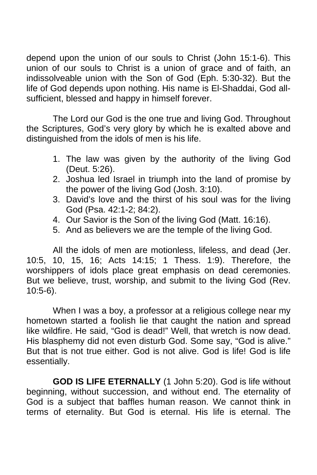depend upon the union of our souls to Christ (John 15:1-6). This union of our souls to Christ is a union of grace and of faith, an indissolveable union with the Son of God (Eph. 5:30-32). But the life of God depends upon nothing. His name is El-Shaddai, God allsufficient, blessed and happy in himself forever.

 The Lord our God is the one true and living God. Throughout the Scriptures, God's very glory by which he is exalted above and distinguished from the idols of men is his life.

- 1. The law was given by the authority of the living God (Deut. 5:26).
- 2. Joshua led Israel in triumph into the land of promise by the power of the living God (Josh. 3:10).
- 3. David's love and the thirst of his soul was for the living God (Psa. 42:1-2; 84:2).
- 4. Our Savior is the Son of the living God (Matt. 16:16).
- 5. And as believers we are the temple of the living God.

 All the idols of men are motionless, lifeless, and dead (Jer. 10:5, 10, 15, 16; Acts 14:15; 1 Thess. 1:9). Therefore, the worshippers of idols place great emphasis on dead ceremonies. But we believe, trust, worship, and submit to the living God (Rev. 10:5-6).

 When I was a boy, a professor at a religious college near my hometown started a foolish lie that caught the nation and spread like wildfire. He said, "God is dead!" Well, that wretch is now dead. His blasphemy did not even disturb God. Some say, "God is alive." But that is not true either. God is not alive. God is life! God is life essentially.

 **GOD IS LIFE ETERNALLY** (1 John 5:20). God is life without beginning, without succession, and without end. The eternality of God is a subject that baffles human reason. We cannot think in terms of eternality. But God is eternal. His life is eternal. The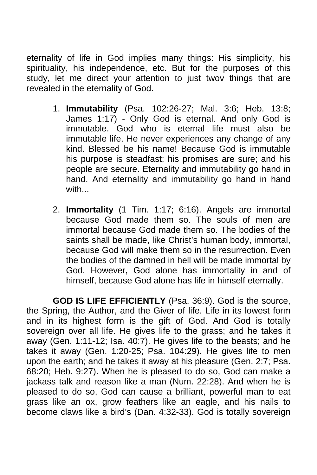eternality of life in God implies many things: His simplicity, his spirituality, his independence, etc. But for the purposes of this study, let me direct your attention to just twov things that are revealed in the eternality of God.

- 1. **Immutability** (Psa. 102:26-27; Mal. 3:6; Heb. 13:8; James 1:17) - Only God is eternal. And only God is immutable. God who is eternal life must also be immutable life. He never experiences any change of any kind. Blessed be his name! Because God is immutable his purpose is steadfast; his promises are sure; and his people are secure. Eternality and immutability go hand in hand. And eternality and immutability go hand in hand with...
- 2. **Immortality** (1 Tim. 1:17; 6:16). Angels are immortal because God made them so. The souls of men are immortal because God made them so. The bodies of the saints shall be made, like Christ's human body, immortal, because God will make them so in the resurrection. Even the bodies of the damned in hell will be made immortal by God. However, God alone has immortality in and of himself, because God alone has life in himself eternally.

 **GOD IS LIFE EFFICIENTLY** (Psa. 36:9). God is the source, the Spring, the Author, and the Giver of life. Life in its lowest form and in its highest form is the gift of God. And God is totally sovereign over all life. He gives life to the grass; and he takes it away (Gen. 1:11-12; Isa. 40:7). He gives life to the beasts; and he takes it away (Gen. 1:20-25; Psa. 104:29). He gives life to men upon the earth; and he takes it away at his pleasure (Gen. 2:7; Psa. 68:20; Heb. 9:27). When he is pleased to do so, God can make a jackass talk and reason like a man (Num. 22:28). And when he is pleased to do so, God can cause a brilliant, powerful man to eat grass like an ox, grow feathers like an eagle, and his nails to become claws like a bird's (Dan. 4:32-33). God is totally sovereign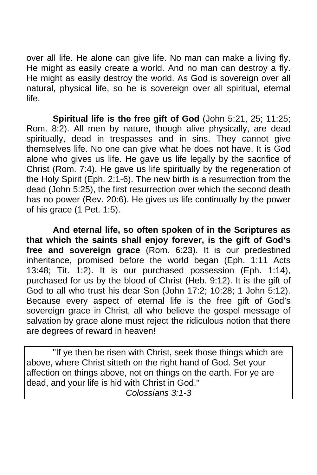over all life. He alone can give life. No man can make a living fly. He might as easily create a world. And no man can destroy a fly. He might as easily destroy the world. As God is sovereign over all natural, physical life, so he is sovereign over all spiritual, eternal life.

**Spiritual life is the free gift of God** (John 5:21, 25; 11:25; Rom. 8:2). All men by nature, though alive physically, are dead spiritually, dead in trespasses and in sins. They cannot give themselves life. No one can give what he does not have. It is God alone who gives us life. He gave us life legally by the sacrifice of Christ (Rom. 7:4). He gave us life spiritually by the regeneration of the Holy Spirit (Eph. 2:1-6). The new birth is a resurrection from the dead (John 5:25), the first resurrection over which the second death has no power (Rev. 20:6). He gives us life continually by the power of his grace (1 Pet. 1:5).

**And eternal life, so often spoken of in the Scriptures as that which the saints shall enjoy forever, is the gift of God's free and sovereign grace** (Rom. 6:23). It is our predestined inheritance, promised before the world began (Eph. 1:11 Acts 13:48; Tit. 1:2). It is our purchased possession (Eph. 1:14), purchased for us by the blood of Christ (Heb. 9:12). It is the gift of God to all who trust his dear Son (John 17:2; 10:28; 1 John 5:12). Because every aspect of eternal life is the free gift of God's sovereign grace in Christ, all who believe the gospel message of salvation by grace alone must reject the ridiculous notion that there are degrees of reward in heaven!

 "If ye then be risen with Christ, seek those things which are above, where Christ sitteth on the right hand of God. Set your affection on things above, not on things on the earth. For ye are dead, and your life is hid with Christ in God." *Colossians 3:1-3*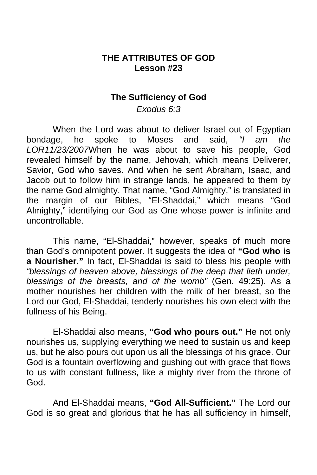### **THE ATTRIBUTES OF GOD Lesson #23**

#### **The Sufficiency of God**

*Exodus 6:3* 

 When the Lord was about to deliver Israel out of Egyptian bondage, he spoke to Moses and said, *"I am the LOR11/23/2007*When he was about to save his people, God revealed himself by the name, Jehovah, which means Deliverer, Savior, God who saves. And when he sent Abraham, Isaac, and Jacob out to follow him in strange lands, he appeared to them by the name God almighty. That name, "God Almighty," is translated in the margin of our Bibles, "El-Shaddai," which means "God Almighty," identifying our God as One whose power is infinite and uncontrollable.

 This name, "El-Shaddai," however, speaks of much more than God's omnipotent power. It suggests the idea of **"God who is a Nourisher."** In fact, El-Shaddai is said to bless his people with *"blessings of heaven above, blessings of the deep that lieth under, blessings of the breasts, and of the womb"* (Gen. 49:25). As a mother nourishes her children with the milk of her breast, so the Lord our God, El-Shaddai, tenderly nourishes his own elect with the fullness of his Being.

 El-Shaddai also means, **"God who pours out."** He not only nourishes us, supplying everything we need to sustain us and keep us, but he also pours out upon us all the blessings of his grace. Our God is a fountain overflowing and gushing out with grace that flows to us with constant fullness, like a mighty river from the throne of God.

 And El-Shaddai means, **"God All-Sufficient."** The Lord our God is so great and glorious that he has all sufficiency in himself,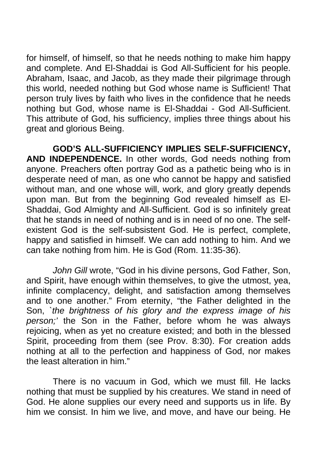for himself, of himself, so that he needs nothing to make him happy and complete. And El-Shaddai is God All-Sufficient for his people. Abraham, Isaac, and Jacob, as they made their pilgrimage through this world, needed nothing but God whose name is Sufficient! That person truly lives by faith who lives in the confidence that he needs nothing but God, whose name is El-Shaddai - God All-Sufficient. This attribute of God, his sufficiency, implies three things about his great and glorious Being.

 **GOD'S ALL-SUFFICIENCY IMPLIES SELF-SUFFICIENCY, AND INDEPENDENCE.** In other words, God needs nothing from anyone. Preachers often portray God as a pathetic being who is in desperate need of man, as one who cannot be happy and satisfied without man, and one whose will, work, and glory greatly depends upon man. But from the beginning God revealed himself as El-Shaddai, God Almighty and All-Sufficient. God is so infinitely great that he stands in need of nothing and is in need of no one. The selfexistent God is the self-subsistent God. He is perfect, complete, happy and satisfied in himself. We can add nothing to him. And we can take nothing from him. He is God (Rom. 11:35-36).

*John Gill* wrote, "God in his divine persons, God Father, Son, and Spirit, have enough within themselves, to give the utmost, yea, infinite complacency, delight, and satisfaction among themselves and to one another." From eternity, "the Father delighted in the Son, *`the brightness of his glory and the express image of his person;'* the Son in the Father, before whom he was always rejoicing, when as yet no creature existed; and both in the blessed Spirit, proceeding from them (see Prov. 8:30). For creation adds nothing at all to the perfection and happiness of God, nor makes the least alteration in him."

 There is no vacuum in God, which we must fill. He lacks nothing that must be supplied by his creatures. We stand in need of God. He alone supplies our every need and supports us in life. By him we consist. In him we live, and move, and have our being. He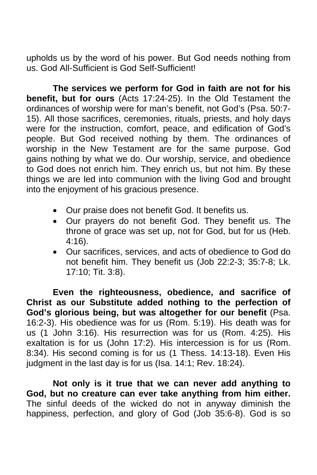upholds us by the word of his power. But God needs nothing from us. God All-Sufficient is God Self-Sufficient!

**The services we perform for God in faith are not for his benefit, but for ours** (Acts 17:24-25). In the Old Testament the ordinances of worship were for man's benefit, not God's (Psa. 50:7- 15). All those sacrifices, ceremonies, rituals, priests, and holy days were for the instruction, comfort, peace, and edification of God's people. But God received nothing by them. The ordinances of worship in the New Testament are for the same purpose. God gains nothing by what we do. Our worship, service, and obedience to God does not enrich him. They enrich us, but not him. By these things we are led into communion with the living God and brought into the enjoyment of his gracious presence.

- Our praise does not benefit God. It benefits us.
- Our prayers do not benefit God. They benefit us. The throne of grace was set up, not for God, but for us (Heb. 4:16).
- Our sacrifices, services, and acts of obedience to God do not benefit him. They benefit us (Job 22:2-3; 35:7-8; Lk. 17:10; Tit. 3:8).

 **Even the righteousness, obedience, and sacrifice of Christ as our Substitute added nothing to the perfection of God's glorious being, but was altogether for our benefit** (Psa. 16:2-3). His obedience was for us (Rom. 5:19). His death was for us (1 John 3:16). His resurrection was for us (Rom. 4:25). His exaltation is for us (John 17:2). His intercession is for us (Rom. 8:34). His second coming is for us (1 Thess. 14:13-18). Even His judgment in the last day is for us (Isa. 14:1; Rev. 18:24).

 **Not only is it true that we can never add anything to God, but no creature can ever take anything from him either.**  The sinful deeds of the wicked do not in anyway diminish the happiness, perfection, and glory of God (Job 35:6-8). God is so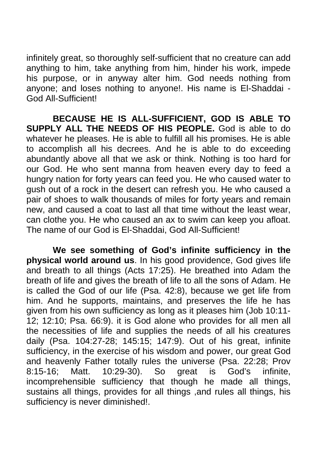infinitely great, so thoroughly self-sufficient that no creature can add anything to him, take anything from him, hinder his work, impede his purpose, or in anyway alter him. God needs nothing from anyone; and loses nothing to anyone!. His name is El-Shaddai - God All-Sufficient!

 **BECAUSE HE IS ALL-SUFFICIENT, GOD IS ABLE TO SUPPLY ALL THE NEEDS OF HIS PEOPLE.** God is able to do whatever he pleases. He is able to fulfill all his promises. He is able to accomplish all his decrees. And he is able to do exceeding abundantly above all that we ask or think. Nothing is too hard for our God. He who sent manna from heaven every day to feed a hungry nation for forty years can feed you. He who caused water to gush out of a rock in the desert can refresh you. He who caused a pair of shoes to walk thousands of miles for forty years and remain new, and caused a coat to last all that time without the least wear, can clothe you. He who caused an ax to swim can keep you afloat. The name of our God is El-Shaddai, God All-Sufficient!

**We see something of God's infinite sufficiency in the physical world around us**. In his good providence, God gives life and breath to all things (Acts 17:25). He breathed into Adam the breath of life and gives the breath of life to all the sons of Adam. He is called the God of our life (Psa. 42:8), because we get life from him. And he supports, maintains, and preserves the life he has given from his own sufficiency as long as it pleases him (Job 10:11- 12; 12:10; Psa. 66:9). it is God alone who provides for all men all the necessities of life and supplies the needs of all his creatures daily (Psa. 104:27-28; 145:15; 147:9). Out of his great, infinite sufficiency, in the exercise of his wisdom and power, our great God and heavenly Father totally rules the universe (Psa. 22:28; Prov 8:15-16; Matt. 10:29-30). So great is God's infinite, incomprehensible sufficiency that though he made all things, sustains all things, provides for all things ,and rules all things, his sufficiency is never diminished!.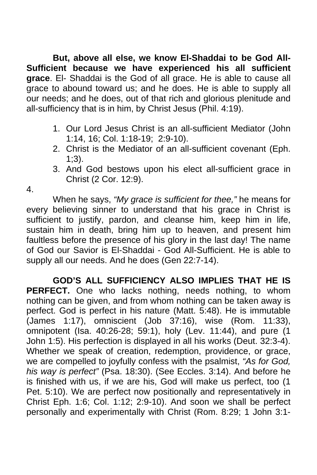**But, above all else, we know El-Shaddai to be God All-Sufficient because we have experienced his all sufficient grace**. El- Shaddai is the God of all grace. He is able to cause all grace to abound toward us; and he does. He is able to supply all our needs; and he does, out of that rich and glorious plenitude and all-sufficiency that is in him, by Christ Jesus (Phil. 4:19).

- 1. Our Lord Jesus Christ is an all-sufficient Mediator (John 1:14, 16; Col. 1:18-19; 2:9-10).
- 2. Christ is the Mediator of an all-sufficient covenant (Eph.  $1:3$ ).
- 3. And God bestows upon his elect all-sufficient grace in Christ (2 Cor. 12:9).

4.

 When he says, *"My grace is sufficient for thee,"* he means for every believing sinner to understand that his grace in Christ is sufficient to justify, pardon, and cleanse him, keep him in life, sustain him in death, bring him up to heaven, and present him faultless before the presence of his glory in the last day! The name of God our Savior is El-Shaddai - God All-Sufficient. He is able to supply all our needs. And he does (Gen 22:7-14).

 **GOD'S ALL SUFFICIENCY ALSO IMPLIES THAT HE IS**  PERFECT. One who lacks nothing, needs nothing, to whom nothing can be given, and from whom nothing can be taken away is perfect. God is perfect in his nature (Matt. 5:48). He is immutable (James 1:17), omniscient (Job 37:16), wise (Rom. 11:33), omnipotent (Isa. 40:26-28; 59:1), holy (Lev. 11:44), and pure (1 John 1:5). His perfection is displayed in all his works (Deut. 32:3-4). Whether we speak of creation, redemption, providence, or grace, we are compelled to joyfully confess with the psalmist, *"As for God, his way is perfect"* (Psa. 18:30). (See Eccles. 3:14). And before he is finished with us, if we are his, God will make us perfect, too (1 Pet. 5:10). We are perfect now positionally and representatively in Christ Eph. 1:6; Col. 1:12; 2:9-10). And soon we shall be perfect personally and experimentally with Christ (Rom. 8:29; 1 John 3:1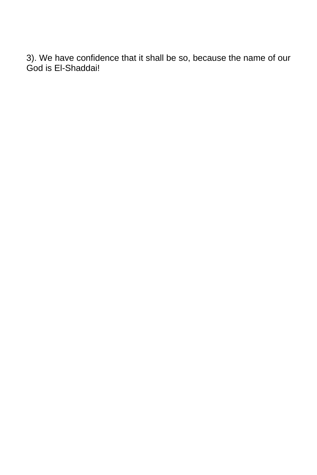3). We have confidence that it shall be so, because the name of our God is El-Shaddai!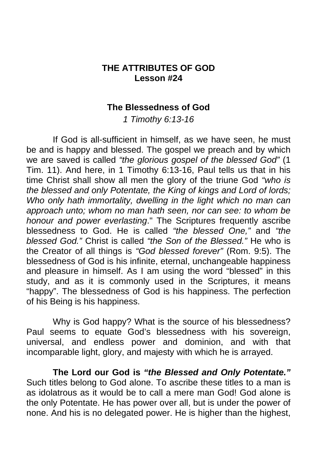## **THE ATTRIBUTES OF GOD Lesson #24**

#### **The Blessedness of God**

*1 Timothy 6:13-16* 

 If God is all-sufficient in himself, as we have seen, he must be and is happy and blessed. The gospel we preach and by which we are saved is called *"the glorious gospel of the blessed God"* (1 Tim. 11). And here, in 1 Timothy 6:13-16, Paul tells us that in his time Christ shall show all men the glory of the triune God *"who is the blessed and only Potentate, the King of kings and Lord of lords; Who only hath immortality, dwelling in the light which no man can approach unto; whom no man hath seen, nor can see: to whom be honour and power everlasting*." The Scriptures frequently ascribe blessedness to God. He is called *"the blessed One,"* and *"the blessed God."* Christ is called *"the Son of the Blessed."* He who is the Creator of all things is *"God blessed forever"* (Rom. 9:5). The blessedness of God is his infinite, eternal, unchangeable happiness and pleasure in himself. As I am using the word "blessed" in this study, and as it is commonly used in the Scriptures, it means "happy". The blessedness of God is his happiness. The perfection of his Being is his happiness.

 Why is God happy? What is the source of his blessedness? Paul seems to equate God's blessedness with his sovereign, universal, and endless power and dominion, and with that incomparable light, glory, and majesty with which he is arrayed.

**The Lord our God is** *"the Blessed and Only Potentate."* Such titles belong to God alone. To ascribe these titles to a man is as idolatrous as it would be to call a mere man God! God alone is the only Potentate. He has power over all, but is under the power of none. And his is no delegated power. He is higher than the highest,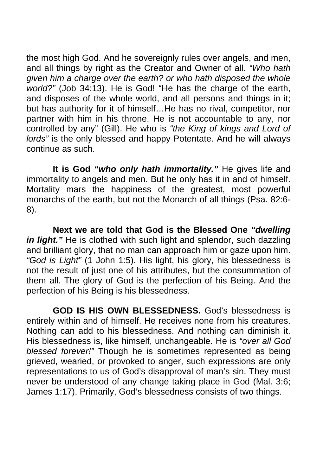the most high God. And he sovereignly rules over angels, and men, and all things by right as the Creator and Owner of all. *"Who hath given him a charge over the earth? or who hath disposed the whole world?"* (Job 34:13). He is God! "He has the charge of the earth, and disposes of the whole world, and all persons and things in it; but has authority for it of himself…He has no rival, competitor, nor partner with him in his throne. He is not accountable to any, nor controlled by any" (Gill). He who is *"the King of kings and Lord of lords"* is the only blessed and happy Potentate. And he will always continue as such.

**It is God** *"who only hath immortality."* He gives life and immortality to angels and men. But he only has it in and of himself. Mortality mars the happiness of the greatest, most powerful monarchs of the earth, but not the Monarch of all things (Psa. 82:6- 8).

**Next we are told that God is the Blessed One** *"dwelling*  in light." He is clothed with such light and splendor, such dazzling and brilliant glory, that no man can approach him or gaze upon him. *"God is Light"* (1 John 1:5). His light, his glory, his blessedness is not the result of just one of his attributes, but the consummation of them all. The glory of God is the perfection of his Being. And the perfection of his Being is his blessedness.

**GOD IS HIS OWN BLESSEDNESS.** God's blessedness is entirely within and of himself. He receives none from his creatures. Nothing can add to his blessedness. And nothing can diminish it. His blessedness is, like himself, unchangeable. He is *"over all God blessed forever!"* Though he is sometimes represented as being grieved, wearied, or provoked to anger, such expressions are only representations to us of God's disapproval of man's sin. They must never be understood of any change taking place in God (Mal. 3:6; James 1:17). Primarily, God's blessedness consists of two things.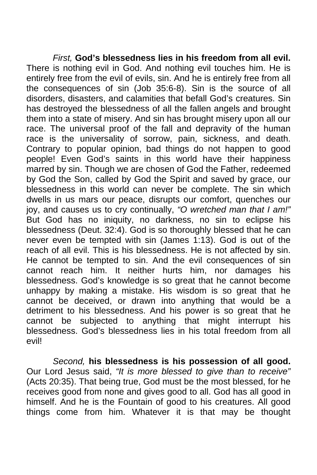*First,* **God's blessedness lies in his freedom from all evil.**  There is nothing evil in God. And nothing evil touches him. He is entirely free from the evil of evils, sin. And he is entirely free from all the consequences of sin (Job 35:6-8). Sin is the source of all disorders, disasters, and calamities that befall God's creatures. Sin has destroyed the blessedness of all the fallen angels and brought them into a state of misery. And sin has brought misery upon all our race. The universal proof of the fall and depravity of the human race is the universality of sorrow, pain, sickness, and death. Contrary to popular opinion, bad things do not happen to good people! Even God's saints in this world have their happiness marred by sin. Though we are chosen of God the Father, redeemed by God the Son, called by God the Spirit and saved by grace, our blessedness in this world can never be complete. The sin which dwells in us mars our peace, disrupts our comfort, quenches our joy, and causes us to cry continually, *"O wretched man that I am!"*  But God has no iniquity, no darkness, no sin to eclipse his blessedness (Deut. 32:4). God is so thoroughly blessed that he can never even be tempted with sin (James 1:13). God is out of the reach of all evil. This is his blessedness. He is not affected by sin. He cannot be tempted to sin. And the evil consequences of sin cannot reach him. It neither hurts him, nor damages his blessedness. God's knowledge is so great that he cannot become unhappy by making a mistake. His wisdom is so great that he cannot be deceived, or drawn into anything that would be a detriment to his blessedness. And his power is so great that he cannot be subjected to anything that might interrupt his blessedness. God's blessedness lies in his total freedom from all evil!

*Second,* **his blessedness is his possession of all good.**  Our Lord Jesus said, *"It is more blessed to give than to receive"*  (Acts 20:35). That being true, God must be the most blessed, for he receives good from none and gives good to all. God has all good in himself. And he is the Fountain of good to his creatures. All good things come from him. Whatever it is that may be thought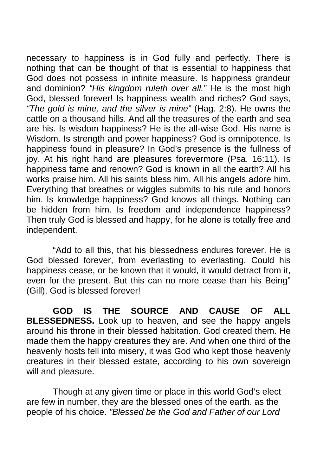necessary to happiness is in God fully and perfectly. There is nothing that can be thought of that is essential to happiness that God does not possess in infinite measure. Is happiness grandeur and dominion? *"His kingdom ruleth over all."* He is the most high God, blessed forever! Is happiness wealth and riches? God says, *"The gold is mine, and the silver is mine"* (Hag. 2:8). He owns the cattle on a thousand hills. And all the treasures of the earth and sea are his. Is wisdom happiness? He is the all-wise God. His name is Wisdom. Is strength and power happiness? God is omnipotence. Is happiness found in pleasure? In God's presence is the fullness of joy. At his right hand are pleasures forevermore (Psa. 16:11). Is happiness fame and renown? God is known in all the earth? All his works praise him. All his saints bless him. All his angels adore him. Everything that breathes or wiggles submits to his rule and honors him. Is knowledge happiness? God knows all things. Nothing can be hidden from him. Is freedom and independence happiness? Then truly God is blessed and happy, for he alone is totally free and independent.

 "Add to all this, that his blessedness endures forever. He is God blessed forever, from everlasting to everlasting. Could his happiness cease, or be known that it would, it would detract from it, even for the present. But this can no more cease than his Being" (Gill). God is blessed forever!

**GOD IS THE SOURCE AND CAUSE OF ALL BLESSEDNESS.** Look up to heaven, and see the happy angels around his throne in their blessed habitation. God created them. He made them the happy creatures they are. And when one third of the heavenly hosts fell into misery, it was God who kept those heavenly creatures in their blessed estate, according to his own sovereign will and pleasure.

 Though at any given time or place in this world God's elect are few in number, they are the blessed ones of the earth. as the people of his choice. *"Blessed be the God and Father of our Lord*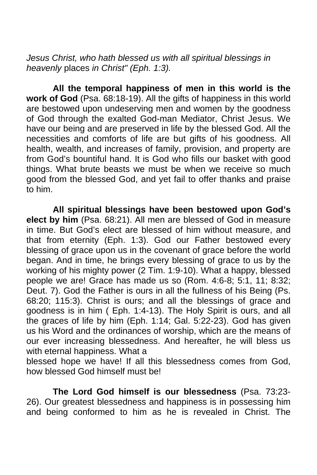*Jesus Christ, who hath blessed us with all spiritual blessings in heavenly* places *in Christ" (Eph. 1:3).* 

**All the temporal happiness of men in this world is the work of God** (Psa. 68:18-19). All the gifts of happiness in this world are bestowed upon undeserving men and women by the goodness of God through the exalted God-man Mediator, Christ Jesus. We have our being and are preserved in life by the blessed God. All the necessities and comforts of life are but gifts of his goodness. All health, wealth, and increases of family, provision, and property are from God's bountiful hand. It is God who fills our basket with good things. What brute beasts we must be when we receive so much good from the blessed God, and yet fail to offer thanks and praise to him.

**All spiritual blessings have been bestowed upon God's elect by him** (Psa. 68:21). All men are blessed of God in measure in time. But God's elect are blessed of him without measure, and that from eternity (Eph. 1:3). God our Father bestowed every blessing of grace upon us in the covenant of grace before the world began. And in time, he brings every blessing of grace to us by the working of his mighty power (2 Tim. 1:9-10). What a happy, blessed people we are! Grace has made us so (Rom. 4:6-8; 5:1, 11; 8:32; Deut. 7). God the Father is ours in all the fullness of his Being (Ps. 68:20; 115:3). Christ is ours; and all the blessings of grace and goodness is in him ( Eph. 1:4-13). The Holy Spirit is ours, and all the graces of life by him (Eph. 1:14; Gal. 5:22-23). God has given us his Word and the ordinances of worship, which are the means of our ever increasing blessedness. And hereafter, he will bless us with eternal happiness. What a

blessed hope we have! If all this blessedness comes from God, how blessed God himself must be!

**The Lord God himself is our blessedness** (Psa. 73:23- 26). Our greatest blessedness and happiness is in possessing him and being conformed to him as he is revealed in Christ. The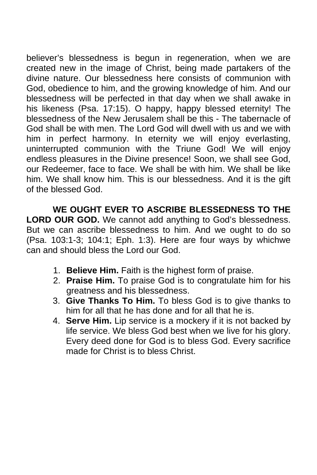believer's blessedness is begun in regeneration, when we are created new in the image of Christ, being made partakers of the divine nature. Our blessedness here consists of communion with God, obedience to him, and the growing knowledge of him. And our blessedness will be perfected in that day when we shall awake in his likeness (Psa. 17:15). O happy, happy blessed eternity! The blessedness of the New Jerusalem shall be this - The tabernacle of God shall be with men. The Lord God will dwell with us and we with him in perfect harmony. In eternity we will enjoy everlasting, uninterrupted communion with the Triune God! We will enjoy endless pleasures in the Divine presence! Soon, we shall see God, our Redeemer, face to face. We shall be with him. We shall be like him. We shall know him. This is our blessedness. And it is the gift of the blessed God.

**WE OUGHT EVER TO ASCRIBE BLESSEDNESS TO THE LORD OUR GOD.** We cannot add anything to God's blessedness. But we can ascribe blessedness to him. And we ought to do so (Psa. 103:1-3; 104:1; Eph. 1:3). Here are four ways by whichwe can and should bless the Lord our God.

- 1. **Believe Him.** Faith is the highest form of praise.
- 2. **Praise Him.** To praise God is to congratulate him for his greatness and his blessedness.
- 3. **Give Thanks To Him.** To bless God is to give thanks to him for all that he has done and for all that he is.
- 4. **Serve Him.** Lip service is a mockery if it is not backed by life service. We bless God best when we live for his glory. Every deed done for God is to bless God. Every sacrifice made for Christ is to bless Christ.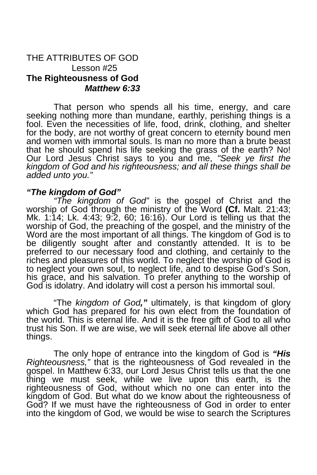#### THE ATTRIBUTES OF GOD Lesson #25 **The Righteousness of God** *Matthew 6:33*

That person who spends all his time, energy, and care seeking nothing more than mundane, earthly, perishing things is a fool. Even the necessities of life, food, drink, clothing, and shelter for the body, are not worthy of great concern to eternity bound men and women with immortal souls. Is man no more than a brute beast that he should spend his life seeking the grass of the earth? No! Our Lord Jesus Christ says to you and me, *"Seek ye first the kingdom of God and his righteousness; and all these things shall be added unto you."* 

#### *"The kingdom of God"*

*"The kingdom of God"* is the gospel of Christ and the worship of God through the ministry of the Word **(Cf.** Malt. 21:43; Mk. 1:14; Lk. 4:43; 9:2, 60; 16:16). Our Lord is telling us that the worship of God, the preaching of the gospel, and the ministry of the Word are the most important of all things. The kingdom of God is to be diligently sought after and constantly attended. It is to be preferred to our necessary food and clothing, and certainly to the riches and pleasures of this world. To neglect the worship of God is to neglect your own soul, to neglect life, and to despise God's Son, his grace, and his salvation. To prefer anything to the worship of God is idolatry. And idolatry will cost a person his immortal soul.

"The *kingdom of God,"* ultimately, is that kingdom of glory which God has prepared for his own elect from the foundation of the world. This is eternal life. And it is the free gift of God to all who trust his Son. If we are wise, we will seek eternal life above all other things.

The only hope of entrance into the kingdom of God is *"His Righteousness,"* that is the righteousness of God revealed in the gospel. In Matthew 6:33, our Lord Jesus Christ tells us that the one thing we must seek, while we live upon this earth, is the righteousness of God, without which no one can enter into the kingdom of God. But what do we know about the righteousness of God? If we must have the righteousness of God in order to enter into the kingdom of God, we would be wise to search the Scriptures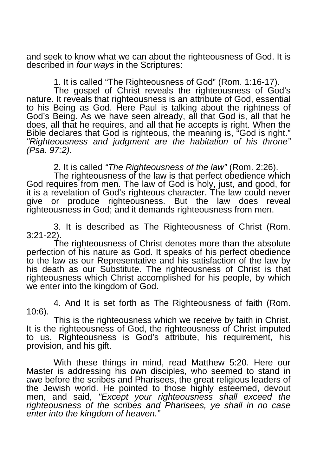and seek to know what we can about the righteousness of God. It is described in *four ways* in the Scriptures:

1. It is called "The Righteousness of God" (Rom. 1:16-17).

The gospel of Christ reveals the righteousness of God's nature. It reveals that righteousness is an attribute of God, essential to his Being as God. Here Paul is talking about the rightness of God's Being. As we have seen already, all that God is, all that he does, all that he requires, and all that he accepts is right. When the Bible declares that God is righteous, the meaning is, "God is right." *"Righteousness and judgment are the habitation of his throne" (Psa. 97:2).* 

2. It is called *"The Righteousness of the law"* (Rom. 2:26).

The righteousness of the law is that perfect obedience which God requires from men. The law of God is holy, just, and good, for it is a revelation of God's righteous character. The law could never give or produce righteousness. But the law does reveal righteousness in God; and it demands righteousness from men.

3. It is described as The Righteousness of Christ (Rom. 3:21-22).

The righteousness of Christ denotes more than the absolute perfection of his nature as God. It speaks of his perfect obedience to the law as our Representative and his satisfaction of the law by his death as our Substitute. The righteousness of Christ is that righteousness which Christ accomplished for his people, by which we enter into the kingdom of God.

4. And It is set forth as The Righteousness of faith (Rom. 10:6).

This is the righteousness which we receive by faith in Christ. It is the righteousness of God, the righteousness of Christ imputed to us. Righteousness is God's attribute, his requirement, his provision, and his gift.

With these things in mind, read Matthew 5:20. Here our Master is addressing his own disciples, who seemed to stand in awe before the scribes and Pharisees, the great religious leaders of the Jewish world. He pointed to those highly esteemed, devout men, and said, *"Except your righteousness shall exceed the righteousness of the scribes and Pharisees, ye shall in no case enter into the kingdom of heaven."*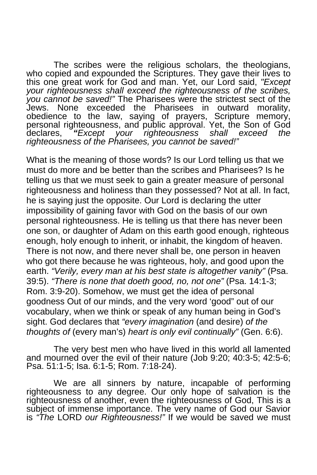The scribes were the religious scholars, the theologians, who copied and expounded the Scriptures. They gave their lives to this one great work for God and man. Yet, our Lord said, *"Except your righteousness shall exceed the righteousness of the scribes, you cannot be saved!"* The Pharisees were the strictest sect of the Jews. None exceeded the Pharisees in outward morality, obedience to the law, saying of prayers, Scripture memory, personal righteousness, and public approval. Yet, the Son of God declares, *"Except your righteousness shall exceed the righteousness of the Pharisees, you cannot be saved!"* 

What is the meaning of those words? Is our Lord telling us that we must do more and be better than the scribes and Pharisees? Is he telling us that we must seek to gain a greater measure of personal righteousness and holiness than they possessed? Not at all. In fact, he is saying just the opposite. Our Lord is declaring the utter impossibility of gaining favor with God on the basis of our own personal righteousness. He is telling us that there has never been one son, or daughter of Adam on this earth good enough, righteous enough, holy enough to inherit, or inhabit, the kingdom of heaven. There is not now, and there never shall be, one person in heaven who got there because he was righteous, holy, and good upon the earth. *"Verily, every man at his best state is altogether vanity"* (Psa. 39:5). *"There is none that doeth good, no, not one"* (Psa. 14:1-3; Rom. 3:9-20). Somehow, we must get the idea of personal goodness Out of our minds, and the very word 'good" out of our vocabulary, when we think or speak of any human being in God's sight. God declares that *"every imagination* (and desire) *of the thoughts of* (every man's) *heart is only evil continually"* (Gen. 6:6).

The very best men who have lived in this world all lamented and mourned over the evil of their nature (Job 9:20; 40:3-5; 42:5-6; Psa. 51:1-5; Isa. 6:1-5; Rom. 7:18-24).

We are all sinners by nature, incapable of performing righteousness to any degree. Our only hope of salvation is the righteousness of another, even the righteousness of God, This is a subject of immense importance. The very name of God our Savior is *"The* LORD *our Righteousness!"* If we would be saved we must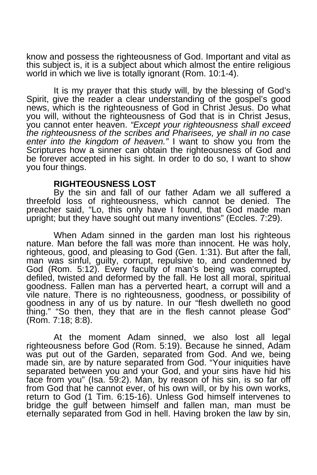know and possess the righteousness of God. Important and vital as this subject is, it is a subject about which almost the entire religious world in which we live is totally ignorant (Rom. 10:1-4).

It is my prayer that this study will, by the blessing of God's Spirit, give the reader a clear understanding of the gospel's good news, which is the righteousness of God in Christ Jesus. Do what you will, without the righteousness of God that is in Christ Jesus, you cannot enter heaven. *"Except your righteousness shall exceed the righteousness of the scribes and Pharisees, ye shall in no case enter into the kingdom of heaven."* I want to show you from the Scriptures how a sinner can obtain the righteousness of God and be forever accepted in his sight. In order to do so, I want to show you four things.

#### **RIGHTEOUSNESS LOST**

By the sin and fall of our father Adam we all suffered a threefold loss of righteousness, which cannot be denied. The preacher said, "Lo, this only have I found, that God made man upright; but they have sought out many inventions" (Eccles. 7:29).

When Adam sinned in the garden man lost his righteous nature. Man before the fall was more than innocent. He was holy, righteous, good, and pleasing to God (Gen. 1:31). But after the fall, man was sinful, guilty, corrupt, repulsive to, and condemned by God (Rom. 5:12). Every faculty of man's being was corrupted, defiled, twisted and deformed by the fall. He lost all moral, spiritual goodness. Fallen man has a perverted heart, a corrupt will and a vile nature. There is no righteousness, goodness, or possibility of goodness in any of us by nature. In our "flesh dwelleth no good thing." "So then, they that are in the flesh cannot please God" (Rom. 7:18; 8:8).

At the moment Adam sinned, we also lost all legal righteousness before God (Rom. 5:19). Because he sinned, Adam was put out of the Garden, separated from God. And we, being made sin, are by nature separated from God. "Your iniquities have separated between you and your God, and your sins have hid his face from you" (Isa. 59:2). Man, by reason of his sin, is so far off from God that he cannot ever, of his own will, or by his own works, return to God (1 Tim. 6:15-16). Unless God himself intervenes to bridge the gulf between himself and fallen man, man must be eternally separated from God in hell. Having broken the law by sin,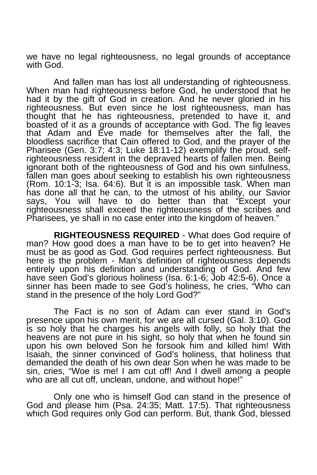we have no legal righteousness, no legal grounds of acceptance with God.

And fallen man has lost all understanding of righteousness. When man had righteousness before God, he understood that he had it by the gift of God in creation. And he never gloried in his righteousness. But even since he lost righteousness, man has thought that he has righteousness, pretended to have it, and boasted of it as a grounds of acceptance with God. The fig leaves that Adam and Eve made for themselves after the fall, the bloodless sacrifice that Cain offered to God, and the prayer of the Pharisee (Gen. 3:7; 4:3; Luke 18:11-12) exemplify the proud, selfrighteousness resident in the depraved hearts of fallen men. Being ignorant both of the righteousness of God and his own sinfulness, fallen man goes about seeking to establish his own righteousness (Rom. 10:1-3; Isa. 64:6). But it is an impossible task. When man has done all that he can, to the utmost of his ability, our Savior says, You will have to do better than that "Except your righteousness shall exceed the righteousness of the scribes and Pharisees, ye shall in no case enter into the kingdom of heaven."

**RIGHTEOUSNESS REQUIRED** - What does God require of man? How good does a man have to be to get into heaven? He must be as good as God. God requires perfect righteousness. But here is the problem - Man's definition of righteousness depends entirely upon his definition and understanding of God. And few have seen God's glorious holiness (Isa. 6:1-6; Job 42:5-6). Once a sinner has been made to see God's holiness, he cries, "Who can stand in the presence of the holy Lord God?"

The Fact is no son of Adam can ever stand in God's presence upon his own merit, for we are all cursed (Gal. 3:10). God is so holy that he charges his angels with folly, so holy that the heavens are not pure in his sight, so holy that when he found sin upon his own beloved Son he forsook him and killed him! With Isaiah, the sinner convinced of God's holiness, that holiness that demanded the death of his own dear Son when he was made to be sin, cries, "Woe is me! I am cut off! And I dwell among a people who are all cut off, unclean, undone, and without hope!"

Only one who is himself God can stand in the presence of God and please him (Psa. 24:35; Matt. 17:5). That righteousness which God requires only God can perform. But, thank God, blessed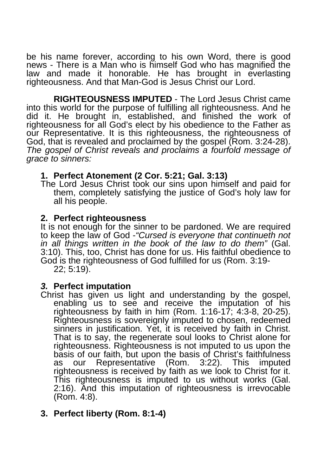be his name forever, according to his own Word, there is good news - There is a Man who is himself God who has magnified the law and made it honorable. He has brought in everlasting righteousness. And that Man-God is Jesus Christ our Lord.

**RIGHTEOUSNESS IMPUTED** - The Lord Jesus Christ came into this world for the purpose of fulfilling all righteousness. And he did it. He brought in, established, and finished the work of righteousness for all God's elect by his obedience to the Father as our Representative. It is this righteousness, the righteousness of God, that is revealed and proclaimed by the gospel (Rom. 3:24-28). *The gospel of Christ reveals and proclaims a fourfold message of grace to sinners:* 

## **1. Perfect Atonement (2 Cor. 5:21; Gal. 3:13)**

The Lord Jesus Christ took our sins upon himself and paid for them, completely satisfying the justice of God's holy law for all his people.

#### **2. Perfect righteousness**

It is not enough for the sinner to be pardoned. We are required to keep the law of God -*"Cursed is everyone that continueth not in all things written in the book of the law to do them"* (Gal. 3:10). This, too, Christ has done for us. His faithful obedience to God is the righteousness of God fulfilled for us (Rom. 3:19- 22; 5:19).

#### *3.* **Perfect imputation**

Christ has given us light and understanding by the gospel, enabling us to see and receive the imputation of his righteousness by faith in him (Rom. 1:16-17; 4:3-8, 20-25). Righteousness is sovereignly imputed to chosen, redeemed sinners in justification. Yet, it is received by faith in Christ. That is to say, the regenerate soul looks to Christ alone for righteousness. Righteousness is not imputed to us upon the basis of our faith, but upon the basis of Christ's faithfulness as our Representative (Rom. 3:22). This imputed righteousness is received by faith as we look to Christ for it. This righteousness is imputed to us without works (Gal. 2:16). And this imputation of righteousness is irrevocable (Rom. 4:8).

# **3. Perfect liberty (Rom. 8:1-4)**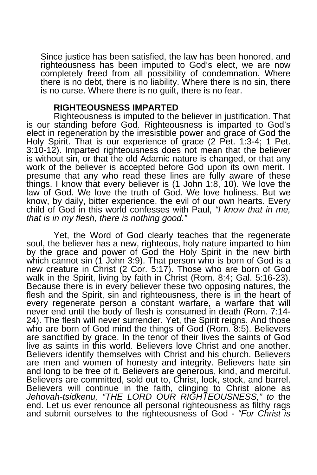Since justice has been satisfied, the law has been honored, and righteousness has been imputed to God's elect, we are now completely freed from all possibility of condemnation. Where there is no debt, there is no liability. Where there is no sin, there is no curse. Where there is no guilt, there is no fear.

#### **RIGHTEOUSNESS IMPARTED**

Righteousness is imputed to the believer in justification. That is our standing before God. Righteousness is imparted to God's elect in regeneration by the irresistible power and grace of God the Holy Spirit. That is our experience of grace (2 Pet. 1:3-4; 1 Pet. 3:10-12). Imparted righteousness does not mean that the believer is without sin, or that the old Adamic nature is changed, or that any work of the believer is accepted before God upon its own merit. I presume that any who read these lines are fully aware of these things. I know that every believer is (1 John 1:8, 10). We love the law of God. We love the truth of God. We love holiness. But we know, by daily, bitter experience, the evil of our own hearts. Every child of God in this world confesses with Paul, *"I know that in me, that is in my flesh, there is nothing good."* 

Yet, the Word of God clearly teaches that the regenerate soul, the believer has a new, righteous, holy nature imparted to him by the grace and power of God the Holy Spirit in the new birth which cannot sin (1 John 3:9). That person who is born of God is a new creature in Christ (2 Cor. 5:17). Those who are born of God walk in the Spirit, living by faith in Christ (Rom. 8:4; Gal. 5:16-23). Because there is in every believer these two opposing natures, the flesh and the Spirit, sin and righteousness, there is in the heart of every regenerate person a constant warfare, a warfare that will never end until the body of flesh is consumed in death (Rom. 7:14- 24). The flesh will never surrender. Yet, the Spirit reigns. And those who are born of God mind the things of God (Rom. 8:5). Believers are sanctified by grace. In the tenor of their lives the saints of God live as saints in this world. Believers love Christ and one another. Believers identify themselves with Christ and his church. Believers are men and women of honesty and integrity. Believers hate sin and long to be free of it. Believers are generous, kind, and merciful. Believers are committed, sold out to, Christ, lock, stock, and barrel. Believers will continue in the faith, clinging to Christ alone as *Jehovah-tsidkenu, "THE LORD OUR RIGHTEOUSNESS," to* the end. Let us ever renounce all personal righteousness as filthy rags and submit ourselves to the righteousness of God - *"For Christ is*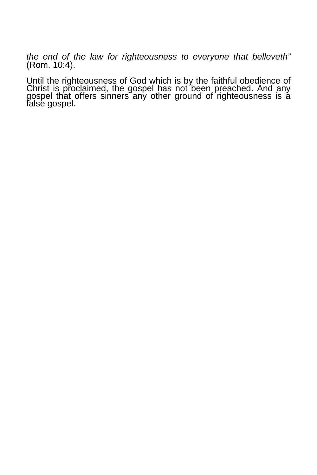*the end of the law for righteousness to everyone that belleveth"*  (Rom. 10:4).

Until the righteousness of God which is by the faithful obedience of Christ is proclaimed, the gospel has not been preached. And any gospel that offers sinners any other ground of righteousness is a false gospel.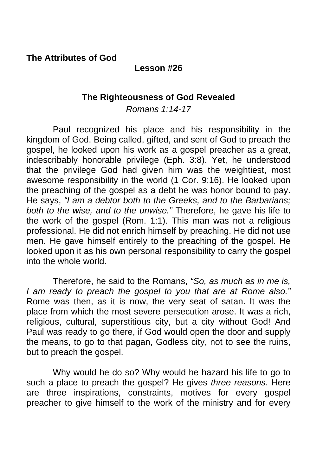**The Attributes of God** 

## **Lesson #26**

## **The Righteousness of God Revealed**

*Romans 1:14-17* 

Paul recognized his place and his responsibility in the kingdom of God. Being called, gifted, and sent of God to preach the gospel, he looked upon his work as a gospel preacher as a great, indescribably honorable privilege (Eph. 3:8). Yet, he understood that the privilege God had given him was the weightiest, most awesome responsibility in the world (1 Cor. 9:16). He looked upon the preaching of the gospel as a debt he was honor bound to pay. He says, *"I am a debtor both to the Greeks, and to the Barbarians; both to the wise, and to the unwise."* Therefore, he gave his life to the work of the gospel (Rom. 1:1). This man was not a religious professional. He did not enrich himself by preaching. He did not use men. He gave himself entirely to the preaching of the gospel. He looked upon it as his own personal responsibility to carry the gospel into the whole world.

 Therefore, he said to the Romans, *"So, as much as in me is, I am ready to preach the gospel to you that are at Rome also."*  Rome was then, as it is now, the very seat of satan. It was the place from which the most severe persecution arose. It was a rich, religious, cultural, superstitious city, but a city without God! And Paul was ready to go there, if God would open the door and supply the means, to go to that pagan, Godless city, not to see the ruins, but to preach the gospel.

 Why would he do so? Why would he hazard his life to go to such a place to preach the gospel? He gives *three reasons*. Here are three inspirations, constraints, motives for every gospel preacher to give himself to the work of the ministry and for every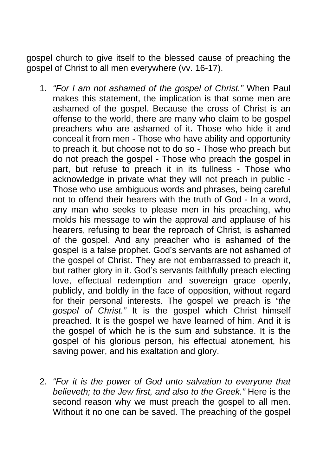gospel church to give itself to the blessed cause of preaching the gospel of Christ to all men everywhere (vv. 16-17).

- 1. *"For I am not ashamed of the gospel of Christ."* When Paul makes this statement, the implication is that some men are ashamed of the gospel. Because the cross of Christ is an offense to the world, there are many who claim to be gospel preachers who are ashamed of it**.** Those who hide it and conceal it from men - Those who have ability and opportunity to preach it, but choose not to do so - Those who preach but do not preach the gospel - Those who preach the gospel in part, but refuse to preach it in its fullness - Those who acknowledge in private what they will not preach in public - Those who use ambiguous words and phrases, being careful not to offend their hearers with the truth of God - In a word, any man who seeks to please men in his preaching, who molds his message to win the approval and applause of his hearers, refusing to bear the reproach of Christ, is ashamed of the gospel. And any preacher who is ashamed of the gospel is a false prophet. God's servants are not ashamed of the gospel of Christ. They are not embarrassed to preach it, but rather glory in it. God's servants faithfully preach electing love, effectual redemption and sovereign grace openly, publicly, and boldly in the face of opposition, without regard for their personal interests. The gospel we preach is *"the gospel of Christ."* It is the gospel which Christ himself preached. It is the gospel we have learned of him. And it is the gospel of which he is the sum and substance. It is the gospel of his glorious person, his effectual atonement, his saving power, and his exaltation and glory.
- 2. *"For it is the power of God unto salvation to everyone that believeth; to the Jew first, and also to the Greek."* Here is the second reason why we must preach the gospel to all men. Without it no one can be saved. The preaching of the gospel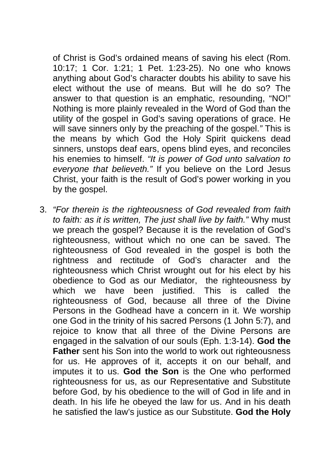of Christ is God's ordained means of saving his elect (Rom. 10:17; 1 Cor. 1:21; 1 Pet. 1:23-25). No one who knows anything about God's character doubts his ability to save his elect without the use of means. But will he do so? The answer to that question is an emphatic, resounding, "NO!" Nothing is more plainly revealed in the Word of God than the utility of the gospel in God's saving operations of grace. He will save sinners only by the preaching of the gospel.*"* This is the means by which God the Holy Spirit quickens dead sinners, unstops deaf ears, opens blind eyes, and reconciles his enemies to himself. *"It is power of God unto salvation to everyone that believeth."* If you believe on the Lord Jesus Christ, your faith is the result of God's power working in you by the gospel.

3. *"For therein is the righteousness of God revealed from faith to faith: as it is written, The just shall live by faith."* Why must we preach the gospel? Because it is the revelation of God's righteousness, without which no one can be saved. The righteousness of God revealed in the gospel is both the rightness and rectitude of God's character and the righteousness which Christ wrought out for his elect by his obedience to God as our Mediator, the righteousness by which we have been justified. This is called the righteousness of God, because all three of the Divine Persons in the Godhead have a concern in it. We worship one God in the trinity of his sacred Persons (1 John 5:7), and rejoice to know that all three of the Divine Persons are engaged in the salvation of our souls (Eph. 1:3-14). **God the Father** sent his Son into the world to work out righteousness for us. He approves of it, accepts it on our behalf, and imputes it to us. **God the Son** is the One who performed righteousness for us, as our Representative and Substitute before God, by his obedience to the will of God in life and in death. In his life he obeyed the law for us. And in his death he satisfied the law's justice as our Substitute. **God the Holy**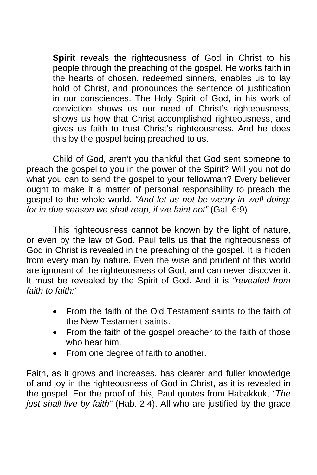**Spirit** reveals the righteousness of God in Christ to his people through the preaching of the gospel. He works faith in the hearts of chosen, redeemed sinners, enables us to lay hold of Christ, and pronounces the sentence of justification in our consciences. The Holy Spirit of God, in his work of conviction shows us our need of Christ's righteousness, shows us how that Christ accomplished righteousness, and gives us faith to trust Christ's righteousness. And he does this by the gospel being preached to us.

Child of God, aren't you thankful that God sent someone to preach the gospel to you in the power of the Spirit? Will you not do what you can to send the gospel to your fellowman? Every believer ought to make it a matter of personal responsibility to preach the gospel to the whole world. *"And let us not be weary in well doing: for in due season we shall reap, if we faint not"* (Gal. 6:9).

 This righteousness cannot be known by the light of nature, or even by the law of God. Paul tells us that the righteousness of God in Christ is revealed in the preaching of the gospel. It is hidden from every man by nature. Even the wise and prudent of this world are ignorant of the righteousness of God, and can never discover it. It must be revealed by the Spirit of God. And it is *"revealed from faith to faith:"* 

- From the faith of the Old Testament saints to the faith of the New Testament saints.
- From the faith of the gospel preacher to the faith of those who hear him.
- From one degree of faith to another.

Faith, as it grows and increases, has clearer and fuller knowledge of and joy in the righteousness of God in Christ, as it is revealed in the gospel. For the proof of this, Paul quotes from Habakkuk, *"The just shall live by faith"* (Hab. 2:4). All who are justified by the grace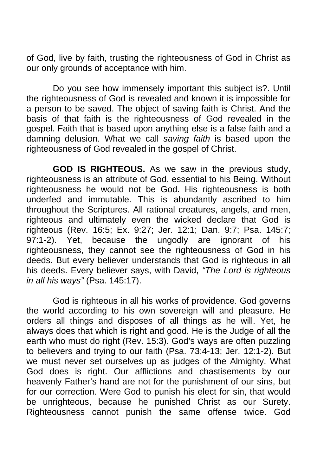of God, live by faith, trusting the righteousness of God in Christ as our only grounds of acceptance with him.

 Do you see how immensely important this subject is?. Until the righteousness of God is revealed and known it is impossible for a person to be saved. The object of saving faith is Christ. And the basis of that faith is the righteousness of God revealed in the gospel. Faith that is based upon anything else is a false faith and a damning delusion. What we call *saving faith* is based upon the righteousness of God revealed in the gospel of Christ.

**GOD IS RIGHTEOUS.** As we saw in the previous study, righteousness is an attribute of God, essential to his Being. Without righteousness he would not be God. His righteousness is both underfed and immutable. This is abundantly ascribed to him throughout the Scriptures. All rational creatures, angels, and men, righteous and ultimately even the wicked declare that God is righteous (Rev. 16:5; Ex. 9:27; Jer. 12:1; Dan. 9:7; Psa. 145:7; 97:1-2). Yet, because the ungodly are ignorant of his righteousness, they cannot see the righteousness of God in his deeds. But every believer understands that God is righteous in all his deeds. Every believer says, with David, *"The Lord is righteous in all his ways"* (Psa. 145:17).

 God is righteous in all his works of providence. God governs the world according to his own sovereign will and pleasure. He orders all things and disposes of all things as he will. Yet, he always does that which is right and good. He is the Judge of all the earth who must do right (Rev. 15:3). God's ways are often puzzling to believers and trying to our faith (Psa. 73:4-13; Jer. 12:1-2). But we must never set ourselves up as judges of the Almighty. What God does is right. Our afflictions and chastisements by our heavenly Father's hand are not for the punishment of our sins, but for our correction. Were God to punish his elect for sin, that would be unrighteous, because he punished Christ as our Surety. Righteousness cannot punish the same offense twice. God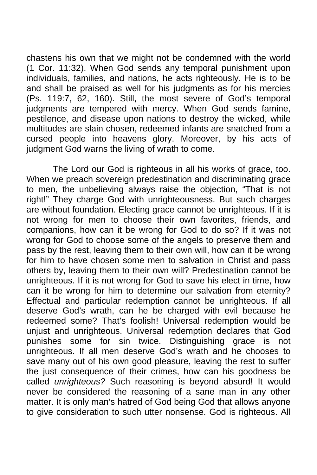chastens his own that we might not be condemned with the world (1 Cor. 11:32). When God sends any temporal punishment upon individuals, families, and nations, he acts righteously. He is to be and shall be praised as well for his judgments as for his mercies (Ps. 119:7, 62, 160). Still, the most severe of God's temporal judgments are tempered with mercy. When God sends famine, pestilence, and disease upon nations to destroy the wicked, while multitudes are slain chosen, redeemed infants are snatched from a cursed people into heavens glory. Moreover, by his acts of judgment God warns the living of wrath to come.

The Lord our God is righteous in all his works of grace, too. When we preach sovereign predestination and discriminating grace to men, the unbelieving always raise the objection, "That is not right!" They charge God with unrighteousness. But such charges are without foundation. Electing grace cannot be unrighteous. If it is not wrong for men to choose their own favorites, friends, and companions, how can it be wrong for God to do so? If it was not wrong for God to choose some of the angels to preserve them and pass by the rest, leaving them to their own will, how can it be wrong for him to have chosen some men to salvation in Christ and pass others by, leaving them to their own will? Predestination cannot be unrighteous. If it is not wrong for God to save his elect in time, how can it be wrong for him to determine our salvation from eternity? Effectual and particular redemption cannot be unrighteous. If all deserve God's wrath, can he be charged with evil because he redeemed some? That's foolish! Universal redemption would be unjust and unrighteous. Universal redemption declares that God punishes some for sin twice. Distinguishing grace is not unrighteous. If all men deserve God's wrath and he chooses to save many out of his own good pleasure, leaving the rest to suffer the just consequence of their crimes, how can his goodness be called *unrighteous?* Such reasoning is beyond absurd! It would never be considered the reasoning of a sane man in any other matter. It is only man's hatred of God being God that allows anyone to give consideration to such utter nonsense. God is righteous. All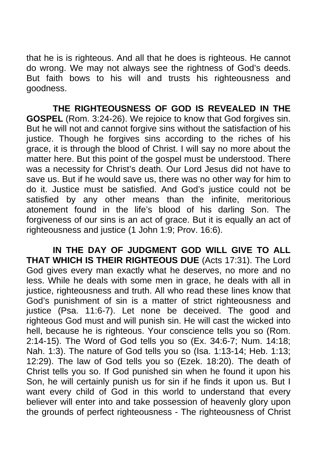that he is is righteous. And all that he does is righteous. He cannot do wrong. We may not always see the rightness of God's deeds. But faith bows to his will and trusts his righteousness and goodness.

**THE RIGHTEOUSNESS OF GOD IS REVEALED IN THE GOSPEL** (Rom. 3:24-26). We rejoice to know that God forgives sin. But he will not and cannot forgive sins without the satisfaction of his justice. Though he forgives sins according to the riches of his grace, it is through the blood of Christ. I will say no more about the matter here. But this point of the gospel must be understood. There was a necessity for Christ's death. Our Lord Jesus did not have to save us. But if he would save us, there was no other way for him to do it. Justice must be satisfied. And God's justice could not be satisfied by any other means than the infinite, meritorious atonement found in the life's blood of his darling Son. The forgiveness of our sins is an act of grace. But it is equally an act of righteousness and justice (1 John 1:9; Prov. 16:6).

**IN THE DAY OF JUDGMENT GOD WILL GIVE TO ALL THAT WHICH IS THEIR RIGHTEOUS DUE** (Acts 17:31). The Lord God gives every man exactly what he deserves, no more and no less. While he deals with some men in grace, he deals with all in justice, righteousness and truth. All who read these lines know that God's punishment of sin is a matter of strict righteousness and justice (Psa. 11:6-7). Let none be deceived. The good and righteous God must and will punish sin. He will cast the wicked into hell, because he is righteous. Your conscience tells you so (Rom. 2:14-15). The Word of God tells you so (Ex. 34:6-7; Num. 14:18; Nah. 1:3). The nature of God tells you so (Isa. 1:13-14; Heb. 1:13; 12:29). The law of God tells you so (Ezek. 18:20). The death of Christ tells you so. If God punished sin when he found it upon his Son, he will certainly punish us for sin if he finds it upon us. But I want every child of God in this world to understand that every believer will enter into and take possession of heavenly glory upon the grounds of perfect righteousness - The righteousness of Christ